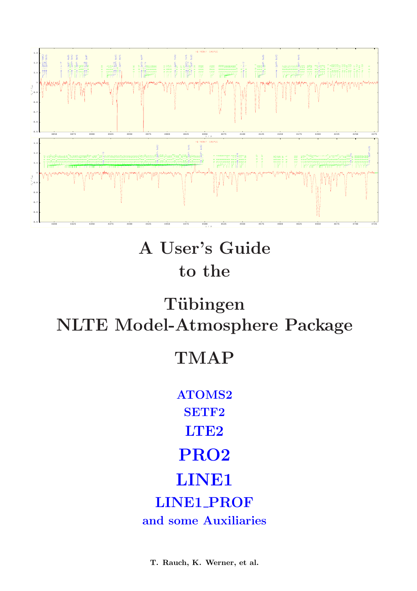

# A User's Guide to the

# Tübingen NLTE Model-Atmosphere Package

# TMAP

ATOMS2 SETF2 LTE<sub>2</sub> PRO2 LINE1 LINE1\_PROF and some Auxiliaries

T. Rauch, K. Werner, et al.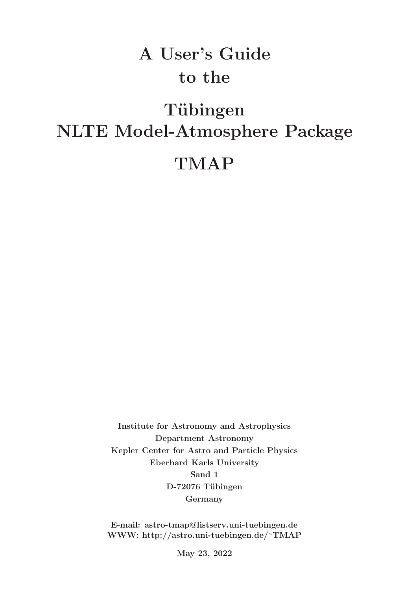# A User's Guide to the

# Tübingen NLTE Model-Atmosphere Package

# TMAP

Institute for Astronomy and Astrophysics Department Astronomy Kepler Center for Astro and Particle Physics Eberhard Karls University Sand 1 D-72076 Tübingen Germany

E-mail: astro-tmap@listserv.uni-tuebingen.de WWW: http://astro.uni-tuebingen.de/∼TMAP

May 23, 2022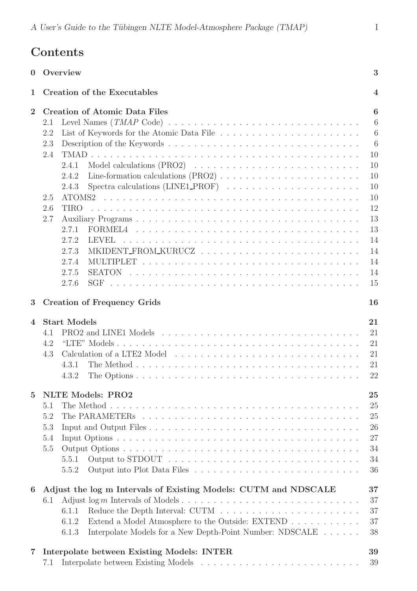# Contents

| $\theta$       | 3<br>Overview                                                                                                                                                                                                                                                                                           |                                                                                                |  |
|----------------|---------------------------------------------------------------------------------------------------------------------------------------------------------------------------------------------------------------------------------------------------------------------------------------------------------|------------------------------------------------------------------------------------------------|--|
| 1              | <b>Creation of the Executables</b><br>$\overline{\mathbf{4}}$                                                                                                                                                                                                                                           |                                                                                                |  |
| $\overline{2}$ | <b>Creation of Atomic Data Files</b><br>2.1<br>2.2<br>2.3<br>2.4<br>2.4.1<br>2.4.2<br>Spectra calculations $(LINE1\_PROF) \dots \dots \dots \dots \dots \dots \dots \dots$<br>2.4.3<br>2.5<br>2.6<br><b>TIRO</b><br>2.7<br>2.7.1<br>2.7.2<br>LEVEL<br>2.7.3<br>2.7.4<br>2.7.5<br><b>SEATON</b><br>2.7.6 | 6<br>6<br>6<br>6<br>10<br>10<br>10<br>10<br>10<br>12<br>13<br>13<br>14<br>14<br>14<br>14<br>15 |  |
| 3              | <b>Creation of Frequency Grids</b><br>16                                                                                                                                                                                                                                                                |                                                                                                |  |
| $\mathbf 4$    | <b>Start Models</b><br>4.1<br>4.2<br>4.3<br>4.3.1<br>4.3.2                                                                                                                                                                                                                                              | 21<br>21<br>21<br>21<br>21<br>22                                                               |  |
| $\overline{5}$ | <b>NLTE Models: PRO2</b><br>5.1<br>5.2<br>5.3<br>5.4<br>5.5<br>5.5.1<br>5.5.2                                                                                                                                                                                                                           | 25<br>25<br>25<br>26<br>27<br>34<br>34<br>36                                                   |  |
| 6              | Adjust the log m Intervals of Existing Models: CUTM and NDSCALE<br>6.1<br>6.1.1<br>Extend a Model Atmosphere to the Outside: EXTEND<br>6.1.2<br>Interpolate Models for a New Depth-Point Number: NDSCALE<br>6.1.3                                                                                       | 37<br>37<br>37<br>37<br>38                                                                     |  |
| 7              | Interpolate between Existing Models: INTER<br>7.1                                                                                                                                                                                                                                                       | 39<br>39                                                                                       |  |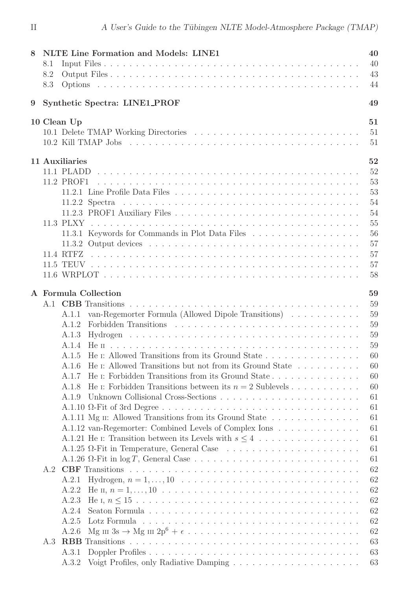| 8               | <b>NLTE Line Formation and Models: LINE1</b><br>40 |                                                                                                                                                                                                                                               |  |  |  |
|-----------------|----------------------------------------------------|-----------------------------------------------------------------------------------------------------------------------------------------------------------------------------------------------------------------------------------------------|--|--|--|
|                 | 8.1                                                | 40                                                                                                                                                                                                                                            |  |  |  |
|                 | 8.2                                                | 43                                                                                                                                                                                                                                            |  |  |  |
|                 | 8.3                                                | 44                                                                                                                                                                                                                                            |  |  |  |
| $9\phantom{.0}$ | Synthetic Spectra: LINE1_PROF                      |                                                                                                                                                                                                                                               |  |  |  |
|                 |                                                    |                                                                                                                                                                                                                                               |  |  |  |
|                 |                                                    | 10 Clean Up<br>51<br>51                                                                                                                                                                                                                       |  |  |  |
|                 |                                                    |                                                                                                                                                                                                                                               |  |  |  |
|                 |                                                    | 51                                                                                                                                                                                                                                            |  |  |  |
|                 |                                                    | 11 Auxiliaries<br>52                                                                                                                                                                                                                          |  |  |  |
|                 |                                                    | 52                                                                                                                                                                                                                                            |  |  |  |
|                 |                                                    | 53<br>11.2 PROF1                                                                                                                                                                                                                              |  |  |  |
|                 |                                                    | 53                                                                                                                                                                                                                                            |  |  |  |
|                 |                                                    | 54                                                                                                                                                                                                                                            |  |  |  |
|                 |                                                    | 54                                                                                                                                                                                                                                            |  |  |  |
|                 |                                                    | 55                                                                                                                                                                                                                                            |  |  |  |
|                 |                                                    | 11.3.1 Keywords for Commands in Plot Data Files<br>56                                                                                                                                                                                         |  |  |  |
|                 |                                                    | 57                                                                                                                                                                                                                                            |  |  |  |
|                 |                                                    | 57                                                                                                                                                                                                                                            |  |  |  |
|                 |                                                    | 57                                                                                                                                                                                                                                            |  |  |  |
|                 |                                                    | 58                                                                                                                                                                                                                                            |  |  |  |
|                 |                                                    |                                                                                                                                                                                                                                               |  |  |  |
|                 |                                                    | 59<br>A Formula Collection                                                                                                                                                                                                                    |  |  |  |
|                 |                                                    | 59                                                                                                                                                                                                                                            |  |  |  |
|                 |                                                    | 59<br>van-Regemorter Formula (Allowed Dipole Transitions)<br>A.1.1                                                                                                                                                                            |  |  |  |
|                 |                                                    | Forbidden Transitions (Fig. 2) and (Fig. 2) and (Fig. 2) and (Fig. 2) and (Fig. 2) and (Fig. 2) and (Fig. 2) and (Fig. 2) and (Fig. 2) and (Fig. 2) and (Fig. 2) and (Fig. 2) and (Fig. 2) and (Fig. 2) and (Fig. 2) and (Fig.<br>59<br>A.1.2 |  |  |  |
|                 |                                                    | 59<br>A.1.3                                                                                                                                                                                                                                   |  |  |  |
|                 |                                                    | 59<br>A.1.4                                                                                                                                                                                                                                   |  |  |  |
|                 |                                                    | A.1.5 He I: Allowed Transitions from its Ground State<br>60                                                                                                                                                                                   |  |  |  |
|                 |                                                    | He I: Allowed Transitions but not from its Ground State<br>60                                                                                                                                                                                 |  |  |  |
|                 |                                                    | He I: Forbidden Transitions from its Ground State<br>60<br>A.1.7                                                                                                                                                                              |  |  |  |
|                 |                                                    | 60<br>He $\mu$ : Forbidden Transitions between its $n = 2$ Sublevels<br>A.1.8                                                                                                                                                                 |  |  |  |
|                 |                                                    | 61<br>A.1.9                                                                                                                                                                                                                                   |  |  |  |
|                 |                                                    | 61                                                                                                                                                                                                                                            |  |  |  |
|                 |                                                    | A.1.11 Mg II: Allowed Transitions from its Ground State<br>61                                                                                                                                                                                 |  |  |  |
|                 |                                                    | 61<br>A.1.12 van-Regemorter: Combined Levels of Complex Ions                                                                                                                                                                                  |  |  |  |
|                 |                                                    | 61                                                                                                                                                                                                                                            |  |  |  |
|                 |                                                    | 61                                                                                                                                                                                                                                            |  |  |  |
|                 |                                                    | 61                                                                                                                                                                                                                                            |  |  |  |
|                 | A.2                                                | 62                                                                                                                                                                                                                                            |  |  |  |
|                 |                                                    | 62<br>A.2.1                                                                                                                                                                                                                                   |  |  |  |
|                 |                                                    | 62<br>A.2.2                                                                                                                                                                                                                                   |  |  |  |
|                 |                                                    | 62<br>A.2.3                                                                                                                                                                                                                                   |  |  |  |
|                 |                                                    | 62<br>A.2.4                                                                                                                                                                                                                                   |  |  |  |
|                 |                                                    | 62                                                                                                                                                                                                                                            |  |  |  |
|                 |                                                    | A.2.5                                                                                                                                                                                                                                         |  |  |  |
|                 |                                                    | 62<br>A.2.6                                                                                                                                                                                                                                   |  |  |  |
|                 | A.3                                                | 63                                                                                                                                                                                                                                            |  |  |  |
|                 |                                                    | 63<br>A.3.1                                                                                                                                                                                                                                   |  |  |  |
|                 |                                                    | 63<br>A.3.2                                                                                                                                                                                                                                   |  |  |  |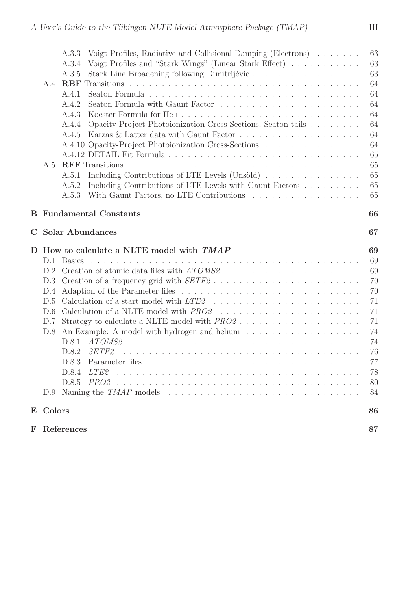|             |                                         | Voigt Profiles, Radiative and Collisional Damping (Electrons)<br>A.3.3                   | 63 |
|-------------|-----------------------------------------|------------------------------------------------------------------------------------------|----|
|             |                                         | Voigt Profiles and "Stark Wings" (Linear Stark Effect)<br>A.3.4                          | 63 |
|             |                                         | Stark Line Broadening following Dimitrijévic<br>A.3.5                                    | 63 |
|             | A.4                                     | RBF                                                                                      | 64 |
|             |                                         | A.4.1                                                                                    | 64 |
|             |                                         | Seaton Formula with Gaunt Factor<br>A.4.2                                                | 64 |
|             |                                         | A.4.3                                                                                    | 64 |
|             |                                         | Opacity-Project Photoionization Cross-Sections, Seaton tails<br>A.4.4                    | 64 |
|             |                                         | A.4.5                                                                                    | 64 |
|             |                                         | A.4.10 Opacity-Project Photoionization Cross-Sections                                    | 64 |
|             |                                         |                                                                                          | 65 |
|             | A.5                                     | <b>RFF</b> Transitions                                                                   | 65 |
|             |                                         | Including Contributions of LTE Levels (Unsöld)<br>A.5.1                                  | 65 |
|             |                                         | Including Contributions of LTE Levels with Gaunt Factors<br>A.5.2                        | 65 |
|             |                                         | A.5.3                                                                                    | 65 |
|             |                                         |                                                                                          |    |
| В           | <b>Fundamental Constants</b>            |                                                                                          |    |
| $\mathbf C$ | <b>Solar Abundances</b><br>67           |                                                                                          |    |
|             | How to calculate a NLTE model with TMAP |                                                                                          |    |
| D           |                                         |                                                                                          | 69 |
|             | D.1                                     | Basics                                                                                   | 69 |
|             | D.2                                     |                                                                                          | 69 |
|             | D.3                                     |                                                                                          | 70 |
|             | D.4                                     |                                                                                          | 70 |
|             | D.5                                     |                                                                                          | 71 |
|             | D.6                                     |                                                                                          | 71 |
|             | D.7                                     | Strategy to calculate a NLTE model with $PRO2 \dots \dots \dots \dots \dots \dots \dots$ | 71 |
|             | D.8                                     |                                                                                          | 74 |
|             |                                         | D.8.1                                                                                    | 74 |
|             |                                         | D.8.2                                                                                    | 76 |
|             |                                         | D.8.3                                                                                    | 77 |
|             |                                         | LTE2<br>D.8.4                                                                            | 78 |
|             |                                         | D.8.5                                                                                    | 80 |
|             |                                         |                                                                                          | 84 |
|             | E Colors                                |                                                                                          | 86 |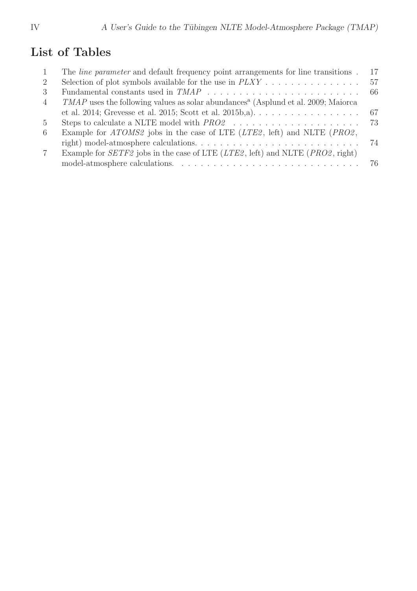# List of Tables

|                | The <i>line parameter</i> and default frequency point arrangements for line transitions.                    | 17 |
|----------------|-------------------------------------------------------------------------------------------------------------|----|
| 2              |                                                                                                             | 57 |
| 3              |                                                                                                             |    |
| $\overline{4}$ | <i>TMAP</i> uses the following values as solar abundances <sup><i>a</i></sup> (Asplund et al. 2009; Maiorca |    |
|                | et al. 2014; Grevesse et al. 2015; Scott et al. 2015b, a). $\dots \dots \dots \dots \dots \dots$ 67         |    |
| $5^{\circ}$    |                                                                                                             |    |
| -6             | Example for <i>ATOMS2</i> jobs in the case of LTE ( <i>LTE2</i> , left) and NLTE ( <i>PRO2</i> ,            |    |
|                |                                                                                                             |    |
| 7              | Example for $SETF2$ jobs in the case of LTE ( $LTE2$ , left) and NLTE ( $PRO2$ , right)                     |    |
|                |                                                                                                             |    |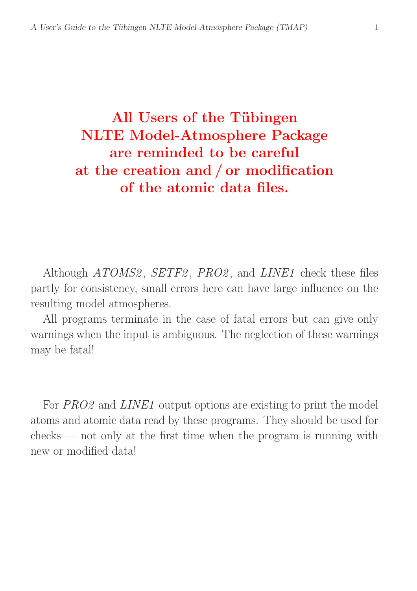# All Users of the Tübingen NLTE Model-Atmosphere Package are reminded to be careful at the creation and / or modification of the atomic data files.

Although *ATOMS2*, *SETF2*, *PRO2*, and *LINE1* check these files partly for consistency, small errors here can have large influence on the resulting model atmospheres.

All programs terminate in the case of fatal errors but can give only warnings when the input is ambiguous. The neglection of these warnings may be fatal!

For PRO2 and LINE1 output options are existing to print the model atoms and atomic data read by these programs. They should be used for  $\chi$  checks — not only at the first time when the program is running with new or modified data!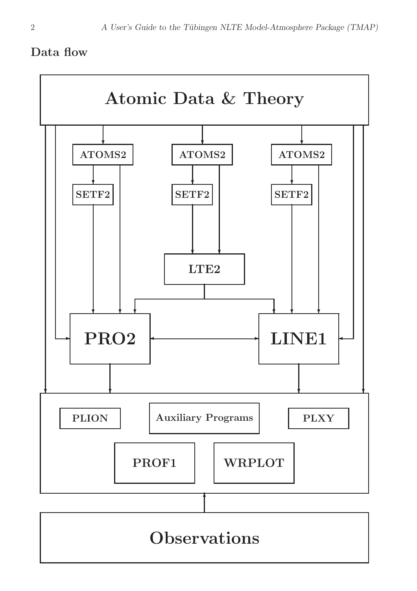# Data flow

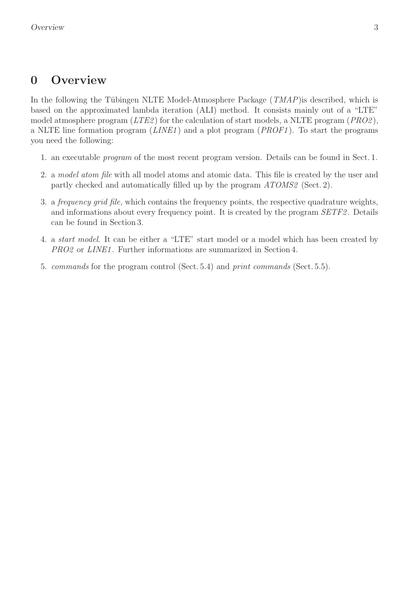# 0 Overview

In the following the Tübingen NLTE Model-Atmosphere Package  $(TMAP)$  is described, which is based on the approximated lambda iteration (ALI) method. It consists mainly out of a "LTE" model atmosphere program  $(LTE2)$  for the calculation of start models, a NLTE program  $(PRO2)$ , a NLTE line formation program  $(LINE1)$  and a plot program  $(PROF1)$ . To start the programs you need the following:

- 1. an executable program of the most recent program version. Details can be found in Sect. 1.
- 2. a model atom file with all model atoms and atomic data. This file is created by the user and partly checked and automatically filled up by the program ATOMS2 (Sect. 2).
- 3. a frequency grid file, which contains the frequency points, the respective quadrature weights, and informations about every frequency point. It is created by the program SETF2. Details can be found in Section 3.
- 4. a start model. It can be either a "LTE" start model or a model which has been created by PRO2 or LINE1. Further informations are summarized in Section 4.
- 5. commands for the program control (Sect. 5.4) and print commands (Sect. 5.5).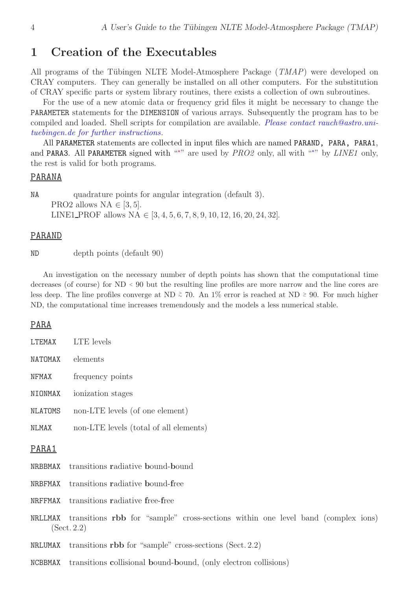# 1 Creation of the Executables

All programs of the Tübingen NLTE Model-Atmosphere Package  $(TMAP)$  were developed on CRAY computers. They can generally be installed on all other computers. For the substitution of CRAY specific parts or system library routines, there exists a collection of own subroutines.

For the use of a new atomic data or frequency grid files it might be necessary to change the PARAMETER statements for the DIMENSION of various arrays. Subsequently the program has to be compiled and loaded. Shell scripts for compilation are available. Please contact rauch@astro.unituebingen.de for further instructions.

All PARAMETER statements are collected in input files which are named PARAND, PARA, PARA1, and PARA3. All PARAMETER signed with "<sup>\*\*</sup>" are used by  $PRO2$  only, all with "\*" by *LINE1* only, the rest is valid for both programs.

#### PARANA

NA quadrature points for angular integration (default 3). PRO2 allows NA  $\in$  [3, 5]. LINE1\_PROF allows NA  $\in$  [3, 4, 5, 6, 7, 8, 9, 10, 12, 16, 20, 24, 32].

#### PARAND

ND depth points (default 90)

An investigation on the necessary number of depth points has shown that the computational time decreases (of course) for ND <sup>&</sup>lt; 90 but the resulting line profiles are more narrow and the line cores are less deep. The line profiles converge at ND  $\geq 70$ . An 1% error is reached at ND ≥ 90. For much higher ND, the computational time increases tremendously and the models a less numerical stable.

#### PARA

| LTEMAX  | LTE levels                                |  |  |
|---------|-------------------------------------------|--|--|
|         | NATOMAX elements                          |  |  |
| NFMAX   | frequency points                          |  |  |
| NIONMAX | ionization stages                         |  |  |
| NLATOMS | non-LTE levels (of one element)           |  |  |
| NLMAX   | non-LTE levels (total of all elements)    |  |  |
| PARA1   |                                           |  |  |
|         | NRBBMAX transitions radiative bound-bound |  |  |
|         | NRBFMAX transitions radiative bound-free  |  |  |
|         |                                           |  |  |

NRFFMAX transitions radiative free-free

- NRLLMAX transitions rbb for "sample" cross-sections within one level band (complex ions) (Sect. 2.2)
- NRLUMAX transitions rbb for "sample" cross-sections (Sect.  $2.2$ )
- NCBBMAX transitions collisional bound-bound, (only electron collisions)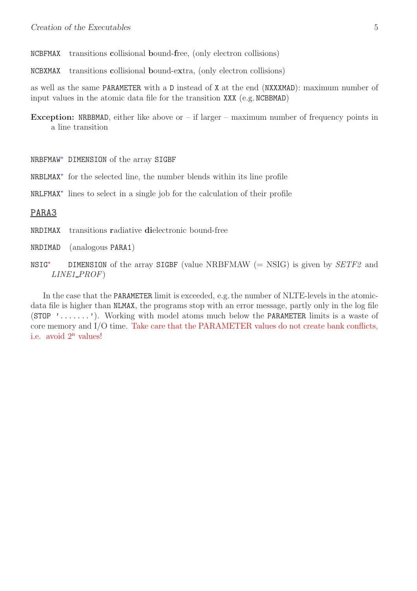- NCBFMAX transitions collisional bound-free, (only electron collisions)
- NCBXMAX transitions collisional bound-extra, (only electron collisions)

as well as the same PARAMETER with a D instead of X at the end (NXXXMAD): maximum number of input values in the atomic data file for the transition XXX (e.g. NCBBMAD)

- **Exception:** NRBBMAD, either like above or  $-$  if larger  $-$  maximum number of frequency points in a line transition
- NRBFMAW<sup>∗</sup> DIMENSION of the array SIGBF
- NRBLMAX<sup>∗</sup> for the selected line, the number blends within its line profile
- NRLFMAX<sup>∗</sup> lines to select in a single job for the calculation of their profile

#### PARA3

- NRDIMAX transitions radiative dielectronic bound-free
- NRDIMAD (analogous PARA1)
- $NSIG^{\star}$  DIMENSION of the array SIGBF (value NRBFMAW (= NSIG) is given by SETF2 and LINE1 PROF)

In the case that the PARAMETER limit is exceeded, e.g. the number of NLTE-levels in the atomicdata file is higher than NLMAX, the programs stop with an error message, partly only in the log file  $(STOP$ , .......). Working with model atoms much below the **PARAMETER** limits is a waste of core memory and I/O time. Take care that the PARAMETER values do not create bank conflicts, i.e. avoid  $2<sup>n</sup>$  values!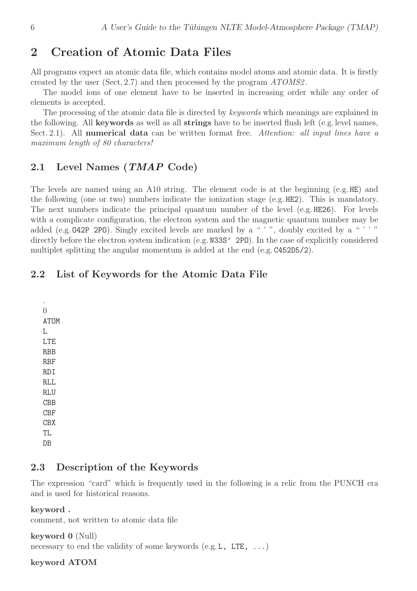# 2 Creation of Atomic Data Files

All programs expect an atomic data file, which contains model atoms and atomic data. It is firstly created by the user (Sect. 2.7) and then processed by the program ATOMS2 .

The model ions of one element have to be inserted in increasing order while any order of elements is accepted.

The processing of the atomic data file is directed by *keywords* which meanings are explained in the following. All keywords as well as all strings have to be inserted flush left (e.g. level names, Sect. 2.1). All numerical data can be written format free. Attention: all input lines have a maximum length of 80 characters!

## 2.1 Level Names (*TMAP* Code)

The levels are named using an A10 string. The element code is at the beginning (e.g. HE) and the following (one or two) numbers indicate the ionization stage (e.g. HE2). This is mandatory. The next numbers indicate the principal quantum number of the level (e.g. HE26). For levels with a complicate configuration, the electron system and the magnetic quantum number may be added (e.g. 042P 2PO). Singly excited levels are marked by a "'", doubly excited by a "'" directly before the electron system indication (e.g. N33S' 2PO). In the case of explicitly considered multiplet splitting the angular momentum is added at the end (e.g. C452D5/2).

# 2.2 List of Keywords for the Atomic Data File

. 0 ATOM L LTE **RBB** RBF RDI RLL R.I.U CBB CBF CBX TL DB

#### 2.3 Description of the Keywords

The expression "card" which is frequently used in the following is a relic from the PUNCH era and is used for historical reasons.

#### keyword .

comment, not written to atomic data file

#### keyword 0 (Null)

necessary to end the validity of some keywords  $(e.g. L, LTE, \ldots)$ 

#### keyword ATOM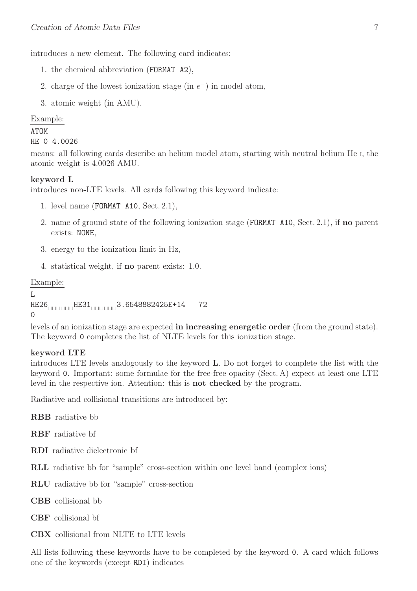introduces a new element. The following card indicates:

- 1. the chemical abbreviation (FORMAT A2),
- 2. charge of the lowest ionization stage (in  $e^-$ ) in model atom,
- 3. atomic weight (in AMU).

#### Example:

#### ATOM

```
HE 0 4.0026
```
means: all following cards describe an helium model atom, starting with neutral helium He <sup>I</sup>, the atomic weight is 4.0026 AMU.

#### keyword L

introduces non-LTE levels. All cards following this keyword indicate:

- 1. level name (FORMAT A10, Sect. 2.1),
- 2. name of ground state of the following ionization stage (FORMAT A10, Sect. 2.1), if no parent exists: NONE,
- 3. energy to the ionization limit in Hz,
- 4. statistical weight, if no parent exists: 1.0.

#### Example:

```
L
```

```
HE26⊔⊔⊔⊔⊔⊔HE31⊔⊔⊔⊔⊔⊔3.6548882425E+14 72
0
```
levels of an ionization stage are expected in increasing energetic order (from the ground state). The keyword 0 completes the list of NLTE levels for this ionization stage.

#### keyword LTE

introduces LTE levels analogously to the keyword L. Do not forget to complete the list with the keyword 0. Important: some formulae for the free-free opacity (Sect. A) expect at least one LTE level in the respective ion. Attention: this is not checked by the program.

Radiative and collisional transitions are introduced by:

RBB radiative bb

RBF radiative bf

- RDI radiative dielectronic bf
- RLL radiative bb for "sample" cross-section within one level band (complex ions)
- RLU radiative bb for "sample" cross-section
- CBB collisional bb
- CBF collisional bf
- CBX collisional from NLTE to LTE levels

All lists following these keywords have to be completed by the keyword 0. A card which follows one of the keywords (except RDI) indicates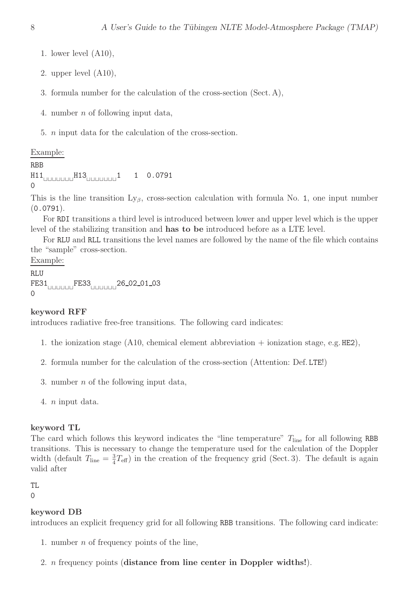- 1. lower level (A10),
- 2. upper level (A10),
- 3. formula number for the calculation of the cross-section (Sect. A),
- 4. number n of following input data,
- 5. n input data for the calculation of the cross-section.

#### Example:

```
RBB
H11⊔⊔⊔⊔⊔⊔⊔H13⊔⊔⊔⊔⊔⊔⊔1 1 0.0791
0
```
This is the line transition  $Ly_{\beta}$ , cross-section calculation with formula No. 1, one input number (0.0791).

For RDI transitions a third level is introduced between lower and upper level which is the upper level of the stabilizing transition and has to be introduced before as a LTE level.

For RLU and RLL transitions the level names are followed by the name of the file which contains the "sample" cross-section.

#### Example:

```
RLU
FE31⊔⊔⊔⊔⊔⊔FE33⊔⊔⊔⊔⊔⊔26 02 01 03
\Omega
```
#### keyword RFF

introduces radiative free-free transitions. The following card indicates:

- 1. the ionization stage  $(A10,$  chemical element abbreviation + ionization stage, e.g. HE2),
- 2. formula number for the calculation of the cross-section (Attention: Def. LTE!)
- 3. number n of the following input data,
- 4. n input data.

#### keyword TL

The card which follows this keyword indicates the "line temperature"  $T_{\text{line}}$  for all following RBB transitions. This is necessary to change the temperature used for the calculation of the Doppler width (default  $T_{\text{line}} = \frac{3}{4}$  $\frac{3}{4}T_{\text{eff}}$ ) in the creation of the frequency grid (Sect. 3). The default is again valid after

#### TL

0

#### keyword DB

introduces an explicit frequency grid for all following RBB transitions. The following card indicate:

- 1. number n of frequency points of the line,
- 2. n frequency points (distance from line center in Doppler widths!).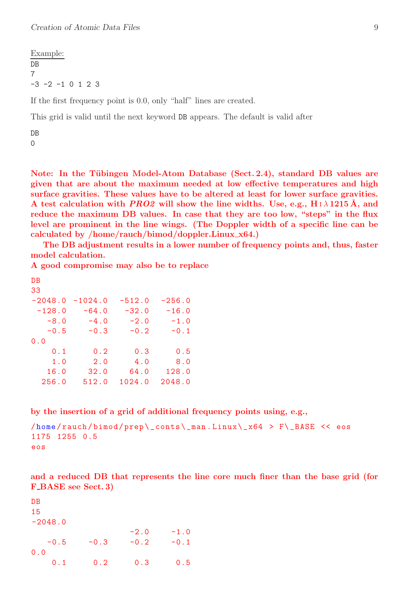Example: DB 7  $-3$   $-2$   $-1$  0 1 2 3

If the first frequency point is 0.0, only "half" lines are created.

This grid is valid until the next keyword DB appears. The default is valid after

DB  $\Omega$ 

Note: In the Tübingen Model-Atom Database (Sect. 2.4), standard DB values are given that are about the maximum needed at low effective temperatures and high surface gravities. These values have to be altered at least for lower surface gravities. A test calculation with *PRO2* will show the line widths. Use, e.g.,  $H \iota \lambda$  1215 Å, and reduce the maximum DB values. In case that they are too low, "steps" in the flux level are prominent in the line wings. (The Doppler width of a specific line can be calculated by /home/rauch/bimod/doppler.Linux x64.)

The DB adjustment results in a lower number of frequency points and, thus, faster model calculation.

A good compromise may also be to replace

| $-256.0$ |
|----------|
|          |
|          |
| $-16.0$  |
| $-1.0$   |
| $-0.1$   |
|          |
| 0.5      |
| 8.0      |
| 128.0    |
| 2048.0   |
|          |

by the insertion of a grid of additional frequency points using, e.g.,

```
/home /rauch /bimod /prep \ _ conts \ _man . Linux \ _ x64 > F \ _BASE << eos
1175 1255 0.5
eos
```
and a reduced DB that represents the line core much finer than the base grid (for F\_BASE see Sect. 3)

DB 15  $-2048.0$  $-2.0 -1.0$  $-0.5$   $-0.3$   $-0.2$   $-0.1$ 0.0 0.1 0.2 0.3 0.5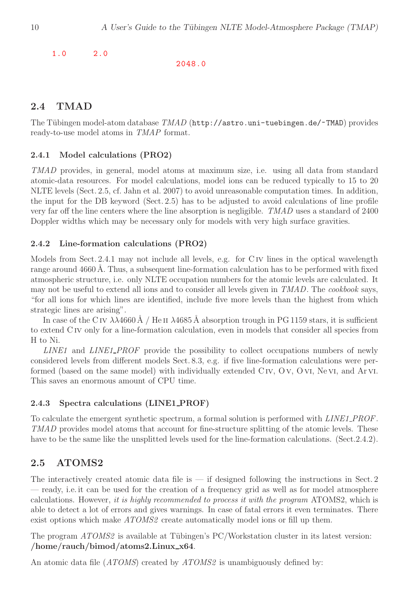1.0 2.0

2048.0

# 2.4 TMAD

The Tübingen model-atom database  $T MAD$  (http://astro.uni-tuebingen.de/~TMAD) provides ready-to-use model atoms in TMAP format.

#### 2.4.1 Model calculations (PRO2)

TMAD provides, in general, model atoms at maximum size, i.e. using all data from standard atomic-data resources. For model calculations, model ions can be reduced typically to 15 to 20 NLTE levels (Sect. 2.5, cf. Jahn et al. 2007) to avoid unreasonable computation times. In addition, the input for the DB keyword (Sect. 2.5) has to be adjusted to avoid calculations of line profile very far off the line centers where the line absorption is negligible. TMAD uses a standard of 2400 Doppler widths which may be necessary only for models with very high surface gravities.

#### 2.4.2 Line-formation calculations (PRO2)

Models from Sect. 2.4.1 may not include all levels, e.g. for C<sub>IV</sub> lines in the optical wavelength range around 4660 Å. Thus, a subsequent line-formation calculation has to be performed with fixed atmospheric structure, i.e. only NLTE occupation numbers for the atomic levels are calculated. It may not be useful to extend all ions and to consider all levels given in TMAD. The cookbook says, "for all ions for which lines are identified, include five more levels than the highest from which strategic lines are arising".

In case of the C<sub>IV</sub>  $\lambda\lambda$ 4660 Å / He<sub>II</sub>  $\lambda$ 4685 Å absorption trough in PG 1159 stars, it is sufficient to extend C iv only for a line-formation calculation, even in models that consider all species from H to Ni.

LINE1 and LINE1\_PROF provide the possibility to collect occupations numbers of newly considered levels from different models Sect. 8.3, e.g. if five line-formation calculations were performed (based on the same model) with individually extended C iv, O v, O vi, Ne vi, and Ar vi. This saves an enormous amount of CPU time.

## 2.4.3 Spectra calculations (LINE1 PROF)

To calculate the emergent synthetic spectrum, a formal solution is performed with *LINE1\_PROF*. TMAD provides model atoms that account for fine-structure splitting of the atomic levels. These have to be the same like the unsplitted levels used for the line-formation calculations. (Sect.2.4.2).

# 2.5 ATOMS2

The interactively created atomic data file is  $-$  if designed following the instructions in Sect. 2 — ready, i.e. it can be used for the creation of a frequency grid as well as for model atmosphere calculations. However, it is highly recommended to process it with the program ATOMS2, which is able to detect a lot of errors and gives warnings. In case of fatal errors it even terminates. There exist options which make ATOMS2 create automatically model ions or fill up them.

The program  $ATOMS2$  is available at Tübingen's PC/Workstation cluster in its latest version: /home/rauch/bimod/atoms2.Linux x64.

An atomic data file (*ATOMS*) created by *ATOMS*2 is unambiguously defined by: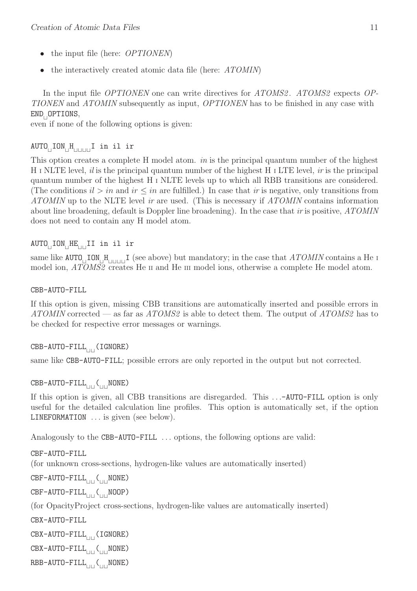- the input file (here: *OPTIONEN*)
- the interactively created atomic data file (here: ATOMIN)

In the input file *OPTIONEN* one can write directives for *ATOMS2*. *ATOMS2* expects *OP*-TIONEN and ATOMIN subsequently as input, OPTIONEN has to be finished in any case with END<sup>⊔</sup> OPTIONS,

even if none of the following options is given:

#### AUTO<sup>⊔</sup> ION<sup>⊔</sup> H ⊔⊔⊔⊔I in il ir

This option creates a complete H model atom. in is the principal quantum number of the highest H I NLTE level, it is the principal quantum number of the highest H I LTE level, ir is the principal quantum number of the highest H <sup>I</sup> NLTE levels up to which all RBB transitions are considered. (The conditions  $il > in$  and  $ir \leq in$  are fulfilled.) In case that ir is negative, only transitions from ATOMIN up to the NLTE level ir are used. (This is necessary if ATOMIN contains information about line broadening, default is Doppler line broadening). In the case that ir is positive, ATOMIN does not need to contain any H model atom.

## AUTO<sub>⊔</sub>ION<sub>⊔</sub>HE<sub>⊔⊔</sub>II in il ir

same like  $\texttt{AUTO}_{\Box} \texttt{ION}_{\Box} \texttt{H}_{\Box \texttt{HIII}}$  (see above) but mandatory; in the case that  $\texttt{ATOMIN}$  contains a He is model ion, ATOMS2 creates He II and He III model ions, otherwise a complete He model atom.

CBB-AUTO-FILL

If this option is given, missing CBB transitions are automatically inserted and possible errors in ATOMIN corrected — as far as ATOMS2 is able to detect them. The output of ATOMS2 has to be checked for respective error messages or warnings.

#### CBB-AUTO-FILL⊔⊔(IGNORE)

same like CBB-AUTO-FILL; possible errors are only reported in the output but not corrected.

# CBB-AUTO-FILL<sub>UU</sub>(<sub>UU</sub>NONE)

If this option is given, all CBB transitions are disregarded. This ...-AUTO-FILL option is only useful for the detailed calculation line profiles. This option is automatically set, if the option LINEFORMATION . . . is given (see below).

Analogously to the CBB-AUTO-FILL ... options, the following options are valid:

CBF-AUTO-FILL

(for unknown cross-sections, hydrogen-like values are automatically inserted)

CBF-AUTO-FILL<sub>ULL</sub>(<sub>UL</sub>NONE)

CBF-AUTO-FILL<sub>LIL</sub>(<sub>ULI</sub>NOOP)

(for OpacityProject cross-sections, hydrogen-like values are automatically inserted)

CBX-AUTO-FILL

CBX-AUTO-FILL⊔⊔(IGNORE)

CBX-AUTO-FILL<sub>UIL</sub>(<sub>ULI</sub>NONE)

RBB-AUTO-FILL<sub>LILL</sub>(<sub>ULL</sub>NONE)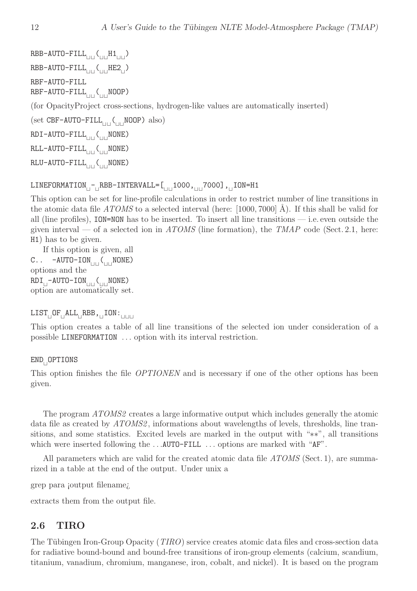$RBB-AUTO-FILL_{\Box\Box}(\Box\Box_{\Box\Box})$ RBB-AUTO-FILL<sub>⊔⊔</sub>(<sub>⊔⊔</sub>HE2<sub>⊔</sub>) RBF-AUTO-FILL RBF-AUTO-FILL<sub>⊔⊔</sub>(<sub>⊔⊔</sub>NOOP) (for OpacityProject cross-sections, hydrogen-like values are automatically inserted) (set CBF-AUTO-FILL<sub>⊔⊔</sub>(<sub>⊔⊔</sub>NOOP) also) RDI-AUTO-FILL<sub>|III</sub>(<sub>III</sub>NONE) RLL-AUTO-FILL<sub>⊔⊔</sub>(<sub>⊔⊔</sub>NONE)

RLU-AUTO-FILL<sub>⊔⊔</sub>(<sub>⊔⊔</sub>NONE)

```
LINEFORMATION<sub>⊔</sub>-<sub>⊔</sub>RBB-INTERVALL=[<sub>UU</sub>1000,<sub>UU</sub>7000],<sub>U</sub>ION=H1
```
This option can be set for line-profile calculations in order to restrict number of line transitions in the atomic data file  $ATOMS$  to a selected interval (here: [1000, 7000] Å). If this shall be valid for all (line profiles), ION=NON has to be inserted. To insert all line transitions — i.e. even outside the given interval — of a selected ion in ATOMS (line formation), the TMAP code (Sect. 2.1, here: H1) has to be given.

If this option is given, all C.. -AUTO-ION<sub>UU</sub>(<sub>U⊔</sub>NONE) options and the RDI<sub>∣I</sub>-AUTO-ION<sub>UII</sub>(<sub>UU</sub>NONE) option are automatically set.

## $\texttt{LIST}_{\sqcup} \texttt{OF}_{\sqcup} \texttt{ALL}_{\sqcup} \texttt{RBB}$  ,  $\lrcorner \texttt{ION}:$   $\lrcorner$

This option creates a table of all line transitions of the selected ion under consideration of a possible LINEFORMATION . . . option with its interval restriction.

# END<sup>⊔</sup> OPTIONS

This option finishes the file *OPTIONEN* and is necessary if one of the other options has been given.

The program  $ATOMS2$  creates a large informative output which includes generally the atomic data file as created by  $ATOMS2$ , informations about wavelengths of levels, thresholds, line transitions, and some statistics. Excited levels are marked in the output with "∗∗", all transitions which were inserted following the ...AUTO-FILL ... options are marked with "AF".

All parameters which are valid for the created atomic data file *ATOMS* (Sect. 1), are summarized in a table at the end of the output. Under unix a

grep para ¡output filename¿

extracts them from the output file.

# 2.6 TIRO

The Tübingen Iron-Group Opacity (*TIRO*) service creates atomic data files and cross-section data for radiative bound-bound and bound-free transitions of iron-group elements (calcium, scandium, titanium, vanadium, chromium, manganese, iron, cobalt, and nickel). It is based on the program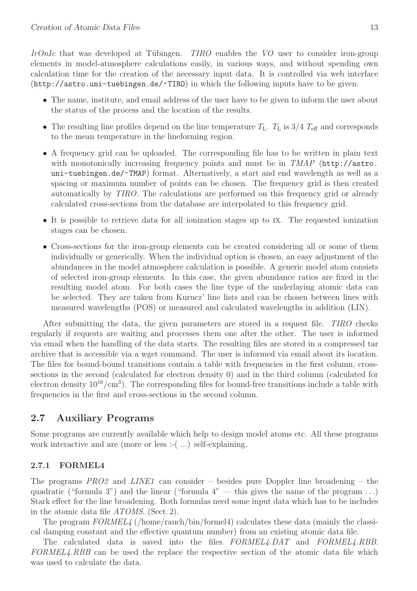IrOnIc that was developed at Tübingen.  $TIRO$  enables the VO user to consider iron-group elements in model-atmosphere calculations easily, in various ways, and without spending own calculation time for the creation of the necessary input data. It is controlled via web interface (http://astro.uni-tuebingen.de/~TIRO) in which the following inputs have to be given.

- The name, institute, and email address of the user have to be given to inform the user about the status of the process and the location of the results.
- The resulting line profiles depend on the line temperature  $T_{\rm L}$ .  $T_{\rm L}$  is  $3/4$   $T_{\rm eff}$  and corresponds to the mean temperature in the lineforming region.
- A frequency grid can be uploaded. The corresponding file has to be written in plain text with monotonically increasing frequency points and must be in  $TMAP$  (http://astro. uni-tuebingen.de/~TMAP) format. Alternatively, a start and end wavelength as well as a spacing or maximum number of points can be chosen. The frequency grid is then created automatically by TIRO. The calculations are performed on this frequency grid or already calculated cross-sections from the database are interpolated to this frequency grid.
- It is possible to retrieve data for all ionization stages up to ix. The requested ionization stages can be chosen.
- Cross-sections for the iron-group elements can be created considering all or some of them individually or generically. When the individual option is chosen, an easy adjustment of the abundances in the model atmosphere calculation is possible. A generic model atom consists of selected iron-group elements. In this case, the given abundance ratios are fixed in the resulting model atom. For both cases the line type of the underlaying atomic data can be selected. They are taken from Kurucz' line lists and can be chosen between lines with measured wavelengths (POS) or measured and calculated wavelengths in addition (LIN).

After submitting the data, the given parameters are stored in a request file. *TIRO* checks regularly if requests are waiting and processes them one after the other. The user is informed via email when the handling of the data starts. The resulting files are stored in a compressed tar archive that is accessible via a wget command. The user is informed via email about its location. The files for bound-bound transitions contain a table with frequencies in the first column, crosssections in the second (calculated for electron density 0) and in the third column (calculated for electron density  $10^{16}/\text{cm}^3$ ). The corresponding files for bound-free transitions include a table with frequencies in the first and cross-sections in the second column.

#### 2.7 Auxiliary Programs

Some programs are currently available which help to design model atoms etc. All these programs work interactive and are (more or less :-(...) self-explaining.

#### 2.7.1 FORMEL4

The programs PRO2 and LINE1 can consider – besides pure Doppler line broadening – the quadratic ("formula 3") and the linear ("formula  $4"$  — this gives the name of the program ...) Stark effect for the line broadening. Both formulas need some input data which has to be includes in the atomic data file ATOMS. (Sect. 2).

The program FORMEL4 (/home/rauch/bin/formel4) calculates these data (mainly the classical damping constant and the effective quantum number) from an existing atomic data file.

The calculated data is saved into the files  $FORMEL4.DAT$  and  $FORMEL4.RBB$ . FORMEL4.RBB can be used the replace the respective section of the atomic data file which was used to calculate the data.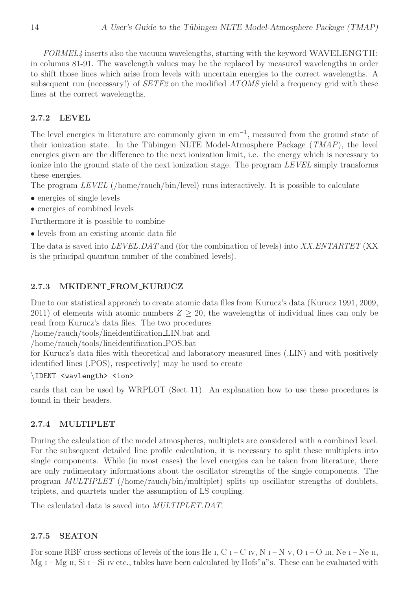FORMEL4 inserts also the vacuum wavelengths, starting with the keyword WAVELENGTH: in columns 81-91. The wavelength values may be the replaced by measured wavelengths in order to shift those lines which arise from levels with uncertain energies to the correct wavelengths. A subsequent run (necessary!) of SETF2 on the modified ATOMS yield a frequency grid with these lines at the correct wavelengths.

#### 2.7.2 LEVEL

The level energies in literature are commonly given in  $cm^{-1}$ , measured from the ground state of their ionization state. In the Tübingen NLTE Model-Atmosphere Package  $(TMAP)$ , the level energies given are the difference to the next ionization limit, i.e. the energy which is necessary to ionize into the ground state of the next ionization stage. The program LEVEL simply transforms these energies.

The program LEVEL (/home/rauch/bin/level) runs interactively. It is possible to calculate

- energies of single levels
- energies of combined levels

Furthermore it is possible to combine

• levels from an existing atomic data file

The data is saved into LEVEL. DAT and (for the combination of levels) into XX. ENTARTET (XX) is the principal quantum number of the combined levels).

#### 2.7.3 MKIDENT FROM KURUCZ

Due to our statistical approach to create atomic data files from Kurucz's data (Kurucz 1991, 2009, 2011) of elements with atomic numbers  $Z \geq 20$ , the wavelengths of individual lines can only be read from Kurucz's data files. The two procedures

/home/rauch/tools/lineidentification LIN.bat and

/home/rauch/tools/lineidentification POS.bat

for Kurucz's data files with theoretical and laboratory measured lines (.LIN) and with positively identified lines (.POS), respectively) may be used to create

#### \IDENT <wavlength> <ion>

cards that can be used by WRPLOT (Sect. 11). An explanation how to use these procedures is found in their headers.

#### 2.7.4 MULTIPLET

During the calculation of the model atmospheres, multiplets are considered with a combined level. For the subsequent detailed line profile calculation, it is necessary to split these multiplets into single components. While (in most cases) the level energies can be taken from literature, there are only rudimentary informations about the oscillator strengths of the single components. The program MULTIPLET (/home/rauch/bin/multiplet) splits up oscillator strengths of doublets, triplets, and quartets under the assumption of LS coupling.

The calculated data is saved into MULTIPLET.DAT.

#### 2.7.5 SEATON

For some RBF cross-sections of levels of the ions He I, C I – C IV, N I – N v, O I – O III, Ne I – Ne II, Mg  $I-Mg$  II, Si  $I-Si$  IV etc., tables have been calculated by Hofs" a"s. These can be evaluated with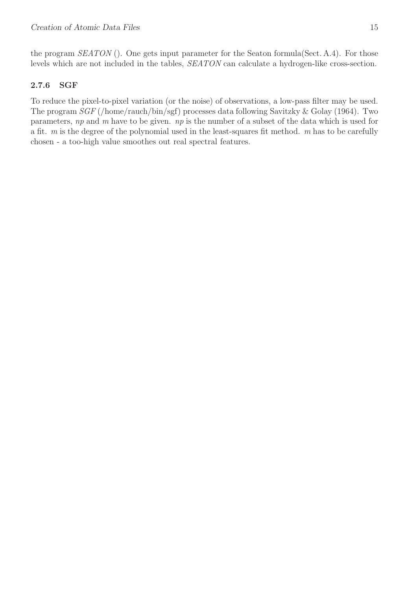the program *SEATON* (). One gets input parameter for the Seaton formula (Sect. A.4). For those levels which are not included in the tables, SEATON can calculate a hydrogen-like cross-section.

# 2.7.6 SGF

To reduce the pixel-to-pixel variation (or the noise) of observations, a low-pass filter may be used. The program SGF (/home/rauch/bin/sgf) processes data following Savitzky & Golay (1964). Two parameters,  $np$  and  $m$  have to be given.  $np$  is the number of a subset of the data which is used for a fit.  $m$  is the degree of the polynomial used in the least-squares fit method.  $m$  has to be carefully chosen - a too-high value smoothes out real spectral features.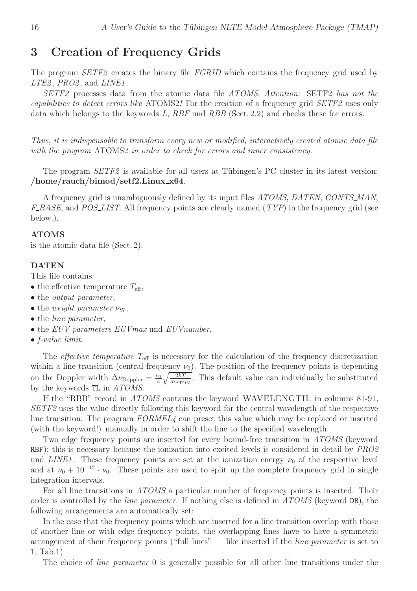# 3 Creation of Frequency Grids

The program *SETF2* creates the binary file *FGRID* which contains the frequency grid used by  $LTE2$ ,  $PRO2$ , and  $LINE1$ .

SETF2 processes data from the atomic data file ATOMS. Attention: SETF2 has not the capabilities to detect errors like ATOMS2! For the creation of a frequency grid SETF2 uses only data which belongs to the keywords L,  $RBF$  und  $RBB$  (Sect. 2.2) and checks these for errors.

Thus, it is indispensable to transform every new or modified, interactively created atomic data file with the program ATOMS2 in order to check for errors and inner consistency.

The program  $SETF2$  is available for all users at Tübingen's PC cluster in its latest version:  $/$ home/rauch/bimod/setf2.Linux\_x64.

A frequency grid is unambiguously defined by its input files ATOMS, DATEN, CONTS\_MAN,  $F\_BASE$ , and  $POS\_LIST$ . All frequency points are clearly named  $(TYP)$  in the frequency grid (see below.).

#### ATOMS

is the atomic data file (Sect. 2).

#### DATEN

This file contains:

- the effective temperature  $T_{\text{eff}}$ ,
- the *output* parameter,
- the weight parameter  $\nu_{\rm W}$ ,
- the *line* parameter,
- the EUV parameters EUV max und EUV number,
- $\bullet$  f-value limit.

The *effective temperature*  $T_{\text{eff}}$  is necessary for the calculation of the frequency discretization within a line transition (central frequency  $\nu_0$ ). The position of the frequency points is depending on the Doppler width  $\Delta \nu_{\text{Doppler}} = \frac{\nu_0}{c}$  $\frac{\sqrt{c}}{c} \sqrt{\frac{2kT}{m_{\text{ATOM}}}}$ . This default value can individually be substituted by the keywords TL in ATOMS.

If the "RBB" record in ATOMS contains the keyword WAVELENGTH: in columns 81-91, SETF2 uses the value directly following this keyword for the central wavelength of the respective line transition. The program  $FORMEL\ell$  can preset this value which may be replaced or inserted (with the keyword!) manually in order to shift the line to the specified wavelength.

Two edge frequency points are inserted for every bound-free transition in ATOMS (keyword RBF): this is necessary because the ionization into excited levels is considered in detail by  $PRO2$ und LINE1. These frequency points are set at the ionization energy  $\nu_0$  of the respective level and at  $\nu_0 + 10^{-12} \cdot \nu_0$ . These points are used to split up the complete frequency grid in single integration intervals.

For all line transitions in ATOMS a particular number of frequency points is inserted. Their order is controlled by the *line parameter*. If nothing else is defined in  $ATOMS$  (keyword DB), the following arrangements are automatically set:

In the case that the frequency points which are inserted for a line transition overlap with those of another line or with edge frequency points, the overlapping lines have to have a symmetric arrangement of their frequency points ("full lines" — like inserted if the *line parameter* is set to 1, Tab.1)

The choice of *line parameter* 0 is generally possible for all other line transitions under the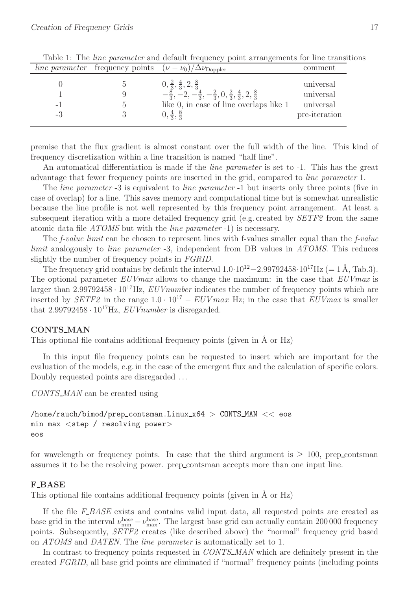|                      | <i>line parameter</i> frequency points $(\nu - \nu_0)/\Delta \nu_{\text{Doppler}}$                                                                                                                                       | comment                                              |
|----------------------|--------------------------------------------------------------------------------------------------------------------------------------------------------------------------------------------------------------------------|------------------------------------------------------|
| $\overline{a}$<br>-3 | $0, \frac{2}{3}, \frac{4}{3}, 2, \frac{8}{3}$<br>$-\frac{8}{3}, -2, -\frac{4}{3}, -\frac{2}{3}, 0, \frac{2}{3}, \frac{4}{3}, 2, \frac{8}{3}$<br>like 0, in case of line overlaps like 1<br>$0, \frac{4}{3}, \frac{8}{3}$ | universal<br>universal<br>universal<br>pre-iteration |

Table 1: The *line parameter* and default frequency point arrangements for line transitions

premise that the flux gradient is almost constant over the full width of the line. This kind of frequency discretization within a line transition is named "half line".

An automatical differentiation is made if the *line parameter* is set to -1. This has the great advantage that fewer frequency points are inserted in the grid, compared to line parameter 1.

The *line parameter* -3 is equivalent to *line parameter* -1 but inserts only three points (five in case of overlap) for a line. This saves memory and computational time but is somewhat unrealistic because the line profile is not well represented by this frequency point arrangement. At least a subsequent iteration with a more detailed frequency grid (e.g. created by  $SETF2$  from the same atomic data file ATOMS but with the line parameter -1) is necessary.

The *f-value limit* can be chosen to represent lines with f-values smaller equal than the *f-value* limit analogously to line parameter -3, independent from DB values in ATOMS. This reduces slightly the number of frequency points in FGRID.

The frequency grid contains by default the interval  $1.0·10^{12} - 2.99792458 \cdot 10^{17}$ Hz (= 1 Å, Tab.3). The optional parameter EUVmax allows to change the maximum: in the case that EUVmax is larger than  $2.99792458 \cdot 10^{17}$  Hz, *EUV number* indicates the number of frequency points which are inserted by SETF2 in the range  $1.0 \cdot 10^{17} - EUV$  max Hz; in the case that  $EUV$  is smaller that  $2.99792458 \cdot 10^{17}$  Hz,  $EUV number$  is disregarded.

#### CONTS\_MAN

This optional file contains additional frequency points (given in  $\ddot{A}$  or  $\rm Hz$ )

In this input file frequency points can be requested to insert which are important for the evaluation of the models, e.g. in the case of the emergent flux and the calculation of specific colors. Doubly requested points are disregarded . . .

CONTS\_MAN can be created using

```
/home/rauch/bimod/prep contsman.Linux x64 > CONTS MAN << eos
min max <step / resolving power>
eos
```
for wavelength or frequency points. In case that the third argument is  $\geq 100$ , prep\_contsman assumes it to be the resolving power. prep contsman accepts more than one input line.

#### F\_BASE

This optional file contains additional frequency points (given in  $\AA$  or Hz)

If the file  $F$ - $BASE$  exists and contains valid input data, all requested points are created as base grid in the interval  $\nu_{\min}^{\text{base}} - \nu_{\text{max}}^{\text{base}}$ . The largest base grid can actually contain 200 000 frequency points. Subsequently, SETF2 creates (like described above) the "normal" frequency grid based on ATOMS and DATEN. The line parameter is automatically set to 1.

In contrast to frequency points requested in CONTS\_MAN which are definitely present in the created FGRID, all base grid points are eliminated if "normal" frequency points (including points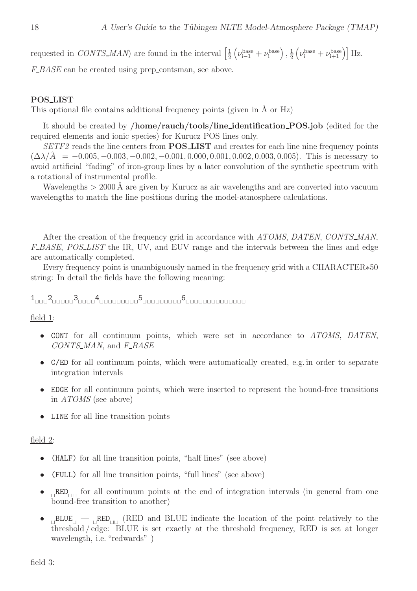requested in CONTS\_MAN) are found in the interval  $\left[\frac{1}{2}\right]$  $\frac{1}{2}\left(\nu_{\mathrm{i-1}}^{\mathrm{base}}+\nu_{\mathrm{i}}^{\mathrm{base}}\right),\frac{1}{2}$  $\frac{1}{2}\left(\nu_i^{\text{base}} + \nu_{i+1}^{\text{base}}\right)$  Hz.

F\_BASE can be created using prep\_contsman, see above.

#### POS LIST

This optional file contains additional frequency points (given in  $\AA$  or Hz)

It should be created by /home/rauch/tools/line identification POS.job (edited for the required elements and ionic species) for Kurucz POS lines only.

SETF2 reads the line centers from **POS\_LIST** and creates for each line nine frequency points  $(\Delta\lambda/\tilde{A} = -0.005, -0.003, -0.002, -0.001, 0.000, 0.001, 0.002, 0.003, 0.005)$ . This is necessary to avoid artificial "fading" of iron-group lines by a later convolution of the synthetic spectrum with a rotational of instrumental profile.

Wavelengths  $> 2000$  Å are given by Kurucz as air wavelengths and are converted into vacuum wavelengths to match the line positions during the model-atmosphere calculations.

After the creation of the frequency grid in accordance with ATOMS, DATEN, CONTS\_MAN, F\_BASE, POS\_LIST the IR, UV, and EUV range and the intervals between the lines and edge are automatically completed.

Every frequency point is unambiguously named in the frequency grid with a CHARACTER∗50 string: In detail the fields have the following meaning:

1 ⊔⊔⊔2 ⊔⊔⊔⊔⊔3 ⊔⊔⊔⊔4 ⊔⊔⊔⊔⊔⊔⊔⊔⊔5 ⊔⊔⊔⊔⊔⊔⊔⊔⊔6 ⊔⊔⊔⊔⊔⊔⊔⊔⊔⊔⊔⊔⊔⊔

field 1:

- CONT for all continuum points, which were set in accordance to ATOMS, DATEN,  $CONTS\_MAN$ , and  $F\_BASE$
- C/ED for all continuum points, which were automatically created, e.g. in order to separate integration intervals
- EDGE for all continuum points, which were inserted to represent the bound-free transitions in ATOMS (see above)
- LINE for all line transition points

#### field 2:

- (HALF) for all line transition points, "half lines" (see above)
- (FULL) for all line transition points, "full lines" (see above)
- ⊔ RED⊔⊔ for all continuum points at the end of integration intervals (in general from one bound-free transition to another)
- <sub>⊔</sub>BLUE<sub>⊔</sub> <sub>⊔</sub>RED<sub>⊔∪</sub> (RED and BLUE indicate the location of the point relatively to the threshold / edge: BLUE is set exactly at the threshold frequency, RED is set at longer wavelength, i.e. "redwards" )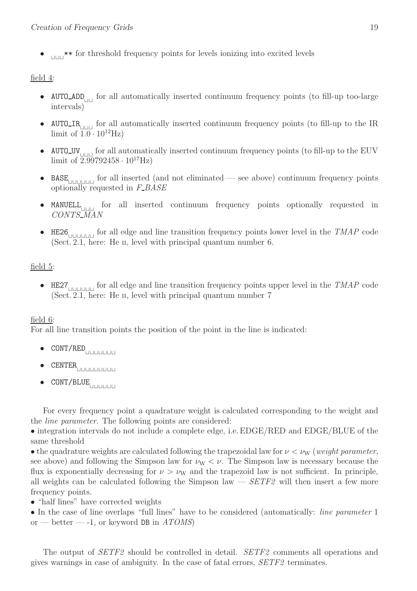• <sub>⊥□□</sub> \*\* for threshold frequency points for levels ionizing into excited levels

## field 4:

- AUTO ADD⊔⊔ for all automatically inserted continuum frequency points (to fill-up too-large intervals)
- AUTO\_IR<sub>⊥□□⊥</sub> for all automatically inserted continuum frequency points (to fill-up to the IR limit of  $\overline{1.0} \cdot 10^{12}$ Hz)
- AUTO\_UV<sub>⊥□□⊥</sub> for all automatically inserted continuum frequency points (to fill-up to the EUV limit of  $2.99792458 \cdot 10^{17}$ Hz)
- BASE⊔⊔⊔⊔⊔⊔ for all inserted (and not eliminated see above) continuum frequency points optionally requested in  $F\_BASE$
- MANUELL⊔⊔⊔ for all inserted continuum frequency points optionally requested in CONTS MAN
- HE26⊔⊔⊔⊔⊔⊔ for all edge and line transition frequency points lower level in the TMAP code (Sect. 2.1, here: He II, level with principal quantum number 6.

#### field 5:

• HE27 $\Box$  for all edge and line transition frequency points upper level in the TMAP code (Sect. 2.1, here: He II, level with principal quantum number 7

#### field 6:

For all line transition points the position of the point in the line is indicated:

- CONT/RED⊔⊔⊔⊔⊔⊔⊔
- $\texttt{CENTER}_{\texttt{[]ULULULUL}}$
- CONT/BLUE⊔⊔⊔⊔⊔⊔

For every frequency point a quadrature weight is calculated corresponding to the weight and the line parameter. The following points are considered:

• integration intervals do not include a complete edge, i.e. EDGE/RED and EDGE/BLUE of the same threshold

• the quadrature weights are calculated following the trapezoidal law for  $\nu < \nu_{\rm W}$  (weight parameter, see above) and following the Simpson law for  $\nu_W < \nu$ . The Simpson law is necessary because the flux is exponentially decreasing for  $\nu > \nu_W$  and the trapezoid law is not sufficient. In principle, all weights can be calculated following the Simpson law  $-$  SETF2 will then insert a few more frequency points.

• "half lines" have corrected weights

• In the case of line overlaps "full lines" have to be considered (automatically: *line parameter* 1 or — better — -1, or keyword DB in  $ATOMS$ 

The output of *SETF2* should be controlled in detail. *SETF2* comments all operations and gives warnings in case of ambiguity. In the case of fatal errors, SETF2 terminates.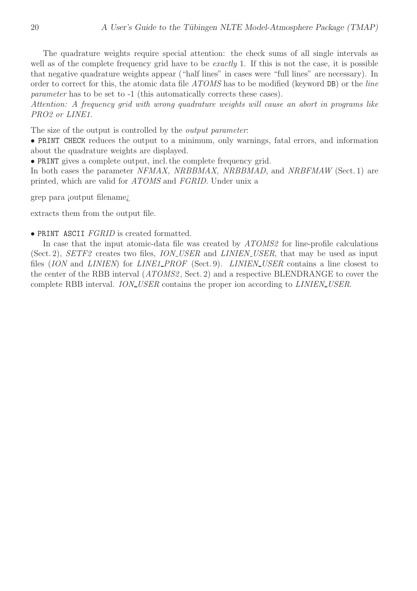The quadrature weights require special attention: the check sums of all single intervals as well as of the complete frequency grid have to be *exactly* 1. If this is not the case, it is possible that negative quadrature weights appear ("half lines" in cases were "full lines" are necessary). In order to correct for this, the atomic data file ATOMS has to be modified (keyword DB) or the line parameter has to be set to -1 (this automatically corrects these cases).

Attention: A frequency grid with wrong quadrature weights will cause an abort in programs like PRO<sub>2</sub> or LINE<sub>1</sub>.

The size of the output is controlled by the *output parameter*:

• PRINT CHECK reduces the output to a minimum, only warnings, fatal errors, and information about the quadrature weights are displayed.

• PRINT gives a complete output, incl. the complete frequency grid.

In both cases the parameter NFMAX, NRBBMAX, NRBBMAD, and NRBFMAW (Sect. 1) are printed, which are valid for ATOMS and FGRID. Under unix a

grep para ¡output filename¿

extracts them from the output file.

• PRINT ASCII FGRID is created formatted.

In case that the input atomic-data file was created by  $ATOMS2$  for line-profile calculations (Sect. 2),  $SETF2$  creates two files, *ION\_USER* and *LINIEN\_USER*, that may be used as input files (ION and LINIEN) for LINE1\_PROF (Sect. 9). LINIEN\_USER contains a line closest to the center of the RBB interval (ATOMS2, Sect. 2) and a respective BLENDRANGE to cover the complete RBB interval. ION\_USER contains the proper ion according to LINIEN\_USER.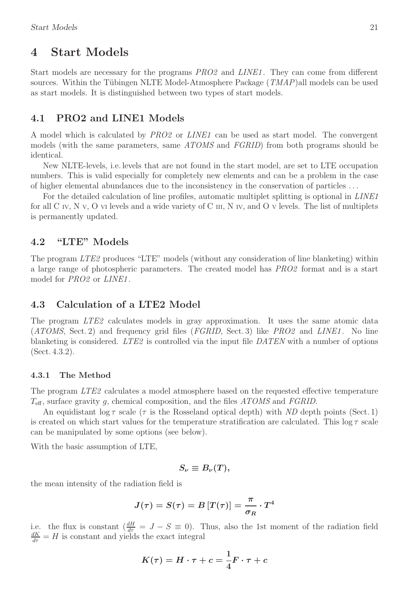# 4 Start Models

Start models are necessary for the programs *PRO2* and *LINE1*. They can come from different sources. Within the Tübingen NLTE Model-Atmosphere Package  $(TMAP)$ all models can be used as start models. It is distinguished between two types of start models.

#### 4.1 PRO2 and LINE1 Models

A model which is calculated by PRO2 or LINE1 can be used as start model. The convergent models (with the same parameters, same ATOMS and FGRID) from both programs should be identical.

New NLTE-levels, i.e. levels that are not found in the start model, are set to LTE occupation numbers. This is valid especially for completely new elements and can be a problem in the case of higher elemental abundances due to the inconsistency in the conservation of particles . . .

For the detailed calculation of line profiles, automatic multiplet splitting is optional in *LINE1* for all C IV, N <sup>V</sup>, O VI levels and a wide variety of C III, N IV, and O <sup>V</sup> levels. The list of multiplets is permanently updated.

#### 4.2 "LTE" Models

The program LTE2 produces "LTE" models (without any consideration of line blanketing) within a large range of photospheric parameters. The created model has PRO2 format and is a start model for *PRO2* or *LINE1*.

#### 4.3 Calculation of a LTE2 Model

The program LTE2 calculates models in gray approximation. It uses the same atomic data  $(ATOMS, Sect. 2)$  and frequency grid files  $(FGRID, Sect. 3)$  like  $PRO2$  and  $LINE1$ . No line blanketing is considered. LTE2 is controlled via the input file DATEN with a number of options (Sect. 4.3.2).

#### 4.3.1 The Method

The program LTE2 calculates a model atmosphere based on the requested effective temperature  $T_{\text{eff}}$ , surface gravity g, chemical composition, and the files ATOMS and FGRID.

An equidistant  $\log \tau$  scale ( $\tau$  is the Rosseland optical depth) with ND depth points (Sect. 1) is created on which start values for the temperature stratification are calculated. This  $\log \tau$  scale can be manipulated by some options (see below).

With the basic assumption of LTE,

$$
S_{\nu}\equiv B_{\nu}(T),
$$

the mean intensity of the radiation field is

$$
J(\tau)=S(\tau)=B\left[T(\tau)\right]=\frac{\pi}{\sigma_R}\cdot T^4
$$

i.e. the flux is constant  $\left(\frac{dH}{d\tau}\right) = J - S \equiv 0$ . Thus, also the 1st moment of the radiation field  $\frac{dK}{d\tau} = H$  is constant and yields the exact integral

$$
K(\tau)=H\cdot \tau+c=\frac{1}{4}F\cdot \tau+c
$$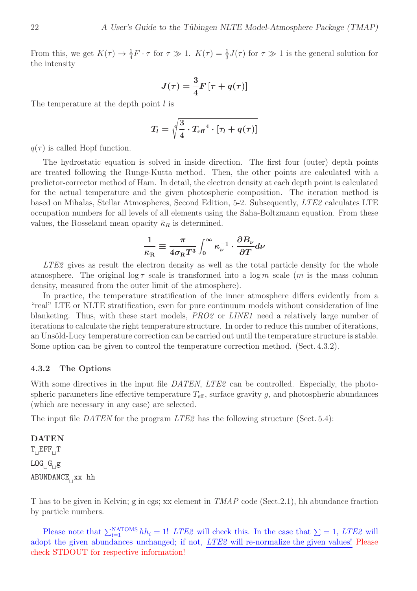From this, we get  $K(\tau) \to \frac{1}{4}F \cdot \tau$  for  $\tau \gg 1$ .  $K(\tau) = \frac{1}{3}J(\tau)$  for  $\tau \gg 1$  is the general solution for the intensity

$$
J(\tau)=\frac{3}{4}F\left[\tau+q(\tau)\right]
$$

The temperature at the depth point l is

$$
T_l = \sqrt[4]{\frac{3}{4} \cdot T_{\text{eff}}{}^4 \cdot [\tau_l + q(\tau)]}
$$

 $q(\tau)$  is called Hopf function.

The hydrostatic equation is solved in inside direction. The first four (outer) depth points are treated following the Runge-Kutta method. Then, the other points are calculated with a predictor-corrector method of Ham. In detail, the electron density at each depth point is calculated for the actual temperature and the given photospheric composition. The iteration method is based on Mihalas, Stellar Atmospheres, Second Edition, 5-2. Subsequently, LTE2 calculates LTE occupation numbers for all levels of all elements using the Saha-Boltzmann equation. From these values, the Rosseland mean opacity  $\bar{\kappa}_R$  is determined.

$$
\frac{1}{\bar{\kappa}_{\mathrm{R}}}\equiv\frac{\pi}{4\sigma_{\mathrm{R}}T^{3}}\int_{0}^{\infty}\kappa_{\nu}^{-1}\cdot\frac{\partial B_{\nu}}{\partial T}d\nu
$$

LTE2 gives as result the electron density as well as the total particle density for the whole atmosphere. The original  $\log \tau$  scale is transformed into a  $\log m$  scale (m is the mass column density, measured from the outer limit of the atmosphere).

In practice, the temperature stratification of the inner atmosphere differs evidently from a "real" LTE or NLTE stratification, even for pure continuum models without consideration of line blanketing. Thus, with these start models, *PRO2* or *LINE1* need a relatively large number of iterations to calculate the right temperature structure. In order to reduce this number of iterations, an Unsöld-Lucy temperature correction can be carried out until the temperature structure is stable. Some option can be given to control the temperature correction method. (Sect. 4.3.2).

#### 4.3.2 The Options

With some directives in the input file DATEN, LTE2 can be controlled. Especially, the photospheric parameters line effective temperature  $T_{\text{eff}}$ , surface gravity g, and photospheric abundances (which are necessary in any case) are selected.

The input file DATEN for the program  $LTE2$  has the following structure (Sect. 5.4):

# DATEN  $T_{\text{H}} EFF_{\text{H}}T$  $\mathtt{LOG}_{\sqcup}\mathtt{G}_{\sqcup}\mathtt{g}$ ABUNDANCE<sub>⊥</sub>xx hh

T has to be given in Kelvin; g in cgs; xx element in TMAP code (Sect.2.1), hh abundance fraction by particle numbers.

Please note that  $\sum_{i=1}^{NATOMS} hh_i = 1!$  LTE2 will check this. In the case that  $\sum = 1$ , LTE2 will adopt the given abundances unchanged; if not, LTE2 will re-normalize the given values! Please check STDOUT for respective information!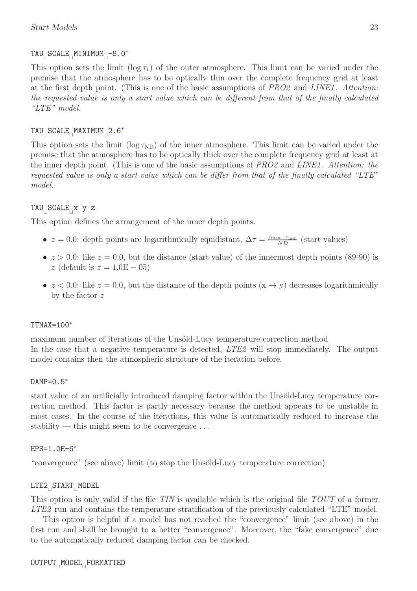# TAU<sub>⊔</sub>SCALE<sub>⊔</sub>MINIMUM<sub>⊔</sub>-8.0<sup>∗</sup>

This option sets the limit  $(\log \tau_1)$  of the outer atmosphere. This limit can be varied under the premise that the atmosphere has to be optically thin over the complete frequency grid at least at the first depth point. (This is one of the basic assumptions of PRO2 and LINE1. Attention: the requested value is only a start value which can be different from that of the finally calculated "LTE" model.

# TAU<sub>⊔</sub>SCALE<sub>⊔</sub>MAXIMUM<sub>⊔</sub>2.6<sup>∗</sup>

This option sets the limit (log  $\tau_{ND}$ ) of the inner atmosphere. This limit can be varied under the premise that the atmosphere has to be optically thick over the complete frequency grid at least at the inner depth point. (This is one of the basic assumptions of PRO2 and LINE1. Attention: the requested value is only a start value which can be differ from that of the finally calculated "LTE" model.

## TAU<sup>⊔</sup> SCALE<sup>⊔</sup> x y z

This option defines the arrangement of the inner depth points.

- $z = 0.0$ : depth points are logarithmically equidistant,  $\Delta \tau = \frac{\tau_{\text{max}} \tau_{\text{min}}}{ND}$  (start values)
- $z > 0.0$ : like  $z = 0.0$ , but the distance (start value) of the innermost depth points (89-90) is z (default is  $z = 1.0E - 05$ )
- $z < 0.0$ : like  $z = 0.0$ , but the distance of the depth points  $(x \rightarrow y)$  decreases logarithmically by the factor z

#### ITMAX=100<sup>∗</sup>

maximum number of iterations of the Unsöld-Lucy temperature correction method In the case that a negative temperature is detected, *LTE2* will stop immediately. The output model contains then the atmospheric structure of the iteration before.

#### DAMP=0.5<sup>\*</sup>

start value of an artificially introduced damping factor within the Unsöld-Lucy temperature correction method. This factor is partly necessary because the method appears to be unstable in most cases. In the course of the iterations, this value is automatically reduced to increase the stability — this might seem to be convergence  $\dots$ 

#### EPS=1.0E-6<sup>∗</sup>

"convergence" (see above) limit (to stop the Unsöld-Lucy temperature correction)

# LTE2<sub>⊔</sub>START<sub>⊔</sub>MODEL

This option is only valid if the file TIN is available which is the original file TOUT of a former LTE2 run and contains the temperature stratification of the previously calculated "LTE" model.

This option is helpful if a model has not reached the "convergence" limit (see above) in the first run and shall be brought to a better "convergence". Moreover, the "fake convergence" due to the automatically reduced damping factor can be checked.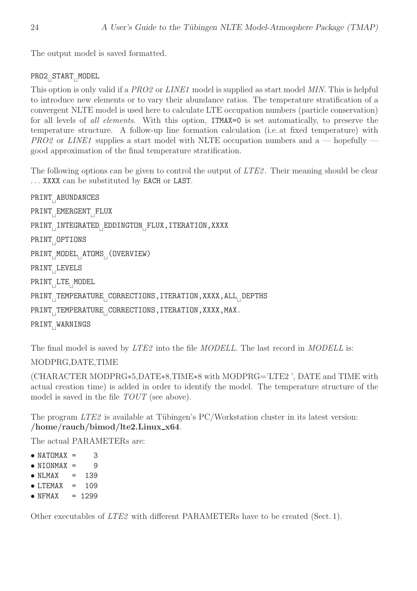The output model is saved formatted.

# PRO2<sub>⊔</sub>START<sub>⊔</sub>MODEL

This option is only valid if a PRO2 or LINE1 model is supplied as start model MIN. This is helpful to introduce new elements or to vary their abundance ratios. The temperature stratification of a convergent NLTE model is used here to calculate LTE occupation numbers (particle conservation) for all levels of *all elements*. With this option, **ITMAX=0** is set automatically, to preserve the temperature structure. A follow-up line formation calculation (i.e. at fixed temperature) with  $PRO2$  or LINE1 supplies a start model with NLTE occupation numbers and a — hopefully – good approximation of the final temperature stratification.

The following options can be given to control the output of LTE2. Their meaning should be clear . . . XXXX can be substituted by EACH or LAST.

```
PRINT⊔
ABUNDANCES
PRINT<sub>⊔</sub>EMERGENT<sub>⊔</sub>FLUX
PRINT<sub>∏</sub>INTEGRATED<sub>□</sub>EDDINGTON<sub>□</sub>FLUX,ITERATION,XXXX
PRINT⊔
OPTIONS
PRINT⊔
MODEL⊔
ATOMS⊔
(OVERVIEW)
PRINT⊔
LEVELS
PRINT<sub>⊔</sub>LTE<sub>⊔</sub>MODEL
PRINT<sub>⊔</sub>TEMPERATURE<sub>⊔</sub>CORRECTIONS,ITERATION,XXXX,ALL<sub>⊔</sub>DEPTHS
PRINT<sub>I</sub>TEMPERATURE<sub>∏</sub>CORRECTIONS,ITERATION,XXXX,MAX.
PRINT<sub>⊔</sub>WARNINGS
```
The final model is saved by *LTE2* into the file *MODELL*. The last record in *MODELL* is:

#### MODPRG,DATE,TIME

(CHARACTER MODPRG∗5,DATE∗8,TIME∗8 with MODPRG='LTE2 ', DATE and TIME with actual creation time) is added in order to identify the model. The temperature structure of the model is saved in the file  $TOUT$  (see above).

The program  $LTE2$  is available at Tübingen's PC/Workstation cluster in its latest version: /home/rauch/bimod/lte2.Linux\_x64.

The actual PARAMETERs are:

- $\bullet$  NATOMAX = 3
- $\bullet$  NIONMAX = 9
- $\bullet$  NLMAX = 139
- $\bullet$  LTEMAX = 109
- $\bullet$  NFMAX = 1299

Other executables of LTE2 with different PARAMETERs have to be created (Sect. 1).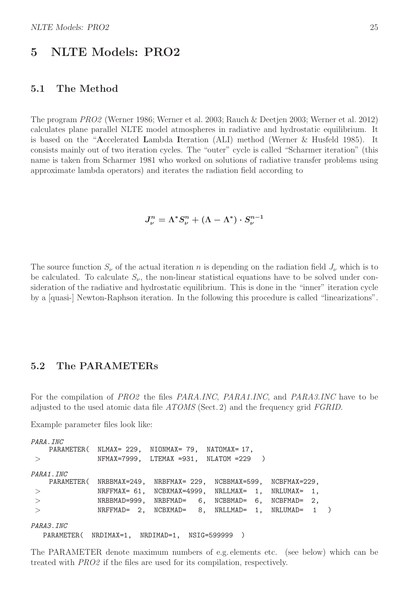# 5 NLTE Models: PRO2

#### 5.1 The Method

The program PRO2 (Werner 1986; Werner et al. 2003; Rauch & Deetjen 2003; Werner et al. 2012) calculates plane parallel NLTE model atmospheres in radiative and hydrostatic equilibrium. It is based on the "Accelerated Lambda Iteration (ALI) method (Werner & Husfeld 1985). It consists mainly out of two iteration cycles. The "outer" cycle is called "Scharmer iteration" (this name is taken from Scharmer 1981 who worked on solutions of radiative transfer problems using approximate lambda operators) and iterates the radiation field according to

$$
J_\nu^n = \Lambda^* S_\nu^n + (\Lambda - \Lambda^*) \cdot S_\nu^{n-1}
$$

The source function  $S_{\nu}$  of the actual iteration n is depending on the radiation field  $J_{\nu}$  which is to be calculated. To calculate  $S_{\nu}$ , the non-linear statistical equations have to be solved under consideration of the radiative and hydrostatic equilibrium. This is done in the "inner" iteration cycle by a [quasi-] Newton-Raphson iteration. In the following this procedure is called "linearizations".

#### 5.2 The PARAMETERs

For the compilation of PRO2 the files PARA.INC, PARA1.INC, and PARA3.INC have to be adjusted to the used atomic data file  $A TOMS$  (Sect. 2) and the frequency grid  $FGRID$ .

Example parameter files look like:

```
PARA.INC
   PARAMETER( NLMAX= 229, NIONMAX= 79, NATOMAX= 17,
> NFMAX=7999, LTEMAX =931, NLATOM =229 )
PARA1.INC
   PARAMETER( NRBBMAX=249, NRBFMAX= 229, NCBBMAX=599, NCBFMAX=229,
> NRFFMAX= 61, NCBXMAX=4999, NRLLMAX= 1, NRLUMAX= 1,
> NRBBMAD=999, NRBFMAD= 6, NCBBMAD= 6, NCBFMAD= 2,
> NRFFMAD= 2, NCBXMAD= 8, NRLLMAD= 1, NRLUMAD= 1 )
PARA3.INC
  PARAMETER( NRDIMAX=1, NRDIMAD=1, NSIG=599999 )
```
The PARAMETER denote maximum numbers of e.g. elements etc. (see below) which can be treated with PRO2 if the files are used for its compilation, respectively.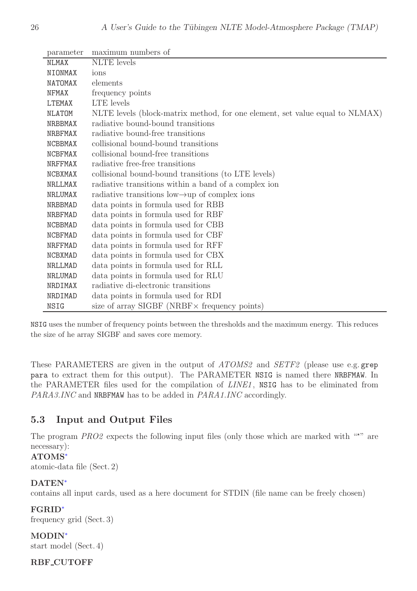| parameter      | maximum numbers of                                                           |
|----------------|------------------------------------------------------------------------------|
| <b>NLMAX</b>   | <b>NLTE</b> levels                                                           |
| NIONMAX        | ions                                                                         |
| <b>NATOMAX</b> | elements                                                                     |
| <b>NFMAX</b>   | frequency points                                                             |
| LTEMAX         | LTE levels                                                                   |
| <b>NLATOM</b>  | NLTE levels (block-matrix method, for one element, set value equal to NLMAX) |
| <b>NRBBMAX</b> | radiative bound-bound transitions                                            |
| <b>NRBFMAX</b> | radiative bound-free transitions                                             |
| <b>NCBBMAX</b> | collisional bound-bound transitions                                          |
| <b>NCBFMAX</b> | collisional bound-free transitions                                           |
| <b>NRFFMAX</b> | radiative free-free transitions                                              |
| NCBXMAX        | collisional bound-bound transitions (to LTE levels)                          |
| NRLLMAX        | radiative transitions within a band of a complex ion                         |
| NRLUMAX        | radiative transitions low $\rightarrow$ up of complex ions                   |
| <b>NRBBMAD</b> | data points in formula used for RBB                                          |
| NRBFMAD        | data points in formula used for RBF                                          |
| <b>NCBBMAD</b> | data points in formula used for CBB                                          |
| NCBFMAD        | data points in formula used for CBF                                          |
| <b>NRFFMAD</b> | data points in formula used for RFF                                          |
| <b>NCBXMAD</b> | data points in formula used for CBX                                          |
| NRLLMAD        | data points in formula used for RLL                                          |
| NRLUMAD        | data points in formula used for RLU                                          |
| NRDIMAX        | radiative di-electronic transitions                                          |
| NRDIMAD        | data points in formula used for RDI                                          |
| NSIG           | size of array SIGBF (NRBF $\times$ frequency points)                         |

NSIG uses the number of frequency points between the thresholds and the maximum energy. This reduces the size of he array SIGBF and saves core memory.

These PARAMETERS are given in the output of ATOMS2 and SETF2 (please use e.g. grep para to extract them for this output). The PARAMETER NSIG is named there NRBFMAW. In the PARAMETER files used for the compilation of *LINE1*, NSIG has to be eliminated from PARA3.INC and NRBFMAW has to be added in PARA1.INC accordingly.

# 5.3 Input and Output Files

The program  $PRO2$  expects the following input files (only those which are marked with " $\star$ " are necessary):

#### ATOMS<sup>∗</sup>

atomic-data file (Sect. 2)

#### DATEN<sup>∗</sup>

contains all input cards, used as a here document for STDIN (file name can be freely chosen)

#### FGRID<sup>∗</sup>

frequency grid (Sect. 3)

#### MODIN<sup>∗</sup>

start model (Sect. 4)

#### RBF CUTOFF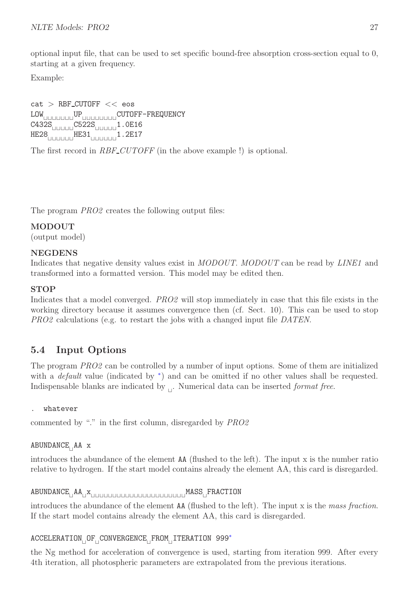optional input file, that can be used to set specific bound-free absorption cross-section equal to 0, starting at a given frequency.

Example:

 $cat$  > RBF\_CUTOFF << eos LOW⊔⊔⊔⊔⊔⊔⊔UP⊔⊔⊔⊔⊔⊔⊔⊔CUTOFF-FREQUENCY C432S⊔⊔⊔⊔⊔C522S⊔⊔⊔⊔⊔1.0E16 HE28⊔⊔⊔⊔⊔⊔HE31⊔⊔⊔⊔⊔⊔1.2E17

The first record in RBF\_CUTOFF (in the above example !) is optional.

The program *PRO2* creates the following output files:

# MODOUT

(output model)

#### NEGDENS

Indicates that negative density values exist in MODOUT. MODOUT can be read by LINE1 and transformed into a formatted version. This model may be edited then.

#### **STOP**

Indicates that a model converged. PRO2 will stop immediately in case that this file exists in the working directory because it assumes convergence then (cf. Sect. 10). This can be used to stop PRO2 calculations (e.g. to restart the jobs with a changed input file DATEN.

# 5.4 Input Options

The program PRO2 can be controlled by a number of input options. Some of them are initialized with a *default* value (indicated by \*) and can be omitted if no other values shall be requested. Indispensable blanks are indicated by  $\mathcal{L}$ . Numerical data can be inserted *format free*.

#### . whatever

commented by "." in the first column, disregarded by PRO2

# ABUNDANCE<sub>∟I</sub>AA x

introduces the abundance of the element AA (flushed to the left). The input x is the number ratio relative to hydrogen. If the start model contains already the element AA, this card is disregarded.

# ABUNDANCE<sup>⊔</sup> AA<sup>⊔</sup> x⊔⊔⊔⊔⊔⊔⊔⊔⊔⊔⊔⊔⊔⊔⊔⊔⊔⊔⊔⊔⊔⊔MASS<sup>⊔</sup> FRACTION

introduces the abundance of the element  $AA$  (flushed to the left). The input x is the mass fraction. If the start model contains already the element AA, this card is disregarded.

# ACCELERATION<sub>U</sub>OF<sub>U</sub>CONVERGENCE<sub>U</sub>FROM<sub>U</sub>ITERATION 999<sup>∗</sup>

the Ng method for acceleration of convergence is used, starting from iteration 999. After every 4th iteration, all photospheric parameters are extrapolated from the previous iterations.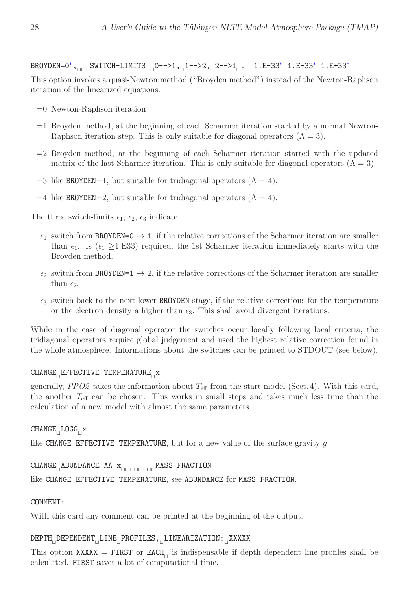# BROYDEN=0<sup>∗</sup>,<sub>⊥⊞ U</sub>SWITCH-LIMITS<sub>UU</sub> 0-->1,<sub>⊥1</sub>1-->2,<sub>⊥2</sub>-->1<sub>⊥</sub>: 1.E-33\* 1.E-33\* 1.E+33\*

This option invokes a quasi-Newton method ("Broyden method") instead of the Newton-Raphson iteration of the linearized equations.

- =0 Newton-Raphson iteration
- $=1$  Broyden method, at the beginning of each Scharmer iteration started by a normal Newton-Raphson iteration step. This is only suitable for diagonal operators  $(\Lambda = 3)$ .
- $=2$  Broyden method, at the beginning of each Scharmer iteration started with the updated matrix of the last Scharmer iteration. This is only suitable for diagonal operators  $(\Lambda = 3)$ .
- $=3$  like BROYDEN=1, but suitable for tridiagonal operators ( $\Lambda = 4$ ).
- $=4$  like BROYDEN=2, but suitable for tridiagonal operators ( $\Lambda = 4$ ).

The three switch-limits  $\epsilon_1$ ,  $\epsilon_2$ ,  $\epsilon_3$  indicate

- $\epsilon_1$  switch from BROYDEN=0  $\rightarrow$  1, if the relative corrections of the Scharmer iteration are smaller than  $\epsilon_1$ . Is ( $\epsilon_1 \geq 1.$ E33) required, the 1st Scharmer iteration immediately starts with the Broyden method.
- $\epsilon_2$  switch from BROYDEN=1  $\rightarrow$  2, if the relative corrections of the Scharmer iteration are smaller than  $\epsilon_2$ .
- $\epsilon_3$  switch back to the next lower BROYDEN stage, if the relative corrections for the temperature or the electron density a higher than  $\epsilon_3$ . This shall avoid divergent iterations.

While in the case of diagonal operator the switches occur locally following local criteria, the tridiagonal operators require global judgement and used the highest relative correction found in the whole atmosphere. Informations about the switches can be printed to STDOUT (see below).

#### CHANGE<sub>∪</sub>EFFECTIVE TEMPERATURE<sub>⊔</sub>x

generally, PRO2 takes the information about  $T_{\text{eff}}$  from the start model (Sect. 4). With this card, the another  $T_{\text{eff}}$  can be chosen. This works in small steps and takes much less time than the calculation of a new model with almost the same parameters.

# $\mathtt{CHANGE}_{\square} \mathtt{LOGG}_{\square} \mathtt{x}$

like CHANGE EFFECTIVE TEMPERATURE, but for a new value of the surface gravity  $q$ 

## CHANGE<sub>⊔</sub>ABUNDANCE<sub>⊔</sub>AA<sub>⊔</sub>x<sub>uuuuuuu</sub>MASS<sub>⊔</sub>FRACTION

like CHANGE EFFECTIVE TEMPERATURE, see ABUNDANCE for MASS FRACTION.

#### COMMENT:

With this card any comment can be printed at the beginning of the output.

#### DEPTH<sub>U</sub>DEPENDENT<sub>U</sub>LINE<sub>U</sub>PROFILES,<sub>UL</sub>LINEARIZATION:<sub>U</sub>XXXXX

This option XXXXX = FIRST or EACH<sub> $\Box$ </sub> is indispensable if depth dependent line profiles shall be calculated. FIRST saves a lot of computational time.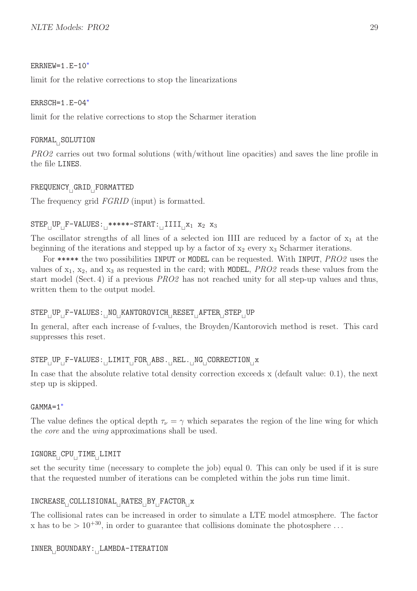#### ERRNEW=1.E-10<sup>∗</sup>

limit for the relative corrections to stop the linearizations

#### ERRSCH=1.E-04<sup>∗</sup>

limit for the relative corrections to stop the Scharmer iteration

## FORMAL<sup>⊔</sup> SOLUTION

PRO2 carries out two formal solutions (with/without line opacities) and saves the line profile in the file LINES.

# FREQUENCY<sup>⊔</sup> GRID<sup>⊔</sup> FORMATTED

The frequency grid  $FGRID$  (input) is formatted.

## $\texttt{STEP}^\text{-}\texttt{UP}_\text{-} \texttt{F-VALUES:}^\text{-}$ \*\*\*\*\*- $\texttt{START:}^\text{-}\texttt{IIII}_\text{-} \texttt{x}_1$  x<sub>2</sub> x<sub>3</sub>

The oscillator strengths of all lines of a selected ion IIII are reduced by a factor of  $x_1$  at the beginning of the iterations and stepped up by a factor of  $x_2$  every  $x_3$  Scharmer iterations.

For \*\*\*\*\* the two possibilities INPUT or MODEL can be requested. With INPUT, PRO2 uses the values of  $x_1$ ,  $x_2$ , and  $x_3$  as requested in the card; with MODEL, *PRO2* reads these values from the start model (Sect. 4) if a previous PRO2 has not reached unity for all step-up values and thus, written them to the output model.

# $\texttt{STEP}^\top_\sqcup \texttt{VP}^\top_\texttt{F}-\texttt{VALUES:}^\top_\sqcup \texttt{NO}_\sqcup \texttt{KANTOROVICH}_\sqcup \texttt{RESET}_\sqcup \texttt{AFTER}_\sqcup \texttt{STEP}_\sqcup \texttt{UP}$

In general, after each increase of f-values, the Broyden/Kantorovich method is reset. This card suppresses this reset.

# STEP<sub>U</sub>UP<sub>U</sub>F-VALUES:<sub>U</sub>LIMIT<sub>U</sub>FOR<sub>U</sub>ABS.<sub>U</sub>REL.UNG<sub>U</sub>CORRECTION<sub>U</sub>x

In case that the absolute relative total density correction exceeds x (default value: 0.1), the next step up is skipped.

#### GAMMA=1<sup>∗</sup>

The value defines the optical depth  $\tau_{\nu} = \gamma$  which separates the region of the line wing for which the *core* and the *wing* approximations shall be used.

#### IGNORE<sup>⊔</sup> CPU<sup>⊔</sup> TIME<sup>⊔</sup> LIMIT

set the security time (necessary to complete the job) equal 0. This can only be used if it is sure that the requested number of iterations can be completed within the jobs run time limit.

## INCREASE<sub>L</sub>COLLISIONAL<sub>LE</sub>RATES<sub>LE</sub>BY<sub>LE</sub>FACTOR<sub>LE</sub>X

The collisional rates can be increased in order to simulate a LTE model atmosphere. The factor x has to be  $> 10^{+30}$ , in order to guarantee that collisions dominate the photosphere ...

# INNER<sup>⊔</sup> BOUNDARY:<sup>⊔</sup> LAMBDA-ITERATION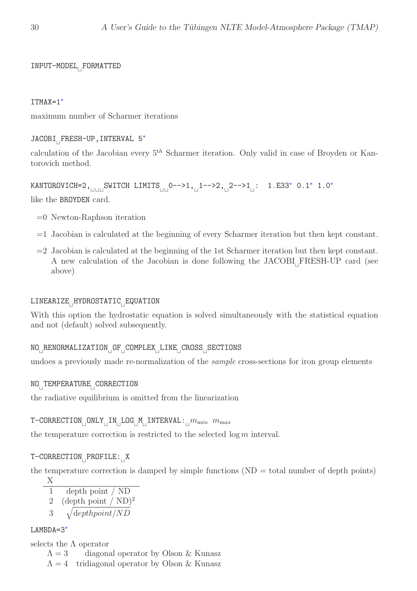INPUT-MODEL<sup>⊔</sup> FORMATTED

#### ITMAX=1<sup>∗</sup>

maximum number of Scharmer iterations

JACOBI<sub>⊥FRESH-UP, INTERVAL 5<sup>\*</sup></sub>

calculation of the Jacobian every  $5<sup>th</sup>$  Scharmer iteration. Only valid in case of Broyden or Kantorovich method.

 $\texttt{KANTOROVICH=2}, \textcolor{black}{\bigcup_{\sqcup \sqcup \sqcup} \texttt{SWITCH}\texttt{ LIMITS}_{\sqcup \sqcup} 0--\texttt{>1}, \textcolor{black}{\bigcup_{\sqcup} 1--\texttt{>2}, \textcolor{black}{\bigcup_{\sqcup} 2--\texttt{>1}}\dots}:\texttt{ 1.E33}^* \texttt{ 0.1}^* \texttt{ 1.0}^*$ like the BROYDEN card.

- =0 Newton-Raphson iteration
- =1 Jacobian is calculated at the beginning of every Scharmer iteration but then kept constant.
- =2 Jacobian is calculated at the beginning of the 1st Scharmer iteration but then kept constant. A new calculation of the Jacobian is done following the JACOBI<sub>⊔</sub>FRESH-UP card (see above)

# LINEARIZE<sub>∏</sub>HYDROSTATIC<sub>⊟</sub>EQUATION

With this option the hydrostatic equation is solved simultaneously with the statistical equation and not (default) solved subsequently.

# NO<sub>⊔</sub>RENORMALIZATION<sub>□</sub>OF<sub>□</sub>COMPLEX<sub>□</sub>LINE<sub>□</sub>CROSS<sub>□</sub>SECTIONS

undoes a previously made re-normalization of the *sample* cross-sections for iron group elements

# NO<sup>⊔</sup> TEMPERATURE<sup>⊔</sup> CORRECTION

the radiative equilibrium is omitted from the linearization

#### $\mathtt{T}\text{-}\mathtt{CORRECTION}\_\mathtt{ONLY}\_\mathtt{IN}\_\mathtt{LOG}\_\mathtt{M}\_\mathtt{INTERVAL}$ : $\underset{\sqcup}{m}_{min}\;\;m_{max}$

the temperature correction is restricted to the selected  $\log m$  interval.

# T-CORRECTION<sub>□</sub>PROFILE:<sub>□</sub>X

the temperature correction is damped by simple functions  $(ND = total number of depth points)$ 

$$
\frac{X}{1 - \text{depth point} / \text{ND}}
$$

- 2 (depth point /  $ND$ )<sup>2</sup>
- 3  $\sqrt{\text{depthpoint}/ND}$

#### LAMBDA=3<sup>∗</sup>

selects the  $\Lambda$  operator

 $\Lambda = 3$  diagonal operator by Olson & Kunasz

 $\Lambda = 4$  tridiagonal operator by Olson & Kunasz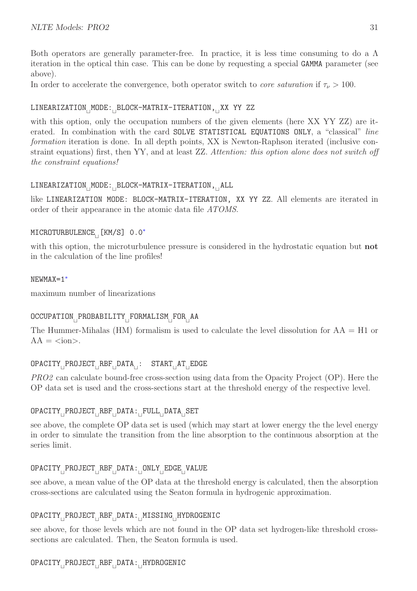Both operators are generally parameter-free. In practice, it is less time consuming to do a  $\Lambda$ iteration in the optical thin case. This can be done by requesting a special GAMMA parameter (see above).

In order to accelerate the convergence, both operator switch to *core saturation* if  $\tau_{\nu} > 100$ .

# LINEARIZATION<sub>⊔</sub>MODE:<sub>⊔</sub>BLOCK-MATRIX-ITERATION,<sub>⊔</sub>XX YY ZZ

with this option, only the occupation numbers of the given elements (here XX YY ZZ) are iterated. In combination with the card SOLVE STATISTICAL EQUATIONS ONLY, a "classical" line formation iteration is done. In all depth points, XX is Newton-Raphson iterated (inclusive constraint equations) first, then YY, and at least ZZ. Attention: this option alone does not switch off the constraint equations!

# LINEARIZATION<sub>∣</sub>MODE:<sub>∣</sub>BLOCK-MATRIX-ITERATION,<sub>∣</sub>ALL

like LINEARIZATION MODE: BLOCK-MATRIX-ITERATION, XX YY ZZ. All elements are iterated in order of their appearance in the atomic data file ATOMS.

# MICROTURBULENCE<sub>∟</sub> [KM/S] 0.0<sup>∗</sup>

with this option, the microturbulence pressure is considered in the hydrostatic equation but **not** in the calculation of the line profiles!

#### NEWMAX=1<sup>∗</sup>

maximum number of linearizations

# OCCUPATION<sub>□</sub>PROBABILITY<sub>□</sub>FORMALISM<sub>□</sub>FOR<sub>□</sub>AA

The Hummer-Mihalas (HM) formalism is used to calculate the level dissolution for  $AA = H1$  or  $AA = \langle \text{ion} \rangle$ .

# OPACITY<sub>⊔</sub>PROJECT<sub>⊔</sub>RBF<sub>⊔</sub>DATA<sub>⊔</sub>: START<sub>⊔</sub>AT<sub>⊔</sub>EDGE

PRO2 can calculate bound-free cross-section using data from the Opacity Project (OP). Here the OP data set is used and the cross-sections start at the threshold energy of the respective level.

# OPACITY<sub>□</sub>PROJECT<sub>□</sub>RBF<sub>□</sub>DATA:<sub>□</sub>FULL<sub>□</sub>DATA<sub>□</sub>SET

see above, the complete OP data set is used (which may start at lower energy the the level energy in order to simulate the transition from the line absorption to the continuous absorption at the series limit.

# OPACITY<sub>⊔</sub>PROJECT<sub>⊔</sub>RBF<sub>⊔</sub>DATA:<sub>⊔</sub>ONLY<sub>⊔</sub>EDGE<sub>⊔</sub>VALUE

see above, a mean value of the OP data at the threshold energy is calculated, then the absorption cross-sections are calculated using the Seaton formula in hydrogenic approximation.

# OPACITY<sub>∟</sub>PROJECT<sub>∟</sub>RBF<sub>∟P</sub>ATA: MISSING<sub>∟</sub>HYDROGENIC

see above, for those levels which are not found in the OP data set hydrogen-like threshold crosssections are calculated. Then, the Seaton formula is used.

# OPACITY<sub>∟</sub>PROJECT<sub>∟</sub>RBF<sub>⊥</sub>DATA:<sub>⊥</sub>HYDROGENIC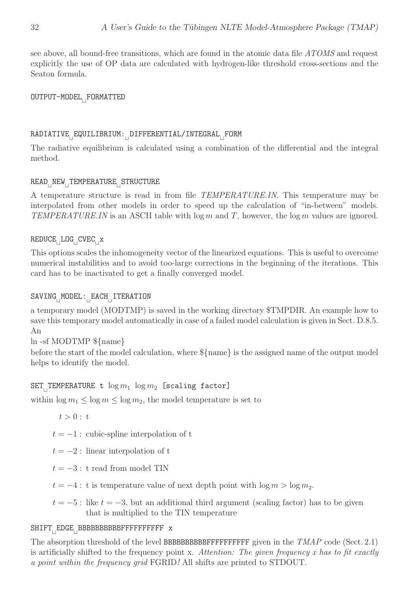see above, all bound-free transitions, which are found in the atomic data file ATOMS and request explicitly the use of OP data are calculated with hydrogen-like threshold cross-sections and the Seaton formula.

# OUTPUT-MODEL<sub>∟F</sub>ORMATTED

### RADIATIVE<sub>∟</sub>EQUILIBRIUM:<sub>∟</sub>DIFFERENTIAL/INTEGRAL<sub>∟</sub>FORM

The radiative equilibrium is calculated using a combination of the differential and the integral method.

# READ<sub>∟I</sub>NEW<sub>∟I</sub>TEMPERATURE<sub>∟I</sub>STRUCTURE

A temperature structure is read in from file TEMPERATURE.IN. This temperature may be interpolated from other models in order to speed up the calculation of "in-between" models. TEMPERATURE.IN is an ASCII table with  $\log m$  and T, however, the  $\log m$  values are ignored.

 $\texttt{REDUCE}_{\sqcup} \texttt{LOG}_{\sqcup} \texttt{CVEC}_{\sqcup} \texttt{x}$ 

This options scales the inhomogeneity vector of the linearized equations. This is useful to overcome numerical instabilities and to avoid too-large corrections in the beginning of the iterations. This card has to be inactivated to get a finally converged model.

# SAVING<sub>∣</sub>MODEL:<sub>∣</sub>EACH<sub>⊥</sub>ITERATION

a temporary model (MODTMP) is saved in the working directory \$TMPDIR. An example how to save this temporary model automatically in case of a failed model calculation is given in Sect. D.8.5. An

ln -sf MODTMP \${name}

before the start of the model calculation, where  $\{\text{name}\}$  is the assigned name of the output model helps to identify the model.

# $\texttt{SET}_{\texttt{||}}$ TEMPERATURE t  $\log m_1$   $\log m_2$  [scaling factor]

within  $\log m_1 \leq \log m \leq \log m_2$ , the model temperature is set to

 $t > 0 : t$ 

 $t = -1$ : cubic-spline interpolation of t

 $t = -2$ : linear interpolation of t

 $t = -3$ : t read from model TIN

- $t = -4$ : t is temperature value of next depth point with  $\log m > \log m_2$ .
- $t = -5$ : like  $t = -3$ , but an additional third argument (scaling factor) has to be given that is multiplied to the TIN temperature

# SHIFT<sub>⊔</sub>EDGE<sub>⊔</sub>BBBBBBBBBBFFFFFFFFFFFF x

The absorption threshold of the level BBBBBBBBBFFFFFFFFFFFFFF given in the  $TMAP$  code (Sect. 2.1) is artificially shifted to the frequency point x. Attention: The given frequency x has to fit exactly a point within the frequency grid FGRID! All shifts are printed to STDOUT.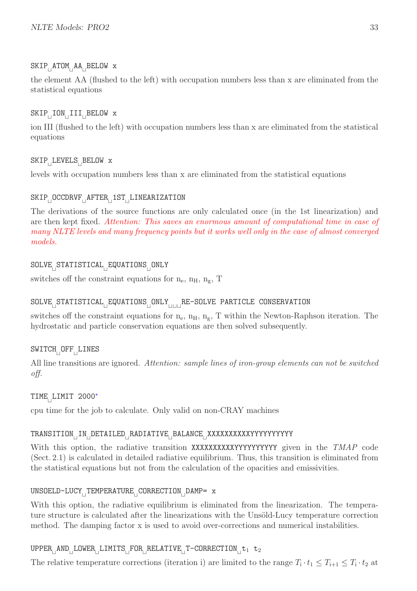# SKIP<sub>⊥I</sub>ATOM<sub>⊥I</sub>AA<sub>⊔</sub>BELOW x

the element AA (flushed to the left) with occupation numbers less than x are eliminated from the statistical equations

# $\texttt{SKIP}_\sqcup \texttt{ION}_\sqcup \texttt{III}_\sqcup \texttt{BELOW}$  x

ion III (flushed to the left) with occupation numbers less than x are eliminated from the statistical equations

# SKIP<sup>⊔</sup> LEVELS<sup>⊔</sup> BELOW x

levels with occupation numbers less than x are eliminated from the statistical equations

# SKIP<sub>⊔</sub>OCCDRVF<sub>⊔</sub>AFTER<sub>⊔</sub>1ST<sub>⊔</sub>LINEARIZATION

The derivations of the source functions are only calculated once (in the 1st linearization) and are then kept fixed. Attention: This saves an enormous amount of computational time in case of many NLTE levels and many frequency points but it works well only in the case of almost converged models.

# SOLVE<sub>⊔</sub>STATISTICAL<sub>∟EQ</sub>UATIONS<sub>⊔</sub>ONLY

switches off the constraint equations for  $n_e$ ,  $n_H$ ,  $n_g$ , T

# SOLVE<sub>L</sub>STATISTICAL<sub>L</sub>EQUATIONS<sub>LI</sub>ONLY<sub>UUU</sub>RE-SOLVE PARTICLE CONSERVATION

switches off the constraint equations for  $n_e$ ,  $n_H$ ,  $n_g$ , T within the Newton-Raphson iteration. The hydrostatic and particle conservation equations are then solved subsequently.

# SWITCH<sup>⊔</sup> OFF<sup>⊔</sup> LINES

All line transitions are ignored. Attention: sample lines of iron-group elements can not be switched off.

# $TIME_{\vert}$ LIMIT 2000<sup>\*</sup>

cpu time for the job to calculate. Only valid on non-CRAY machines

# TRANSITION<sub>⊔</sub>IN<sub>⊔</sub>DETAILED<sub>⊔</sub>RADIATIVE<sub>⊔</sub>BALANCE<sub>⊔</sub>XXXXXXXXXXYYYYYYYYYY

With this option, the radiative transition XXXXXXXXXXYYYYYYYYYYY given in the TMAP code (Sect. 2.1) is calculated in detailed radiative equilibrium. Thus, this transition is eliminated from the statistical equations but not from the calculation of the opacities and emissivities.

# UNSOELD-LUCY<sup>⊔</sup> TEMPERATURE<sup>⊔</sup> CORRECTION<sup>⊔</sup> DAMP= x

With this option, the radiative equilibrium is eliminated from the linearization. The temperature structure is calculated after the linearizations with the Unsöld-Lucy temperature correction method. The damping factor x is used to avoid over-corrections and numerical instabilities.

# $\texttt{UPPER}_{\sqcup}\texttt{AND}_{\sqcup}\texttt{LOWER}_{\sqcup}\texttt{LIMITS}_{\sqcup}\texttt{FOR}_{\sqcup}\texttt{RELATIVE}_{\sqcup}\texttt{T-CORRECTION}_{\sqcup}\texttt{t}_1$  t<sub>2</sub>

The relative temperature corrections (iteration i) are limited to the range  $T_i \cdot t_1 \leq T_{i+1} \leq T_i \cdot t_2$  at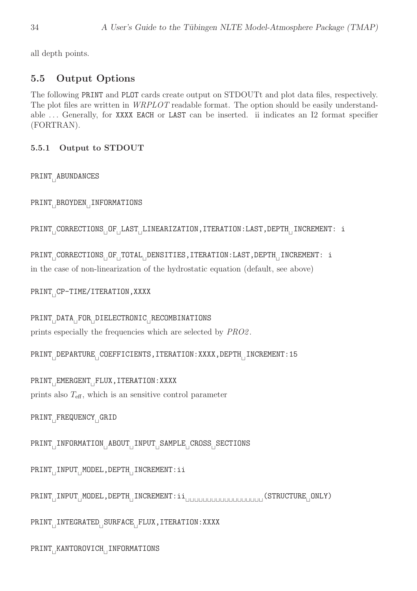all depth points.

# 5.5 Output Options

The following PRINT and PLOT cards create output on STDOUTt and plot data files, respectively. The plot files are written in *WRPLOT* readable format. The option should be easily understandable ... Generally, for XXXX EACH or LAST can be inserted. ii indicates an I2 format specifier (FORTRAN).

#### 5.5.1 Output to STDOUT

PRINT<sub>⊥I</sub>ABUNDANCES

PRINT<sup>⊔</sup> BROYDEN<sup>⊔</sup> INFORMATIONS

```
PRINT<sub>⊔</sub>CORRECTIONS<sub>⊔</sub>OF<sub>⊔</sub>LAST<sub>⊔</sub>LINEARIZATION,ITERATION:LAST,DEPTH<sub>⊔</sub>INCREMENT: i
```
PRINT<sub>⊔</sub>CORRECTIONS<sub>⊔</sub>OF<sub>⊔</sub>TOTAL<sub>⊔</sub>DENSITIES,ITERATION:LAST,DEPTH<sub>⊔</sub>INCREMENT: i in the case of non-linearization of the hydrostatic equation (default, see above)

PRINT<sub>⊔</sub>CP-TIME/ITERATION,XXXX

PRINT<sup>⊔</sup> DATA<sup>⊔</sup> FOR<sup>⊔</sup> DIELECTRONIC<sup>⊔</sup> RECOMBINATIONS prints especially the frequencies which are selected by PRO2 .

PRINT<sub>L</sub>DEPARTURE<sub>L</sub>COEFFICIENTS,ITERATION:XXXX,DEPTH<sub>LI</sub>INCREMENT:15

PRINT<sub>⊔</sub>EMERGENT<sub>⊔</sub>FLUX,ITERATION:XXXX prints also  $T_{\text{eff}}$ , which is an sensitive control parameter

```
PRINT<sub>⊔</sub>FREQUENCY<sub>⊔</sub>GRID
```
PRINT<sup>⊔</sup> INFORMATION<sup>⊔</sup> ABOUT<sup>⊔</sup> INPUT<sup>⊔</sup> SAMPLE<sup>⊔</sup> CROSS<sup>⊔</sup> SECTIONS

PRINT<sub>⊔I</sub>INPUT<sub>⊔I</sub>MODEL,DEPTH<sub>∣I</sub>INCREMENT:ii

PRINT<sub>⊔</sub>INPUT<sub>⊔</sub>MODEL,DEPTH<sub>∪</sub>INCREMENT:ii<sub>∪UUUUU</sub>UUUUUUUUUUUUUUU (STRUCTURE<sub>⊔</sub>ONLY)

PRINT<sub>∟I</sub>INTEGRATED<sub>∟</sub>SURFACE<sub>∟</sub>FLUX,ITERATION:XXXX

PRINT<sub>∪</sub>KANTOROVICH<sub>⊔</sub>INFORMATIONS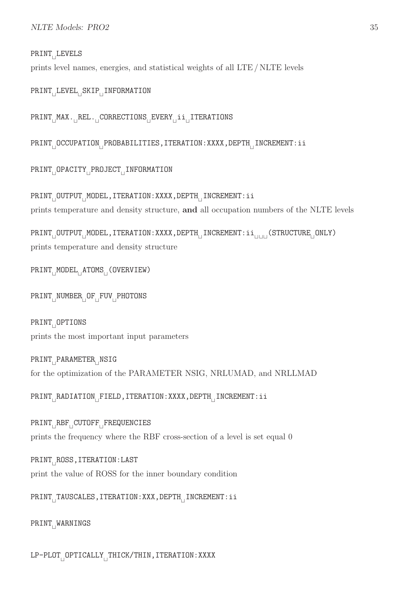# PRINT<sub>∏</sub>LEVELS

prints level names, energies, and statistical weights of all LTE / NLTE levels

```
PRINT<sub>⊔</sub>LEVEL<sub>⊔</sub>SKIP<sub>⊟</sub>INFORMATION
```
PRINT<sub>L</sub>MAX.<sub>LI</sub>REL.<sub>LI</sub>CORRECTIONS<sub>LI</sub>EVERY<sub>LI</sub>ii<sub>LI</sub>ITERATIONS

PRINT<sub>⊔</sub>OCCUPATION<sub>⊔</sub>PROBABILITIES,ITERATION:XXXX,DEPTH<sub>⊔</sub>INCREMENT:ii

```
PRINT<sub>⊔</sub>OPACITY<sub>⊔</sub>PROJECT<sub>⊔</sub>INFORMATION
```
PRINT<sub>L</sub>OUTPUT<sub>L</sub>MODEL,ITERATION:XXXX,DEPTH<sub>LI</sub>INCREMENT:ii prints temperature and density structure, and all occupation numbers of the NLTE levels

PRINT<sub>L</sub>OUTPUT<sub>L</sub>MODEL,ITERATION:XXXX,DEPTH<sub>LI</sub>INCREMENT:ii<sub>UULI</sub>(STRUCTURE<sub>L</sub>ONLY) prints temperature and density structure

```
PRINT<sub>∏</sub>MODEL<sub>⊟</sub>ATOMS<sub>⊟</sub>(OVERVIEW)
```
PRINT<sub>⊔</sub>NUMBER<sub>⊔</sub>OF<sub>⊔</sub>FUV<sub>⊔</sub>PHOTONS

PRINT<sub>∣</sub>OPTIONS prints the most important input parameters

```
PRINT<sub>⊥I</sub>PARAMETER<sub>LI</sub>NSIG
for the optimization of the PARAMETER NSIG, NRLUMAD, and NRLLMAD
```

```
PRINT<sub>I</sub>RADIATION<sub>I</sub>FIELD,ITERATION:XXXX,DEPTH<sub>II</sub>INCREMENT:ii
```
PRINT<sup>⊔</sup> RBF<sup>⊔</sup> CUTOFF<sup>⊔</sup> FREQUENCIES prints the frequency where the RBF cross-section of a level is set equal 0

PRINT<sub>⊔</sub>ROSS,ITERATION:LAST print the value of ROSS for the inner boundary condition

```
PRINT<sub>⊔</sub>TAUSCALES,ITERATION:XXX,DEPTH<sub>⊔</sub>INCREMENT:ii
```
PRINT<sub>⊔</sub>WARNINGS

LP-PLOT<sub>⊔</sub>OPTICALLY<sub>⊔</sub>THICK/THIN,ITERATION:XXXX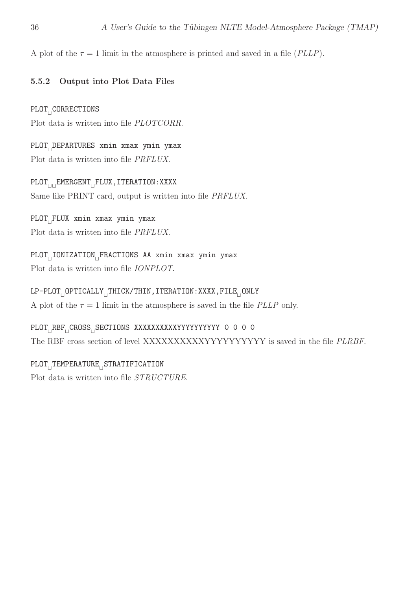A plot of the  $\tau = 1$  limit in the atmosphere is printed and saved in a file (*PLLP*).

#### 5.5.2 Output into Plot Data Files

PLOT<sub>⊥</sub>CORRECTIONS Plot data is written into file PLOTCORR.

PLOT<sup>⊔</sup> DEPARTURES xmin xmax ymin ymax Plot data is written into file PRFLUX.

PLOT<sub>⊔⊔</sub>EMERGENT<sub>⊔</sub>FLUX,ITERATION:XXXX Same like PRINT card, output is written into file PRFLUX.

PLOT<sub>⊥I</sub>FLUX xmin xmax ymin ymax Plot data is written into file PRFLUX.

PLOT<sub>⊥I</sub>IONIZATION<sub>⊥</sub>FRACTIONS AA xmin xmax ymin ymax Plot data is written into file IONPLOT.

LP-PLOT<sub>⊔</sub>OPTICALLY<sub>⊔</sub>THICK/THIN,ITERATION:XXXX,FILE<sub>⊔</sub>ONLY A plot of the  $\tau = 1$  limit in the atmosphere is saved in the file *PLLP* only.

PLOT<sub>⊔</sub>RBF<sub>⊔</sub>CROSS<sub>⊔</sub>SECTIONS XXXXXXXXXXYYYYYYYYYYY O O O O The RBF cross section of level XXXXXXXXXXYYYYYYYYYY is saved in the file PLRBF.

PLOT<sub>⊥</sub>TEMPERATURE<sub>⊔</sub>STRATIFICATION Plot data is written into file STRUCTURE.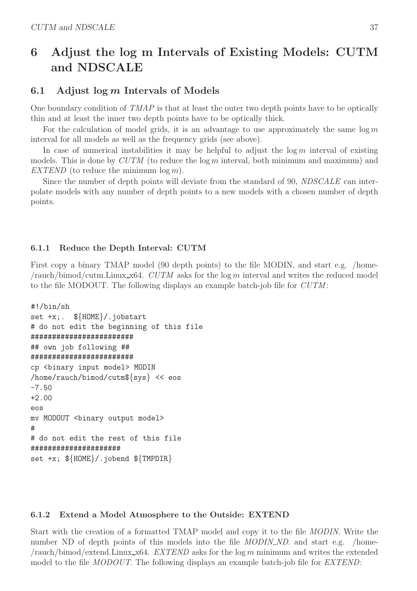# 6 Adjust the log m Intervals of Existing Models: CUTM and NDSCALE

# 6.1 Adjust  $\log m$  Intervals of Models

One boundary condition of  $TMAP$  is that at least the outer two depth points have to be optically thin and at least the inner two depth points have to be optically thick.

For the calculation of model grids, it is an advantage to use approximately the same  $\log m$ interval for all models as well as the frequency grids (see above).

In case of numerical instabilities it may be helpful to adjust the  $\log m$  interval of existing models. This is done by  $CUTM$  (to reduce the log m interval, both minimum and maximum) and EXTEND (to reduce the minimum  $\log m$ ).

Since the number of depth points will deviate from the standard of 90, NDSCALE can interpolate models with any number of depth points to a new models with a chosen number of depth points.

# 6.1.1 Reduce the Depth Interval: CUTM

First copy a binary TMAP model (90 depth points) to the file MODIN, and start e.g. /home- $/$ rauch/bimod/cutm.Linux\_x64. CUTM asks for the log m interval and writes the reduced model to the file MODOUT. The following displays an example batch-job file for CUTM :

```
#!/bin/sh
set +x;. ${HOME}/.jobstart
# do not edit the beginning of this file
########################
## own job following ##
########################
cp <binary input model> MODIN
/home/rauch/bimod/cutm${sys} << eos
-7.50
+2.00
eos
mv MODOUT <br/>binary output model>
#
# do not edit the rest of this file
#####################
set +x; \{\text{HOME}\}/\text{.jobend } \{\text{TMPDIR}\}
```
# 6.1.2 Extend a Model Atmosphere to the Outside: EXTEND

Start with the creation of a formatted TMAP model and copy it to the file MODIN. Write the number ND of depth points of this models into the file *MODIN\_ND*. and start e.g. /home- $/$ rauch/bimod/extend.Linux\_x64. EXTEND asks for the log m minimum and writes the extended model to the file MODOUT. The following displays an example batch-job file for EXTEND: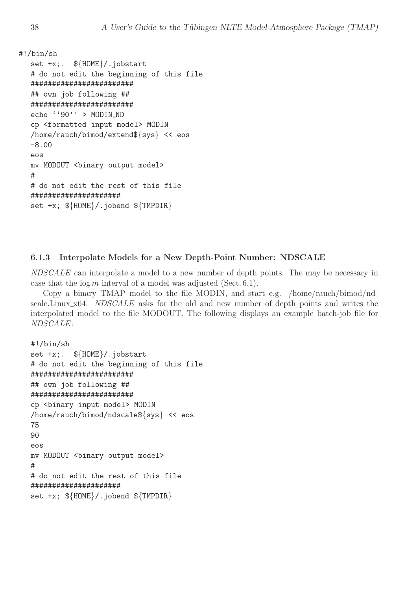```
#!/bin/sh
```

```
set +x;. ${HOME}/.jobstart
# do not edit the beginning of this file
########################
## own job following ##
########################
echo ''90'' > MODIN_ND
cp <formatted input model> MODIN
/home/rauch/bimod/extend${sys} << eos
-8.00
eos
mv MODOUT <br/>binary output model>
#
# do not edit the rest of this file
#####################
set +x; ${HOME}/.jobend ${TMPDIR}
```
#### 6.1.3 Interpolate Models for a New Depth-Point Number: NDSCALE

NDSCALE can interpolate a model to a new number of depth points. The may be necessary in case that the  $log m$  interval of a model was adjusted (Sect. 6.1).

Copy a binary TMAP model to the file MODIN, and start e.g. /home/rauch/bimod/ndscale.Linux  $x64$ . NDSCALE asks for the old and new number of depth points and writes the interpolated model to the file MODOUT. The following displays an example batch-job file for NDSCALE:

```
#!/bin/sh
set +x;. ${HOME}/.jobstart
# do not edit the beginning of this file
########################
## own job following ##
########################
cp <binary input model> MODIN
/home/rauch/bimod/ndscale${sys} << eos
75
90
eos
mv MODOUT <br/>binary output model>
#
# do not edit the rest of this file
#####################
set +x; \{\text{HOME}\}/\text{.jobend } \{\text{TMPDIR}\}
```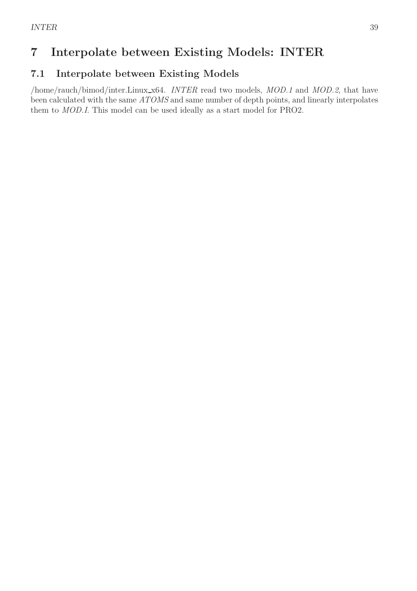# 7 Interpolate between Existing Models: INTER

# 7.1 Interpolate between Existing Models

/home/rauch/bimod/inter.Linux x64. INTER read two models, MOD.1 and MOD.2, that have been calculated with the same ATOMS and same number of depth points, and linearly interpolates them to MOD.I. This model can be used ideally as a start model for PRO2.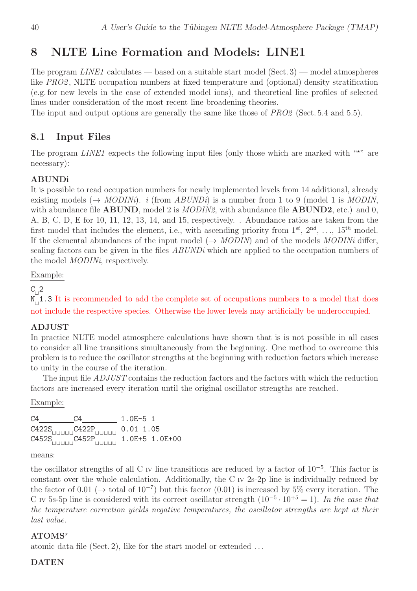# 8 NLTE Line Formation and Models: LINE1

The program  $\textit{LINE1}$  calculates — based on a suitable start model (Sect. 3) — model atmospheres like PRO2, NLTE occupation numbers at fixed temperature and (optional) density stratification (e.g. for new levels in the case of extended model ions), and theoretical line profiles of selected lines under consideration of the most recent line broadening theories.

The input and output options are generally the same like those of  $PRO2$  (Sect. 5.4 and 5.5).

### 8.1 Input Files

The program  $LINE1$  expects the following input files (only those which are marked with " $\star$ " are necessary):

#### ABUNDi

It is possible to read occupation numbers for newly implemented levels from 14 additional, already existing models ( $\rightarrow MODIN_i$ ). *i* (from *ABUNDi*) is a number from 1 to 9 (model 1 is *MODIN*, with abundance file  $ABUND$ , model 2 is  $MODIN2$ , with abundance file  $ABUND2$ , etc.) and 0, A, B, C, D, E for 10, 11, 12, 13, 14, and 15, respectively. . Abundance ratios are taken from the first model that includes the element, i.e., with ascending priority from  $1^{st}$ ,  $2^{nd}$ , ...,  $15^{th}$  model. If the elemental abundances of the input model ( $\rightarrow MODIN$ ) and of the models MODINi differ, scaling factors can be given in the files *ABUNDi* which are applied to the occupation numbers of the model MODINi, respectively.

Example:

 $C_{\vert}^2$ 

N<sub>□</sub>1.3 It is recommended to add the complete set of occupations numbers to a model that does not include the respective species. Otherwise the lower levels may artificially be underoccupied.

#### ADJUST

In practice NLTE model atmosphere calculations have shown that is is not possible in all cases to consider all line transitions simultaneously from the beginning. One method to overcome this problem is to reduce the oscillator strengths at the beginning with reduction factors which increase to unity in the course of the iteration.

The input file *ADJUST* contains the reduction factors and the factors with which the reduction factors are increased every iteration until the original oscillator strengths are reached.

Example:

| C4 | C4                                                                       | 1.0E-5 1 |  |
|----|--------------------------------------------------------------------------|----------|--|
|    | $C422S$ <sub>[HHHH</sub> C422P <sub>[HHHHH</sub> 0.01 1.05]              |          |  |
|    | $C452S$ <sub>111111111</sub> $C452P$ <sub>111111111</sub> 1.0E+5 1.0E+00 |          |  |

means:

the oscillator strengths of all C IV line transitions are reduced by a factor of 10<sup>−</sup><sup>5</sup> . This factor is constant over the whole calculation. Additionally, the C IV 2s-2p line is individually reduced by the factor of 0.01 ( $\rightarrow$  total of 10<sup>-7</sup>) but this factor (0.01) is increased by 5% every iteration. The C IV 5s-5p line is considered with its correct oscillator strength  $(10^{-5} \cdot 10^{+5} = 1)$ . In the case that the temperature correction yields negative temperatures, the oscillator strengths are kept at their last value.

#### $ATOMS^*$

atomic data file (Sect. 2), like for the start model or extended  $\dots$ 

#### DATEN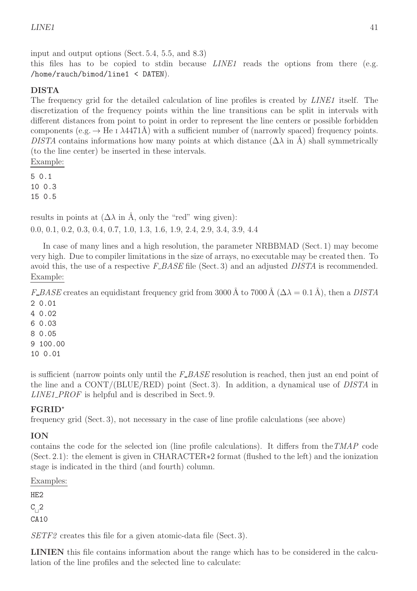input and output options (Sect. 5.4, 5.5, and 8.3) this files has to be copied to stdin because  $LINE1$  reads the options from there (e.g. /home/rauch/bimod/line1 < DATEN).

# DISTA

The frequency grid for the detailed calculation of line profiles is created by *LINE1* itself. The discretization of the frequency points within the line transitions can be split in intervals with different distances from point to point in order to represent the line centers or possible forbidden components (e.g.  $\rightarrow$  He I  $\lambda$ 4471Å) with a sufficient number of (narrowly spaced) frequency points. DISTA contains informations how many points at which distance  $(\Delta \lambda \text{ in } A)$  shall symmetrically (to the line center) be inserted in these intervals. Example:

5 0.1 10 0.3 15 0.5

results in points at  $(\Delta \lambda \text{ in } \text{\AA})$ , only the "red" wing given): 0.0, 0.1, 0.2, 0.3, 0.4, 0.7, 1.0, 1.3, 1.6, 1.9, 2.4, 2.9, 3.4, 3.9, 4.4

In case of many lines and a high resolution, the parameter NRBBMAD (Sect. 1) may become very high. Due to compiler limitations in the size of arrays, no executable may be created then. To avoid this, the use of a respective  $F\_BASE$  file (Sect. 3) and an adjusted DISTA is recommended. Example:

F\_BASE creates an equidistant frequency grid from 3000 Å to 7000 Å ( $\Delta \lambda = 0.1$  Å), then a DISTA 2 0.01

4 0.02

6 0.03

8 0.05

9 100.00

10 0.01

is sufficient (narrow points only until the  $F$ - $BASE$  resolution is reached, then just an end point of the line and a CONT/(BLUE/RED) point (Sect. 3). In addition, a dynamical use of DISTA in LINE1\_PROF is helpful and is described in Sect. 9.

### FGRID<sup>⋆</sup>

frequency grid (Sect. 3), not necessary in the case of line profile calculations (see above)

### ION

contains the code for the selected ion (line profile calculations). It differs from theTMAP code (Sect. 2.1): the element is given in CHARACTER∗2 format (flushed to the left) and the ionization stage is indicated in the third (and fourth) column.

Examples:

HE2  $C_{\square}^2$ CA<sub>10</sub>

SETF2 creates this file for a given atomic-data file (Sect. 3).

LINIEN this file contains information about the range which has to be considered in the calculation of the line profiles and the selected line to calculate: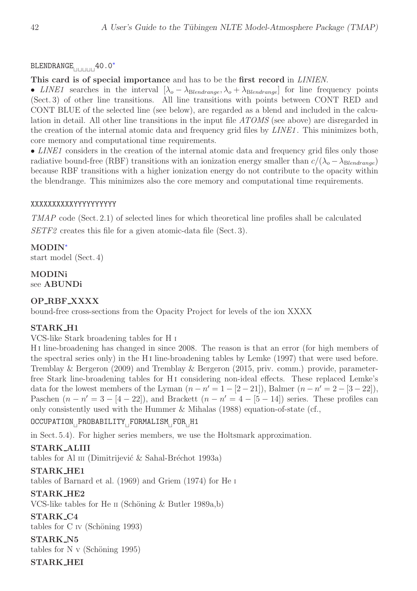# BLENDRANGE<sub>ULU⊔⊔</sub>40.0<sup>\*</sup>

#### This card is of special importance and has to be the first record in *LINIEN*.

• LINE1 searches in the interval  $[\lambda_o - \lambda_{\text{B}lendrange}, \lambda_o + \lambda_{\text{B}lendrange}]$  for line frequency points (Sect. 3) of other line transitions. All line transitions with points between CONT RED and CONT BLUE of the selected line (see below), are regarded as a blend and included in the calculation in detail. All other line transitions in the input file ATOMS (see above) are disregarded in the creation of the internal atomic data and frequency grid files by *LINE1*. This minimizes both, core memory and computational time requirements.

• LINE1 considers in the creation of the internal atomic data and frequency grid files only those radiative bound-free (RBF) transitions with an ionization energy smaller than  $c/(\lambda_o - \lambda_{\text{Blendrange}})$ because RBF transitions with a higher ionization energy do not contribute to the opacity within the blendrange. This minimizes also the core memory and computational time requirements.

#### XXXXXXXXXXYYYYYYYYYY

TMAP code (Sect. 2.1) of selected lines for which theoretical line profiles shall be calculated SETF2 creates this file for a given atomic-data file (Sect. 3).

#### MODIN<sup>∗</sup>

start model (Sect. 4)

# MODINi

see ABUNDi

### OP RBF XXXX

bound-free cross-sections from the Opacity Project for levels of the ion XXXX

#### STARK H1

VCS-like Stark broadening tables for H <sup>I</sup>

H i line-broadening has changed in since 2008. The reason is that an error (for high members of the spectral series only) in the H i line-broadening tables by Lemke (1997) that were used before. Tremblay & Bergeron (2009) and Tremblay & Bergeron (2015, priv. comm.) provide, parameterfree Stark line-broadening tables for H<sub>I</sub> considering non-ideal effects. These replaced Lemke's data for the lowest members of the Lyman  $(n - n' = 1 - [2 - 21])$ , Balmer  $(n - n' = 2 - [3 - 22])$ , Paschen  $(n - n' = 3 - [4 - 22])$ , and Brackett  $(n - n' = 4 - [5 - 14])$  series. These profiles can only consistently used with the Hummer & Mihalas (1988) equation-of-state (cf.,

#### OCCUPATION<sub>⊔</sub>PROBABILITY<sub>⊔</sub>FORMALISM<sub>⊔</sub>FOR<sub>⊔</sub>H1

in Sect. 5.4). For higher series members, we use the Holtsmark approximation.

#### STARK ALIII

tables for Al III (Dimitrijević  $\&$  Sahal-Bréchot 1993a)

#### STARK HE1

tables of Barnard et al. (1969) and Griem (1974) for He <sup>I</sup>

### STARK HE2

VCS-like tables for He II (Schöning  $\&$  Butler 1989a,b)

#### STARK C4

tables for  $C \nV$  (Schöning 1993)

STARK N5 tables for N v (Schöning 1995)

### STARK HEI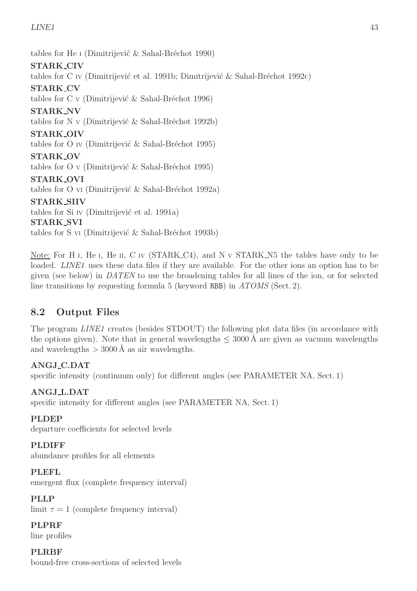tables for He I (Dimitrijević  $\&$  Sahal-Bréchot 1990)

# STARK CIV

tables for C IV (Dimitrijević et al. 1991b; Dimitrijević & Sahal-Bréchot 1992c)

# STARK CV

tables for C v (Dimitrijević  $\&$  Sahal-Bréchot 1996)

### STARK NV

tables for N v (Dimitrijević  $\&$  Sahal-Bréchot 1992b)

### STARK OIV

tables for O IV (Dimitrijević  $\&$  Sahal-Bréchot 1995)

#### STARK OV

tables for O v (Dimitrijević  $\&$  Sahal-Bréchot 1995)

#### STARK OVI

tables for O vi (Dimitrijević  $\&$  Sahal-Bréchot 1992a)

### STARK SIIV

tables for Si IV (Dimitrijević et al. 1991a)

#### STARK SVI

tables for S v<sub>I</sub> (Dimitrijević  $\&$  Sahal-Bréchot 1993b)

Note: For H<sub>I</sub>, He<sub>I</sub>, He<sub>II</sub>, C<sub>IV</sub> (STARK<sub>-C4</sub>), and N<sub>V</sub> STARK<sub>-N</sub><sup>5</sup> the tables have only to be loaded. *LINE1* uses these data files if they are available. For the other ions an option has to be given (see below) in DATEN to use the broadening tables for all lines of the ion, or for selected line transitions by requesting formula 5 (keyword RBB) in  $ATOMS$  (Sect. 2).

# 8.2 Output Files

The program *LINE1* creates (besides STDOUT) the following plot data files (in accordance with the options given). Note that in general wavelengths  $\leq 3000 \text{ Å}$  are given as vacuum wavelengths and wavelengths  $>$  3000 Å as air wavelengths.

### ANGJ C.DAT

specific intensity (continuum only) for different angles (see PARAMETER NA, Sect. 1)

### ANGJ L.DAT

specific intensity for different angles (see PARAMETER NA, Sect. 1)

### PLDEP

departure coefficients for selected levels

### PLDIFF

abundance profiles for all elements

### PLEFL

emergent flux (complete frequency interval)

### PLLP

limit  $\tau = 1$  (complete frequency interval)

PLPRF line profiles

**PLRBF** bound-free cross-sections of selected levels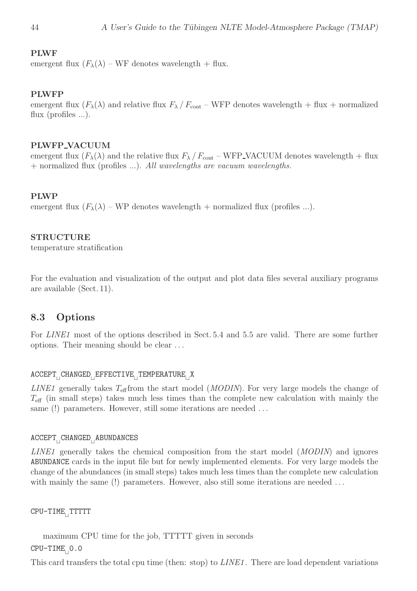#### PLWF

emergent flux  $(F_{\lambda}(\lambda) - WF$  denotes wavelength + flux.

#### PLWFP

emergent flux  $(F_{\lambda}(\lambda))$  and relative flux  $F_{\lambda}/F_{\text{cont}}$  – WFP denotes wavelength + flux + normalized flux (profiles ...).

#### PLWFP VACUUM

emergent flux  $(F_{\lambda}(\lambda))$  and the relative flux  $F_{\lambda}/F_{\text{cont}}$  – WFP\_VACUUM denotes wavelength + flux + normalized flux (profiles ...). All wavelengths are vacuum wavelengths.

#### PLWP

emergent flux  $(F_{\lambda}(\lambda) - WP$  denotes wavelength + normalized flux (profiles ...).

#### STRUCTURE

temperature stratification

For the evaluation and visualization of the output and plot data files several auxiliary programs are available (Sect. 11).

#### 8.3 Options

For LINE1 most of the options described in Sect. 5.4 and 5.5 are valid. There are some further options. Their meaning should be clear . . .

### ACCEPT<sub>⊔</sub>CHANGED<sub>⊔</sub>EFFECTIVE<sub>⊔</sub>TEMPERATURE<sub>⊔</sub>X

LINE1 generally takes  $T_{\text{eff}}$  from the start model (*MODIN*). For very large models the change of  $T_{\text{eff}}$  (in small steps) takes much less times than the complete new calculation with mainly the same (!) parameters. However, still some iterations are needed ...

#### ACCEPT<sub>⊥</sub>CHANGED<sub>⊥</sub>ABUNDANCES

LINE1 generally takes the chemical composition from the start model (MODIN) and ignores ABUNDANCE cards in the input file but for newly implemented elements. For very large models the change of the abundances (in small steps) takes much less times than the complete new calculation with mainly the same (!) parameters. However, also still some iterations are needed ...

CPU-TIME<sub>LI</sub>TTTTT

maximum CPU time for the job, TTTTT given in seconds CPU-TIME<sub>⊔</sub>0.0

This card transfers the total cpu time (then: stop) to *LINE1*. There are load dependent variations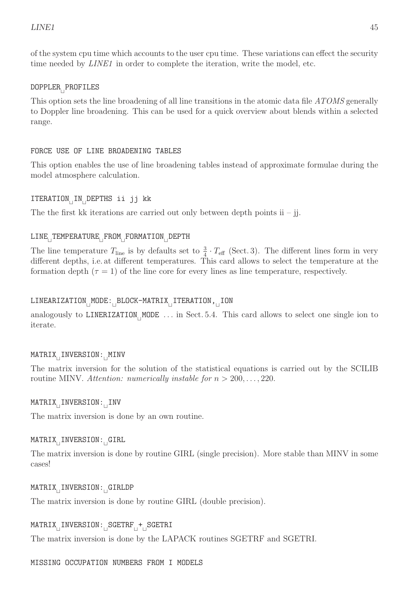of the system cpu time which accounts to the user cpu time. These variations can effect the security time needed by *LINE1* in order to complete the iteration, write the model, etc.

# DOPPLER<sub>⊔</sub>PROFILES

This option sets the line broadening of all line transitions in the atomic data file ATOMS generally to Doppler line broadening. This can be used for a quick overview about blends within a selected range.

#### FORCE USE OF LINE BROADENING TABLES

This option enables the use of line broadening tables instead of approximate formulae during the model atmosphere calculation.

# ITERATION<sup>⊔</sup> IN<sup>⊔</sup> DEPTHS ii jj kk

The the first kk iterations are carried out only between depth points  $ii - ji$ .

# LINE<sub>L</sub>TEMPERATURE<sub>L</sub>FROM<sub>LI</sub>FORMATION<sub>LI</sub>DEPTH

The line temperature  $T_{\text{line}}$  is by defaults set to  $\frac{3}{4} \cdot T_{\text{eff}}$  (Sect. 3). The different lines form in very different depths, i.e. at different temperatures. This card allows to select the temperature at the formation depth  $(\tau = 1)$  of the line core for every lines as line temperature, respectively.

# LINEARIZATION<sub>⊔</sub>MODE:<sub>⊔</sub>BLOCK-MATRIX<sub>⊔</sub>ITERATION,<sub>⊔</sub>ION

analogously to LINERIZATION<sub>⊥</sub>MODE ... in Sect. 5.4. This card allows to select one single ion to iterate.

# MATRIX<sub>⊔</sub>INVERSION:<sub>⊔</sub>MINV

The matrix inversion for the solution of the statistical equations is carried out by the SCILIB routine MINV. Attention: numerically instable for  $n > 200, \ldots, 220$ .

# MATRIX<sub>∟</sub>INVERSION:<sub>⊔</sub>INV

The matrix inversion is done by an own routine.

# MATRIX<sub>⊔</sub>INVERSION:<sub>⊔</sub>GIRL

The matrix inversion is done by routine GIRL (single precision). More stable than MINV in some cases!

# MATRIX<sub>⊔</sub>INVERSION:<sub>⊔</sub>GIRLDP

The matrix inversion is done by routine GIRL (double precision).

# MATRIX<sub>⊔</sub>INVERSION:<sub>⊔</sub>SGETRF<sub>⊔</sub>+<sub>⊔</sub>SGETRI

The matrix inversion is done by the LAPACK routines SGETRF and SGETRI.

MISSING OCCUPATION NUMBERS FROM I MODELS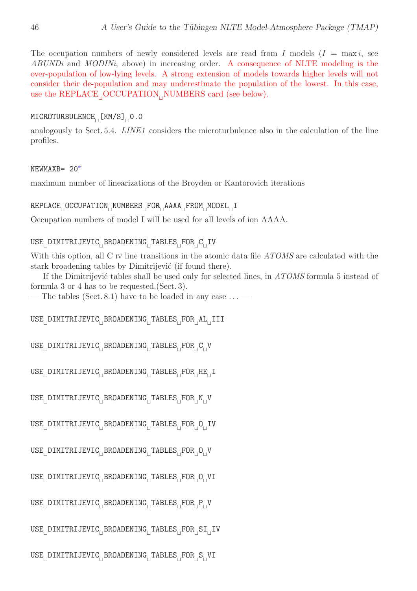The occupation numbers of newly considered levels are read from I models  $(I = \max i, \text{ see})$ ABUNDi and MODINi, above) in increasing order. A consequence of NLTE modeling is the over-population of low-lying levels. A strong extension of models towards higher levels will not consider their de-population and may underestimate the population of the lowest. In this case, use the REPLACE<sub>⊥</sub>OCCUPATION<sub>⊥</sub>NUMBERS card (see below).

#### MICROTURBULENCE<sub>∟L</sub>[KM/S]<sub>∣I</sub>O.O

analogously to Sect. 5.4. *LINE1* considers the microturbulence also in the calculation of the line profiles.

#### NEWMAXB= 20<sup>∗</sup>

maximum number of linearizations of the Broyden or Kantorovich iterations

#### REPLACE<sub>⊔</sub>OCCUPATION<sub>⊔</sub>NUMBERS<sub>⊔</sub>FOR<sub>⊔</sub>AAAA<sub>⊔</sub>FROM<sub>⊔</sub>MODEL<sub>⊔</sub>I

Occupation numbers of model I will be used for all levels of ion AAAA.

#### USE<sub>⊥</sub>DIMITRIJEVIC<sub>⊥</sub>BROADENING<sub>⊥</sub>TABLES<sub>⊥</sub>FOR<sub>⊥</sub>C<sub>⊥</sub>IV

With this option, all C IV line transitions in the atomic data file ATOMS are calculated with the stark broadening tables by Dimitrijević (if found there).

If the Dimitrijević tables shall be used only for selected lines, in ATOMS formula 5 instead of formula 3 or 4 has to be requested.(Sect. 3).

— The tables (Sect. 8.1) have to be loaded in any case  $\dots$  —

USE<sub>⊔</sub>DIMITRIJEVIC<sub>⊔</sub>BROADENING<sub>⊔</sub>TABLES<sub>⊔</sub>FOR<sub>⊔</sub>AL<sub>⊔</sub>III

```
USE<sub>⊔</sub>DIMITRIJEVIC<sub>⊔</sub>BROADENING<sub>⊔</sub>TABLES<sub>⊔</sub>FOR<sub>⊔</sub>C<sub>⊔</sub>V
```
USE<sub>⊔</sub>DIMITRIJEVIC<sub>⊔</sub>BROADENING<sub>⊔</sub>TABLES<sub>⊔</sub>FOR<sub>⊔</sub>HE<sub>⊔</sub>I

USE<sub>⊔</sub>DIMITRIJEVIC<sub>⊔</sub>BROADENING<sub>⊔</sub>TABLES<sub>⊔</sub>FOR<sub>⊔</sub>N<sub>⊥</sub>V

USE<sub>⊥</sub>DIMITRIJEVIC<sub>⊥</sub>BROADENING<sub>⊥</sub>TABLES<sub>⊥</sub>FOR<sub>⊥</sub>O<sub>⊥</sub>IV

USE<sub>⊔</sub>DIMITRIJEVIC<sub>⊔</sub>BROADENING<sub>⊔</sub>TABLES<sub>⊔</sub>FOR<sub>⊔</sub>O<sub>⊟</sub>V

USE<sub>⊔</sub>DIMITRIJEVIC<sub>⊔</sub>BROADENING<sub>⊔</sub>TABLES<sub>⊔</sub>FOR<sub>⊔</sub>O⊔VI

USE<sub>⊔</sub>DIMITRIJEVIC<sub>⊔</sub>BROADENING<sub>⊔</sub>TABLES<sub>⊔</sub>FOR<sub>⊔</sub>P<sub>⊔</sub>V

USE<sub>⊔</sub>DIMITRIJEVIC<sub>⊔</sub>BROADENING<sub>⊔</sub>TABLES<sub>⊔</sub>FOR<sub>⊔</sub>SI<sub>⊔</sub>IV

USE<sub>⊔</sub>DIMITRIJEVIC<sub>⊔</sub>BROADENING<sub>⊔</sub>TABLES<sub>⊔</sub>FOR<sub>⊔</sub>S⊔VI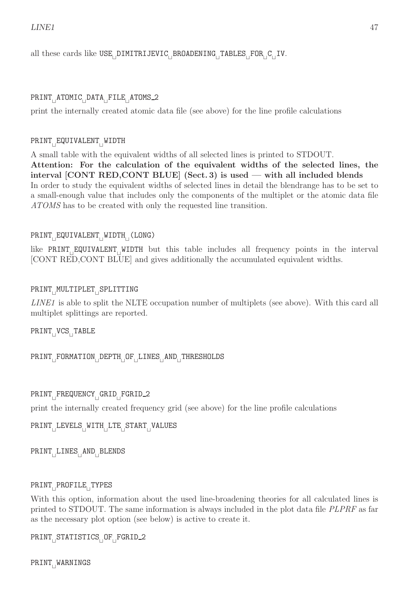all these cards like USE<sub>⊥</sub>DIMITRIJEVIC<sub>⊥</sub>BROADENING<sub>⊥</sub>TABLES<sub>⊥</sub>FOR<sub>⊥</sub>C<sub>⊥</sub>IV.

# PRINT<sub>⊔</sub>ATOMIC<sub>⊔</sub>DATA<sub>⊔</sub>FILE<sub>⊔</sub>ATOMS\_2

print the internally created atomic data file (see above) for the line profile calculations

# PRINT<sub>⊔</sub>EQUIVALENT<sub>⊔</sub>WIDTH

A small table with the equivalent widths of all selected lines is printed to STDOUT. Attention: For the calculation of the equivalent widths of the selected lines, the interval [CONT RED,CONT BLUE] (Sect. 3) is used — with all included blends In order to study the equivalent widths of selected lines in detail the blendrange has to be set to a small-enough value that includes only the components of the multiplet or the atomic data file ATOMS has to be created with only the requested line transition.

# PRINT<sub>⊔</sub>EQUIVALENT<sub>⊔</sub>WIDTH<sub>⊔</sub>(LONG)

like PRINT<sup>⊔</sup> EQUIVALENT<sup>⊔</sup> WIDTH but this table includes all frequency points in the interval [CONT RED,CONT BLUE] and gives additionally the accumulated equivalent widths.

# PRINT<sub>∟</sub>MULTIPLET<sub>∟I</sub>SPLITTING

LINE1 is able to split the NLTE occupation number of multiplets (see above). With this card all multiplet splittings are reported.

PRINT<sub>⊔</sub>VCS<sub>⊔</sub>TABLE

PRINT<sub>⊥</sub>FORMATION<sub>□</sub>DEPTH<sub>□</sub>OF<sub>□</sub>LINES<sub>□</sub>AND<sub>□</sub>THRESHOLDS

# PRINT<sub>⊔</sub>FREQUENCY<sub>⊔</sub>GRID\_FGRID\_2

print the internally created frequency grid (see above) for the line profile calculations

PRINT<sup>⊔</sup> LEVELS<sup>⊔</sup> WITH<sup>⊔</sup> LTE<sup>⊔</sup> START<sup>⊔</sup> VALUES

PRINT<sup>⊔</sup> LINES<sup>⊔</sup> AND<sup>⊔</sup> BLENDS

### PRINT<sub>⊔</sub>PROFILE<sub>⊔</sub>TYPES

With this option, information about the used line-broadening theories for all calculated lines is printed to STDOUT. The same information is always included in the plot data file PLPRF as far as the necessary plot option (see below) is active to create it.

PRINT<sub>⊔</sub>STATISTICS<sub>⊟</sub>OF<sub>⊔</sub>FGRID\_2

PRINT<sub>∣</sub>WARNINGS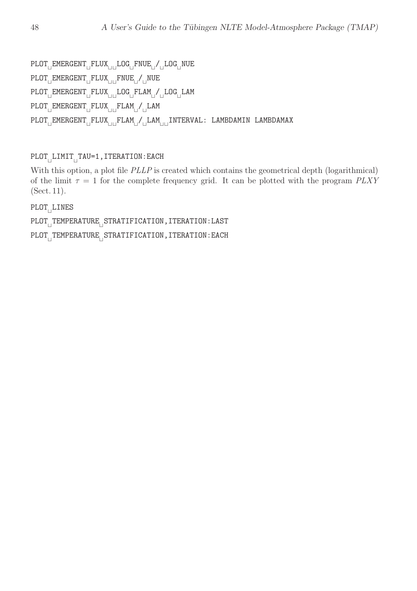PLOT<sub>⊔</sub>EMERGENT<sub>⊔</sub>FLUX<sub>⊔⊔</sub>LOG<sub>⊔</sub>FNUE<sub>⊔</sub>/<sub>U</sub>LOG<sub>⊔</sub>NUE PLOT<sub>⊔</sub>EMERGENT<sub>⊔</sub>FLUX<sub>⊔⊔</sub>FNUE<sub>⊔</sub>/<sub>⊔</sub>NUE PLOT<sub>⊟</sub>EMERGENT<sub>⊟</sub> FLUX<sub>⊔⊔ L</sub>LOG<sub>⊟</sub>FLAM<sub>⊔</sub>/ ⊔LOG<sub>⊟</sub>LAM PLOT<sub>⊔</sub>EMERGENT<sub>⊔</sub>FLUX<sub>⊔⊔</sub>FLAM<sub>⊔</sub>/<sub>⊔</sub>LAM PLOT<sub>⊔</sub>EMERGENT<sub>U</sub>FLUX<sub>⊔U</sub>FLAM<sub>U</sub>/ULAM<sub>UU</sub>INTERVAL: LAMBDAMIN LAMBDAMAX

PLOT<sub>⊔</sub>LIMIT<sub>⊔</sub>TAU=1,ITERATION:EACH

With this option, a plot file *PLLP* is created which contains the geometrical depth (logarithmical) of the limit  $\tau = 1$  for the complete frequency grid. It can be plotted with the program  $PLXY$ (Sect. 11).

PLOT<sub>⊔</sub>LINES

PLOT<sub>∟I</sub>TEMPERATURE<sub>∟</sub>STRATIFICATION,ITERATION:LAST

PLOT<sub>∟I</sub>TEMPERATURE<sub>∟</sub>STRATIFICATION,ITERATION:EACH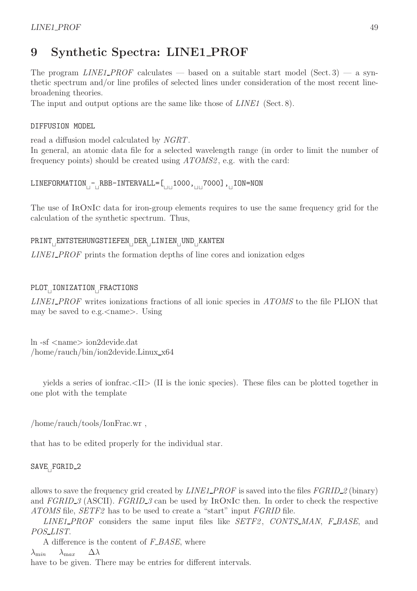# 9 Synthetic Spectra: LINE1 PROF

The program LINE1\_PROF calculates — based on a suitable start model (Sect. 3) — a synthetic spectrum and/or line profiles of selected lines under consideration of the most recent linebroadening theories.

The input and output options are the same like those of *LINE1* (Sect. 8).

#### DIFFUSION MODEL

read a diffusion model calculated by NGRT.

In general, an atomic data file for a selected wavelength range (in order to limit the number of frequency points) should be created using ATOMS2 , e.g. with the card:

LINEFORMATION<sub>ITII</sub>RBB-INTERVALL=[<sub>UII</sub>1000,<sub>IIII</sub>7000],<sub>II</sub>ION=NON

The use of IRONIC data for iron-group elements requires to use the same frequency grid for the calculation of the synthetic spectrum. Thus,

#### PRINT<sub>⊔</sub>ENTSTEHUNGSTIEFEN<sub>⊔</sub>DER<sub>⊔</sub>LINIEN<sub>⊔</sub>UND<sub>⊔</sub>KANTEN

LINE1\_PROF prints the formation depths of line cores and ionization edges

#### PLOT<sub>⊥I</sub>IONIZATION<sub>⊥FRACTIONS</sub>

LINE1\_PROF writes ionizations fractions of all ionic species in ATOMS to the file PLION that may be saved to e.g.  $\langle$  name $\rangle$ . Using

ln -sf <name> ion2devide.dat /home/rauch/bin/ion2devide.Linux x64

yields a series of ionfrac.<II> (II is the ionic species). These files can be plotted together in one plot with the template

/home/rauch/tools/IonFrac.wr ,

that has to be edited properly for the individual star.

#### SAVE<sub>⊔</sub>FGRID<sub>-2</sub>

allows to save the frequency grid created by *LINE1\_PROF* is saved into the files *FGRID\_2* (binary) and  $FGRID\_3$  (ASCII).  $FGRID\_3$  can be used by IRONIC then. In order to check the respective ATOMS file, SETF2 has to be used to create a "start" input FGRID file.

 $LINE1\_PROF$  considers the same input files like  $SETF2$ ,  $CONTS\_MAN$ ,  $F\_BASE$ , and POS\_LIST.

A difference is the content of  $F\_BASE$ , where  $\lambda_{\text{min}} \quad \lambda_{\text{max}} \quad \Delta \lambda$ have to be given. There may be entries for different intervals.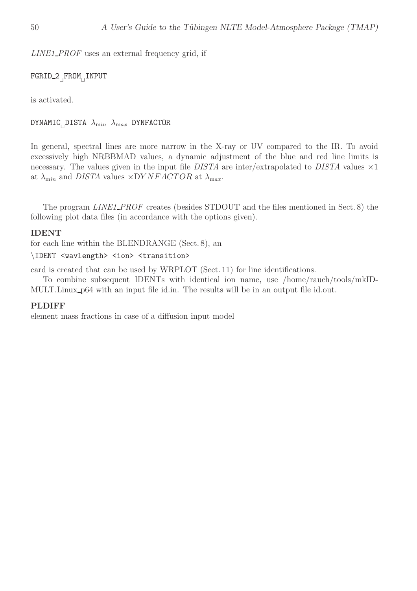LINE1\_PROF uses an external frequency grid, if

FGRID<sub>-</sub>2<sub>⊔</sub>FROM<sub>⊔</sub>INPUT

is activated.

DYNAMIC $_{\sqcup}$ DISTA  $\lambda_{\mathrm min}$   $\lambda_{\mathrm max}$  DYNFACTOR

In general, spectral lines are more narrow in the X-ray or UV compared to the IR. To avoid excessively high NRBBMAD values, a dynamic adjustment of the blue and red line limits is necessary. The values given in the input file  $DISTA$  are inter/extrapolated to  $DISTA$  values  $\times 1$ at  $\lambda_{\min}$  and *DISTA* values  $\times DYNFACTOR$  at  $\lambda_{\max}$ .

The program LINE1\_PROF creates (besides STDOUT and the files mentioned in Sect. 8) the following plot data files (in accordance with the options given).

#### IDENT

for each line within the BLENDRANGE (Sect. 8), an

#### \IDENT <wavlength> <ion> <transition>

card is created that can be used by WRPLOT (Sect. 11) for line identifications.

To combine subsequent IDENTs with identical ion name, use /home/rauch/tools/mkID-MULT.Linux p64 with an input file id.in. The results will be in an output file id.out.

#### PLDIFF

element mass fractions in case of a diffusion input model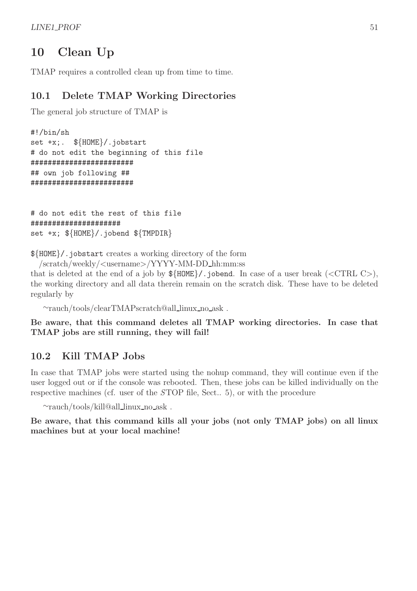# 10 Clean Up

TMAP requires a controlled clean up from time to time.

# 10.1 Delete TMAP Working Directories

The general job structure of TMAP is

```
#!/bin/sh
set +x;. ${HOME}/.jobstart
# do not edit the beginning of this file
########################
## own job following ##
########################
```

```
# do not edit the rest of this file
#####################
set +x; \{\text{HOME}\}/\text{.jobend } \{\text{TMPDIR}\}
```
\${HOME}/.jobstart creates a working directory of the form

/scratch/weekly/<username>/YYYY-MM-DD hh:mm:ss

that is deleted at the end of a job by  $\{\text{HOME}\}/\text{.jobend.}$  In case of a user break (<CTRL C>), the working directory and all data therein remain on the scratch disk. These have to be deleted regularly by

∼rauch/tools/clearTMAPscratch@all linux no ask .

Be aware, that this command deletes all TMAP working directories. In case that TMAP jobs are still running, they will fail!

# 10.2 Kill TMAP Jobs

In case that TMAP jobs were started using the nohup command, they will continue even if the user logged out or if the console was rebooted. Then, these jobs can be killed individually on the respective machines (cf. user of the STOP file, Sect.. 5), or with the procedure

∼rauch/tools/kill@all linux no ask .

Be aware, that this command kills all your jobs (not only TMAP jobs) on all linux machines but at your local machine!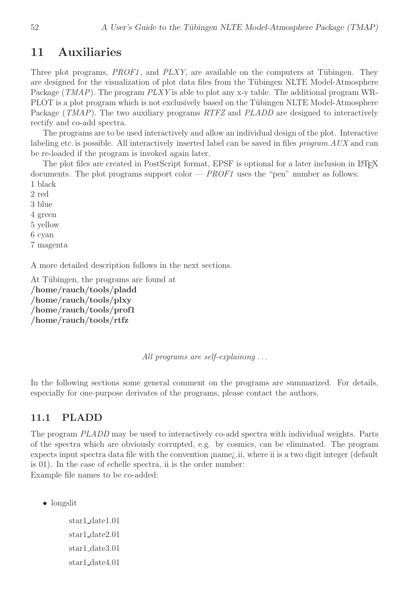# 11 Auxiliaries

Three plot programs,  $PROF1$ , and  $PLXY$ , are available on the computers at Tübingen. They are designed for the visualization of plot data files from the Tübingen NLTE Model-Atmosphere Package (*TMAP*). The program *PLXY* is able to plot any x-y table. The additional program WR-PLOT is a plot program which is not exclusively based on the Tübingen NLTE Model-Atmosphere Package (TMAP). The two auxiliary programs RTFZ and PLADD are designed to interactively rectify and co-add spectra.

The programs are to be used interactively and allow an individual design of the plot. Interactive labeling etc. is possible. All interactively inserted label can be saved in files *program.AUX* and can be re-loaded if the program is invoked again later.

The plot files are created in PostScript format, EPSF is optional for a later inclusion in LATEX documents. The plot programs support color  $-$  *PROF1* uses the "pen" number as follows: 1 black

2 red

3 blue

4 green

5 yellow

6 cyan

7 magenta

A more detailed description follows in the next sections.

At Tübingen, the programs are found at /home/rauch/tools/pladd /home/rauch/tools/plxy /home/rauch/tools/prof1 /home/rauch/tools/rtfz

All programs are self-explaining ...

In the following sections some general comment on the programs are summarized. For details, especially for one-purpose derivates of the programs, please contact the authors.

### 11.1 PLADD

The program PLADD may be used to interactively co-add spectra with individual weights. Parts of the spectra which are obviously corrupted, e.g. by cosmics, can be eliminated. The program expects input spectra data file with the convention ¡name¿.ii, where ii is a two digit integer (default is 01). In the case of echelle spectra, ii is the order number: Example file names to be co-added:

• longslit

star1 date1.01 star1 date2.01 star1 date3.01 star1 date4.01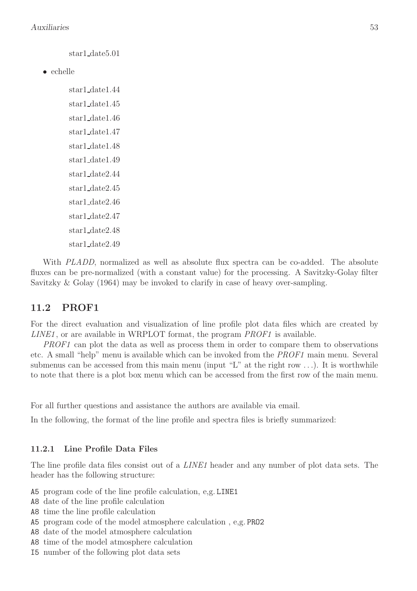star1 date5.01

• echelle

star1 date1.44 star1 date1.45 star1 date1.46 star1 date1.47 star1 date1.48 star1 date1.49 star1 date2.44 star1 date2.45 star1 date2.46 star1 date2.47 star1 date2.48 star1 date2.49

With *PLADD*, normalized as well as absolute flux spectra can be co-added. The absolute fluxes can be pre-normalized (with a constant value) for the processing. A Savitzky-Golay filter Savitzky & Golay (1964) may be invoked to clarify in case of heavy over-sampling.

#### 11.2 PROF1

For the direct evaluation and visualization of line profile plot data files which are created by  $LINE1$ , or are available in WRPLOT format, the program  $PROF1$  is available.

PROF1 can plot the data as well as process them in order to compare them to observations etc. A small "help" menu is available which can be invoked from the PROF1 main menu. Several submenus can be accessed from this main menu (input "L" at the right row  $\dots$ ). It is worthwhile to note that there is a plot box menu which can be accessed from the first row of the main menu.

For all further questions and assistance the authors are available via email.

In the following, the format of the line profile and spectra files is briefly summarized:

#### 11.2.1 Line Profile Data Files

The line profile data files consist out of a *LINE1* header and any number of plot data sets. The header has the following structure:

- A5 program code of the line profile calculation, e,g. LINE1
- A8 date of the line profile calculation
- A8 time the line profile calculation
- A5 program code of the model atmosphere calculation , e,g. PRO2
- A8 date of the model atmosphere calculation
- A8 time of the model atmosphere calculation
- I5 number of the following plot data sets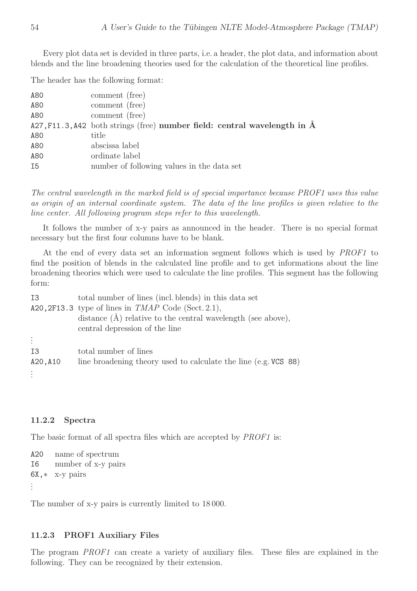Every plot data set is devided in three parts, i.e. a header, the plot data, and information about blends and the line broadening theories used for the calculation of the theoretical line profiles.

The header has the following format:

| A80 | comment (free)                                                                  |
|-----|---------------------------------------------------------------------------------|
| A80 | comment (free)                                                                  |
| A80 | comment (free)                                                                  |
|     | $A27, F11.3, A42$ both strings (free) number field: central wavelength in $\AA$ |
| A80 | title                                                                           |
| A80 | abscissa label                                                                  |
| A80 | ordinate label                                                                  |
| I5  | number of following values in the data set                                      |

The central wavelength in the marked field is of special importance because PROF1 uses this value as origin of an internal coordinate system. The data of the line profiles is given relative to the line center. All following program steps refer to this wavelength.

It follows the number of x-y pairs as announced in the header. There is no special format necessary but the first four columns have to be blank.

At the end of every data set an information segment follows which is used by PROF1 to find the position of blends in the calculated line profile and to get informations about the line broadening theories which were used to calculate the line profiles. This segment has the following form:

| I3       | total number of lines (incl. blends) in this data set                |
|----------|----------------------------------------------------------------------|
|          | A20, 2F13.3 type of lines in $TMAP$ Code (Sect. 2.1),                |
|          | distance $(\hat{A})$ relative to the central wavelength (see above), |
|          | central depression of the line                                       |
|          |                                                                      |
| Т3       | total number of lines                                                |
| A20, A10 | line broadening theory used to calculate the line (e.g. VCS 88)      |
|          |                                                                      |
|          |                                                                      |

#### 11.2.2 Spectra

The basic format of all spectra files which are accepted by *PROF1* is:

```
A20 name of spectrum
I6 number of x-y pairs
6X,∗ x-y pairs
.
.
.
```
The number of x-y pairs is currently limited to 18 000.

#### 11.2.3 PROF1 Auxiliary Files

The program PROF1 can create a variety of auxiliary files. These files are explained in the following. They can be recognized by their extension.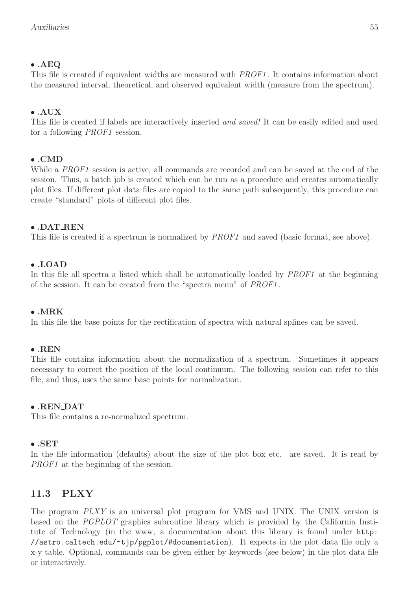### • .AEQ

This file is created if equivalent widths are measured with *PROF1*. It contains information about the measured interval, theoretical, and observed equivalent width (measure from the spectrum).

#### • .AUX

This file is created if labels are interactively inserted *and saved!* It can be easily edited and used for a following PROF1 session.

#### • .CMD

While a *PROF1* session is active, all commands are recorded and can be saved at the end of the session. Thus, a batch job is created which can be run as a procedure and creates automatically plot files. If different plot data files are copied to the same path subsequently, this procedure can create "standard" plots of different plot files.

#### • .DAT REN

This file is created if a spectrum is normalized by PROF1 and saved (basic format, see above).

#### • .LOAD

In this file all spectra a listed which shall be automatically loaded by PROF1 at the beginning of the session. It can be created from the "spectra menu" of PROF1 .

#### • .MRK

In this file the base points for the rectification of spectra with natural splines can be saved.

#### • .REN

This file contains information about the normalization of a spectrum. Sometimes it appears necessary to correct the position of the local continuum. The following session can refer to this file, and thus, uses the same base points for normalization.

#### • .REN DAT

This file contains a re-normalized spectrum.

#### • .SET

In the file information (defaults) about the size of the plot box etc. are saved. It is read by PROF1 at the beginning of the session.

# 11.3 PLXY

The program PLXY is an universal plot program for VMS and UNIX. The UNIX version is based on the PGPLOT graphics subroutine library which is provided by the California Institute of Technology (in the www, a documentation about this library is found under http: //astro.caltech.edu/~tjp/pgplot/#documentation). It expects in the plot data file only a x-y table. Optional, commands can be given either by keywords (see below) in the plot data file or interactively.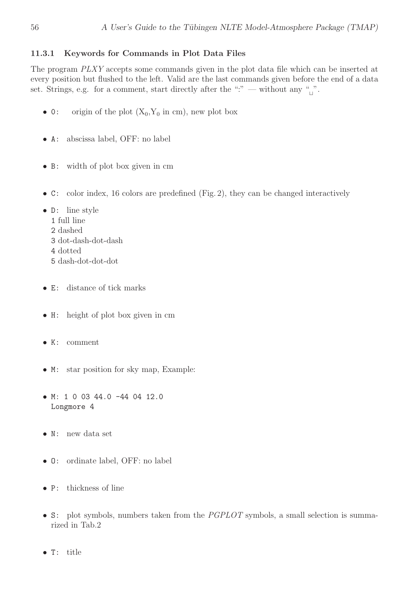#### 11.3.1 Keywords for Commands in Plot Data Files

The program PLXY accepts some commands given in the plot data file which can be inserted at every position but flushed to the left. Valid are the last commands given before the end of a data set. Strings, e.g. for a comment, start directly after the ":" — without any "<sub>⊥"</sub>.

- 0: origin of the plot  $(X_0, Y_0 \text{ in cm})$ , new plot box
- A: abscissa label, OFF: no label
- B: width of plot box given in cm
- C: color index, 16 colors are predefined (Fig. 2), they can be changed interactively
- D: line style
	- 1 full line
	- 2 dashed
	- 3 dot-dash-dot-dash
	- 4 dotted
	- 5 dash-dot-dot-dot
- E: distance of tick marks
- H: height of plot box given in cm
- K: comment
- M: star position for sky map, Example:
- M: 1 0 03 44.0 -44 04 12.0 Longmore 4
- N: new data set
- O: ordinate label, OFF: no label
- P: thickness of line
- S: plot symbols, numbers taken from the *PGPLOT* symbols, a small selection is summarized in Tab.2
- T: title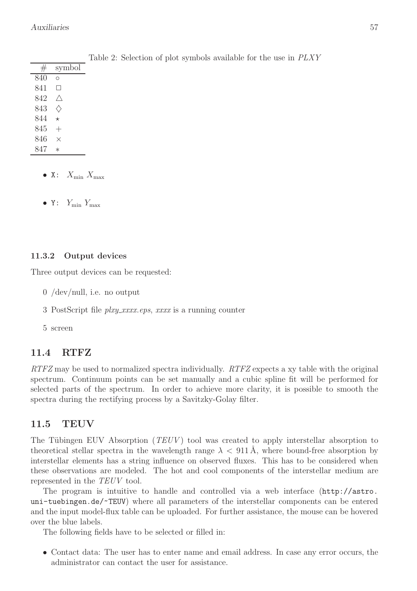| $^{\#}$ | symbol       |
|---------|--------------|
| 840     | Ο            |
| 841     | $\mathbf{1}$ |
| 842     |              |
| 843     |              |
| 844     | $^\star$     |
| 845     |              |
| 846     | ×            |
| 847     | $^\star$     |

Table 2: Selection of plot symbols available for the use in PLXY

- X:  $X_{\min}$   $X_{\max}$
- Y:  $Y_{\text{min}} Y_{\text{max}}$

#### 11.3.2 Output devices

Three output devices can be requested:

- 0 /dev/null, i.e. no output
- 3 PostScript file *plxy\_xxxx.eps, xxxx* is a running counter
- 5 screen

# 11.4 RTFZ

 $RTFZ$  may be used to normalized spectra individually.  $RTFZ$  expects a xy table with the original spectrum. Continuum points can be set manually and a cubic spline fit will be performed for selected parts of the spectrum. In order to achieve more clarity, it is possible to smooth the spectra during the rectifying process by a Savitzky-Golay filter.

# 11.5 TEUV

The Tübingen EUV Absorption  $(TEUV)$  tool was created to apply interstellar absorption to theoretical stellar spectra in the wavelength range  $\lambda < 911 \text{\AA}$ , where bound-free absorption by interstellar elements has a string influence on observed fluxes. This has to be considered when these observations are modeled. The hot and cool components of the interstellar medium are represented in the TEUV tool.

The program is intuitive to handle and controlled via a web interface (http://astro. uni-tuebingen.de/~TEUV) where all parameters of the interstellar components can be entered and the input model-flux table can be uploaded. For further assistance, the mouse can be hovered over the blue labels.

The following fields have to be selected or filled in:

• Contact data: The user has to enter name and email address. In case any error occurs, the administrator can contact the user for assistance.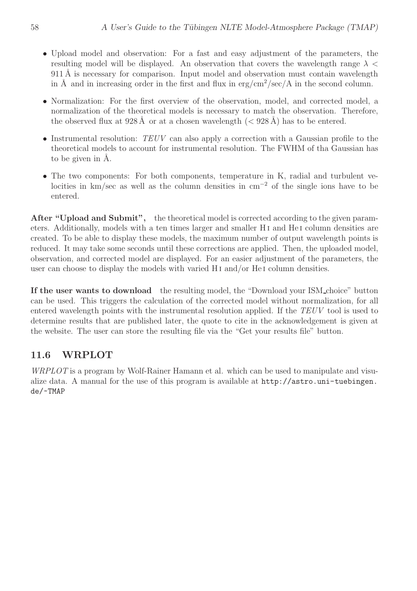- Upload model and observation: For a fast and easy adjustment of the parameters, the resulting model will be displayed. An observation that covers the wavelength range  $\lambda$  <  $911 \text{\AA}$  is necessary for comparison. Input model and observation must contain wavelength in Å and in increasing order in the first and flux in  $\exp{\frac{\pi x}{\sec}}$  and the second column.
- Normalization: For the first overview of the observation, model, and corrected model, a normalization of the theoretical models is necessary to match the observation. Therefore, the observed flux at 928 Å or at a chosen wavelength  $( $928 \text{ Å}$ )$  has to be entered.
- Instrumental resolution: TEUV can also apply a correction with a Gaussian profile to the theoretical models to account for instrumental resolution. The FWHM of tha Gaussian has to be given in  $\AA$ .
- The two components: For both components, temperature in K, radial and turbulent velocities in km/sec as well as the column densities in cm<sup>−</sup><sup>2</sup> of the single ions have to be entered.

After "Upload and Submit", the theoretical model is corrected according to the given parameters. Additionally, models with a ten times larger and smaller H i and He i column densities are created. To be able to display these models, the maximum number of output wavelength points is reduced. It may take some seconds until these corrections are applied. Then, the uploaded model, observation, and corrected model are displayed. For an easier adjustment of the parameters, the user can choose to display the models with varied H<sub>I</sub> and/or He<sub>I</sub> column densities.

If the user wants to download the resulting model, the "Download your ISM choice" button can be used. This triggers the calculation of the corrected model without normalization, for all entered wavelength points with the instrumental resolution applied. If the TEUV tool is used to determine results that are published later, the quote to cite in the acknowledgement is given at the website. The user can store the resulting file via the "Get your results file" button.

# 11.6 WRPLOT

WRPLOT is a program by Wolf-Rainer Hamann et al. which can be used to manipulate and visualize data. A manual for the use of this program is available at http://astro.uni-tuebingen. de/~TMAP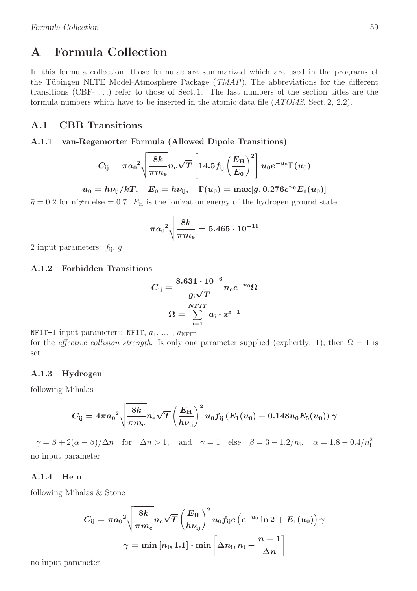# A Formula Collection

In this formula collection, those formulae are summarized which are used in the programs of the Tübingen NLTE Model-Atmosphere Package  $(TMAP)$ . The abbreviations for the different transitions (CBF- . . .) refer to those of Sect. 1. The last numbers of the section titles are the formula numbers which have to be inserted in the atomic data file (ATOMS, Sect. 2, 2.2).

#### A.1 CBB Transitions

#### A.1.1 van-Regemorter Formula (Allowed Dipole Transitions)

$$
C_{\rm ij} = \pi a_0^2 \sqrt{\frac{8k}{\pi m_{\rm e}}} n_{\rm e} \sqrt{T} \left[ 14.5 f_{\rm ij} \left( \frac{E_{\rm H}}{E_0} \right)^2 \right] u_0 e^{-u_0} \Gamma(u_0)
$$

 $u_0 = h \nu_{\rm ij} / kT$ ,  $E_0 = h \nu_{\rm ij}$ ,  $\Gamma(u_0) = \max[\bar{g}, 0.276 e^{u_0} E_1(u_0)]$ 

 $\bar{g} = 0.2$  for n' $\neq$ n else = 0.7.  $E_H$  is the ionization energy of the hydrogen ground state.

$$
\pi {a_0}^2 \sqrt{\frac{8k}{\pi m_{\rm e}}} = 5.465 \cdot 10^{-11}
$$

2 input parameters:  $f_{ii}$ ,  $\bar{g}$ 

#### A.1.2 Forbidden Transitions

$$
C_{\text{ij}}=\frac{8.631\cdot 10^{-6}}{g_{\text{i}}\sqrt{T}}n_{\text{e}}e^{-u_0}\Omega\\ \Omega=\sum_{\text{i=1}}^{NFIT}a_{\text{i}}\cdot x^{\text{i}-1}
$$

NFIT+1 input parameters: NFIT,  $a_1, \ldots, a_{\text{NFIT}}$ for the *effective collision strength*. Is only one parameter supplied (explicitly: 1), then  $\Omega = 1$  is set.

#### A.1.3 Hydrogen

following Mihalas

$$
C_{\rm ij} = 4\pi {a_0}^2 \sqrt{\frac{8k}{\pi m_{\rm e}}} n_{\rm e} \sqrt{T} \left(\frac{E_{\rm H}}{h\nu_{\rm ij}}\right)^2 u_0 f_{\rm ij} \left(E_1(u_0)+0.148 u_0 E_5(u_0)\right) \gamma
$$

 $\gamma = \beta + 2(\alpha - \beta)/\Delta n$  for  $\Delta n > 1$ , and  $\gamma = 1$  else  $\beta = 3 - 1.2/n$ <sub>i</sub>,  $\alpha = 1.8 - 0.4/n$ <sup>2</sup><sub>i</sub> no input parameter

#### A.1.4 He II

following Mihalas & Stone

$$
\begin{aligned} {C_\text{ij}} &= \pi {a_0}^2 \sqrt{\frac{8k}{\pi m_\text{e}}} n_\text{e} \sqrt{T} \left(\frac{E_\text{H}}{h\nu_\text{ij}}\right)^2 u_0 f_\text{ij} e\left(e^{-u_0}\ln2 + E_1(u_0)\right)\gamma \\ \gamma &= \min\left[n_\text{i},1.1\right]\cdot\min\left[\Delta n_\text{i},n_\text{i}-\frac{n-1}{\Delta n}\right] \end{aligned}
$$

no input parameter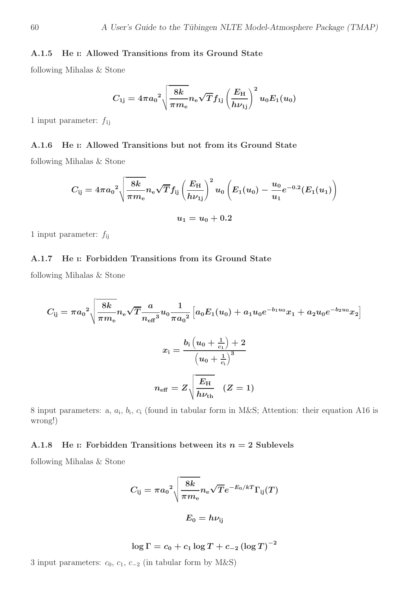#### A.1.5 He <sup>I</sup>: Allowed Transitions from its Ground State

following Mihalas & Stone

$$
{C_{1\rm{j}}} = 4{\pi}{a_0}^2\sqrt{\frac{8k}{{\pi}{m_{\rm{e}}}}}{n_{\rm{e}}}\sqrt{T}f_{1\rm{j}}\left(\frac{E_{\rm{H}}}{h\nu_{1\rm{j}}}\right)^2u_0E_1(u_0)
$$

1 input parameter:  $f_{1j}$ 

#### A.1.6 He <sup>I</sup>: Allowed Transitions but not from its Ground State

following Mihalas & Stone

$$
C_{\rm ij} = 4\pi {a_0}^2 \sqrt{\frac{8k}{\pi m_{\rm e}}} n_{\rm e} \sqrt{T} f_{\rm ij} \left(\frac{E_{\rm H}}{h\nu_{\rm 1j}}\right)^2 u_0 \left(E_1(u_0)-\frac{u_0}{u_1} e^{-0.2} (E_1(u_1)\right) \nonumber \\ u_1 = u_0 + 0.2
$$

1 input parameter:  $f_{\rm ij}$ 

#### A.1.7 He <sup>I</sup>: Forbidden Transitions from its Ground State

following Mihalas & Stone

$$
C_{\text{ij}} = \pi a_0^2 \sqrt{\frac{8k}{\pi m_{\text{e}}}} n_{\text{e}} \sqrt{T} \frac{a}{n_{\text{eff}}^3} u_0 \frac{1}{\pi a_0^2} \left[ a_0 E_1(u_0) + a_1 u_0 e^{-b_1 u_0} x_1 + a_2 u_0 e^{-b_2 u_0} x_2 \right]
$$
\n
$$
x_{\text{i}} = \frac{b_{\text{i}} \left( u_0 + \frac{1}{c_1} \right) + 2}{\left( u_0 + \frac{1}{c_1} \right)^3}
$$
\n
$$
n_{\text{eff}} = Z \sqrt{\frac{E_{\text{H}}}{h \nu_{\text{th}}}} \quad (Z = 1)
$$

8 input parameters: a,  $a_i$ ,  $b_i$ ,  $c_i$  (found in tabular form in M&S; Attention: their equation A16 is wrong!)

#### A.1.8 He I: Forbidden Transitions between its  $n = 2$  Sublevels

following Mihalas & Stone

$$
C_{\rm ij} = \pi {a_0}^2 \sqrt{\frac{8k}{\pi m_{\rm e}}} n_{\rm e} \sqrt{T} e^{-E_0/kT} \Gamma_{\rm ij}(T)
$$
 
$$
E_0 = h \nu_{\rm ij}
$$

$$
\log\Gamma=c_0+c_1\log T+c_{-2}\left(\log T\right)^{-2}
$$

3 input parameters:  $c_0$ ,  $c_1$ ,  $c_{-2}$  (in tabular form by M&S)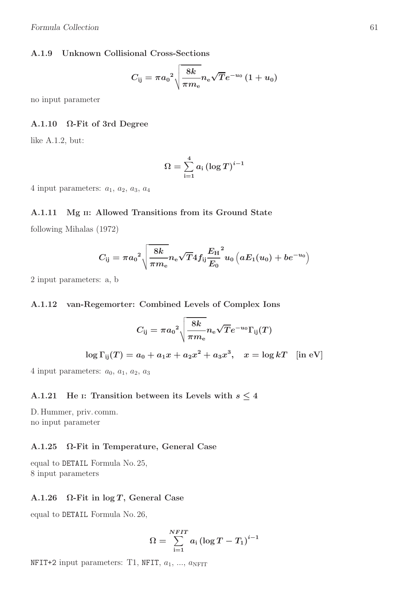#### A.1.9 Unknown Collisional Cross-Sections

$$
C_{\rm ij} = \pi {a_0}^2 \sqrt{\frac{8k}{\pi m_{\rm e}}} n_{\rm e} \sqrt{T} e^{-u_0} \left(1+u_0\right)
$$

no input parameter

#### A.1.10 Ω-Fit of 3rd Degree

like A.1.2, but:

$$
\Omega = \sum_{\mathrm{i=1}}^{4} a_{\mathrm{i}} \left(\log T\right)^{i-1}
$$

4 input parameters:  $a_1$ ,  $a_2$ ,  $a_3$ ,  $a_4$ 

#### A.1.11 Mg II: Allowed Transitions from its Ground State

following Mihalas (1972)

$$
C_{\rm ij} = \pi {a_0}^2 \sqrt{\frac{8k}{\pi m_{\rm e}}} n_{\rm e} \sqrt{T} 4 {f_{\rm ij}} \frac{{E_{\rm H}}}{{E_0}}^2 u_0 \left( a E_1(u_0) + b e^{-u_0} \right)
$$

2 input parameters: a, b

#### A.1.12 van-Regemorter: Combined Levels of Complex Ions

$$
C_{\rm ij} = \pi {a_0}^2 \sqrt{\frac{8k}{\pi m_{\rm e}}} n_{\rm e} \sqrt{T} e^{-u_0} \Gamma_{\rm ij}(T)
$$
  

$$
\log \Gamma_{\rm ij}(T) = a_0 + a_1 x + a_2 x^2 + a_3 x^3, \quad x = \log kT \quad \mathrm{[in\ eV]}
$$

4 input parameters:  $a_0$ ,  $a_1$ ,  $a_2$ ,  $a_3$ 

#### A.1.21 He I: Transition between its Levels with  $s \leq 4$

D. Hummer, priv. comm. no input parameter

#### A.1.25 Ω-Fit in Temperature, General Case

equal to DETAIL Formula No. 25, 8 input parameters

#### A.1.26  $\Omega$ -Fit in log T, General Case

equal to DETAIL Formula No. 26,

$$
\Omega = \sum_{\mathrm{i=1}}^{NFIT} a_{\mathrm{i}} \left(\log T - T_{\mathrm{1}}\right)^{i-1}
$$

NFIT+2 input parameters: T1, NFIT,  $a_1, ..., a_{\text{NFIT}}$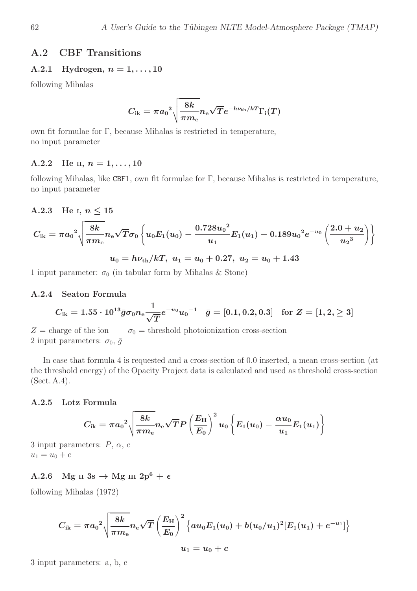#### A.2 CBF Transitions

#### A.2.1 Hydrogen,  $n = 1, ..., 10$

following Mihalas

$$
C_{\rm ik}=\pi{a_0}^2\sqrt{\frac{8k}{\pi m_{\rm e}}}n_{\rm e}\sqrt{T}e^{-h\nu_{\rm th}/kT}\Gamma_{\rm i}(T)
$$

own fit formulae for Γ, because Mihalas is restricted in temperature, no input parameter

#### A.2.2 He II,  $n = 1, \ldots, 10$

following Mihalas, like CBF1, own fit formulae for Γ, because Mihalas is restricted in temperature, no input parameter

#### A.2.3 He I,  $n \leq 15$

$$
C_{\text{i} \text{k}} = \pi {a_0}^2 \sqrt{\frac{8 k}{\pi m_{\text{e}}}} n_{\text{e}} \sqrt{T} \sigma_0 \left\{ u_0 E_1(u_0) - \frac{0.728 {u_0}^2}{u_1} E_1(u_1) - 0.189 {u_0}^2 e^{-u_0} \left(\frac{2.0+u_2}{u_2{}^3}\right) \right\} \\ u_0 = h \nu_{\text{th}}/kT, \ u_1 = u_0 + 0.27, \ u_2 = u_0 + 1.43
$$

1 input parameter:  $\sigma_0$  (in tabular form by Mihalas & Stone)

#### A.2.4 Seaton Formula

$$
C_{\rm ik}=1.55\cdot 10^{13}\bar{g}\sigma_0 n_{\rm e}\frac{1}{\sqrt{T}}e^{-u_0}{u_0}^{-1}\quad \bar{g}=[0.1,0.2,0.3]\quad \text{for}\,\,Z=[1,2,\geq 3]
$$

 $Z = \text{charge of the ion}$   $\sigma_0 = \text{threshold photoinization cross-section}$ 2 input parameters:  $\sigma_0$ ,  $\bar{g}$ 

In case that formula 4 is requested and a cross-section of 0.0 inserted, a mean cross-section (at the threshold energy) of the Opacity Project data is calculated and used as threshold cross-section (Sect. A.4).

#### A.2.5 Lotz Formula

$$
C_{ik} = \pi a_0^2 \sqrt{\frac{8k}{\pi m_e}} n_e \sqrt{T} P \left(\frac{E_{\rm H}}{E_0}\right)^2 u_0 \left\{E_1(u_0) - \frac{\alpha u_0}{u_1} E_1(u_1)\right\}
$$

3 input parameters:  $P, \alpha, c$  $u_1 = u_0 + c$ 

#### A.2.6 Mg II 3s  $\rightarrow$  Mg III 2p<sup>6</sup> +  $\epsilon$

following Mihalas (1972)

$$
C_{\mathrm{ik}} = \pi {a_0}^2 \sqrt{\frac{8k}{\pi m_{\mathrm{e}}}} n_{\mathrm{e}} \sqrt{T} \left(\frac{E_{\mathrm{H}}}{E_{0}}\right)^2 \left\{ a u_0 E_{1}(u_0) + b (u_0/u_1)^2 [E_{1}(u_1) + e^{-u_1}]\right\} \\ u_1 = u_0 + c
$$

3 input parameters: a, b, c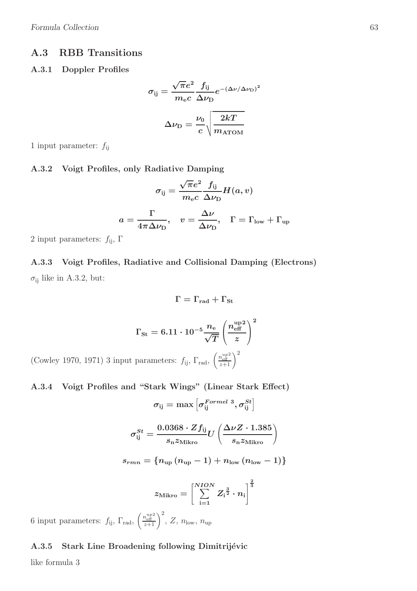#### A.3 RBB Transitions

#### A.3.1 Doppler Profiles

$$
\sigma_{ij} = \frac{\sqrt{\pi}e^2}{m_e c} \frac{f_{ij}}{\Delta \nu_D} e^{-(\Delta \nu/\Delta \nu_D)^2}
$$

$$
\Delta \nu_D = \frac{\nu_0}{c} \sqrt{\frac{2kT}{m_{\rm ATOM}}}
$$

1 input parameter:  $f_{\rm ij}$ 

#### A.3.2 Voigt Profiles, only Radiative Damping

$$
\sigma_{\rm ij} = \frac{\sqrt{\pi}e^2}{m_{\rm e}c}\frac{f_{\rm ij}}{\Delta\nu_{\rm D}}H(a,v) \nonumber \\ a = \frac{\Gamma}{4\pi\Delta\nu_{\rm D}}, \quad v = \frac{\Delta\nu}{\Delta\nu_{\rm D}}, \quad \Gamma = \Gamma_{\rm low} + \Gamma_{\rm up}
$$

2 input parameters:  $f_{\rm ij},$   $\Gamma$ 

 $(Cowley 1970, 1971)$  3 input

A.3.3 Voigt Profiles, Radiative and Collisional Damping (Electrons)  $\sigma_{ij}$  like in A.3.2, but:

$$
\Gamma = \Gamma_{\rm rad} + \Gamma_{\rm St}
$$

$$
\Gamma_{\rm St} = 6.11 \cdot 10^{-5} \frac{n_{\rm e}}{\sqrt{T}} \left(\frac{n_{\rm eff}^{\rm up2}}{z}\right)^2
$$
 parameters:  $f_{\rm ij}$ ,  $\Gamma_{\rm rad}$ ,  $\left(\frac{n_{\rm eff}^{up2}}{z+1}\right)^2$ 

#### A.3.4 Voigt Profiles and "Stark Wings" (Linear Stark Effect)

$$
\sigma_{\rm ij} = \max\left[\sigma_{\rm ij}^{\mathit{Formel~3}},\sigma_{\rm ij}^{\mathit{St}}\right]
$$

$$
\sigma^{St}_{\rm ij} = \frac{0.0368 \cdot Z f_{\rm ij}}{s_{\rm n} z_{\rm Mikro}} U\left(\frac{\Delta \nu Z \cdot 1.385}{s_{\rm n} z_{\rm Mikro}}\right)
$$

$$
s_{r m n} = \{n_{\rm up} \left(n_{\rm up} - 1\right) + n_{\rm low} \left(n_{\rm low} - 1\right)\}
$$

$$
z_{\mathrm{Mikro}}=\left[\sum_{\mathrm{i=1}}^{NION}Z_\mathrm{i}^{\frac{3}{2}}\cdot n_\mathrm{i}\right]^{\frac{2}{3}}
$$

6 input parameters:  $f_{ij}$ ,  $\Gamma_{rad}$ ,  $\left(\frac{n_{\text{eff}}^{up2}}{z+1}\right)^2$ ,  $Z$ ,  $n_{\text{low}}$ ,  $n_{\text{up}}$ 

#### A.3.5 Stark Line Broadening following Dimitrijévic

like formula 3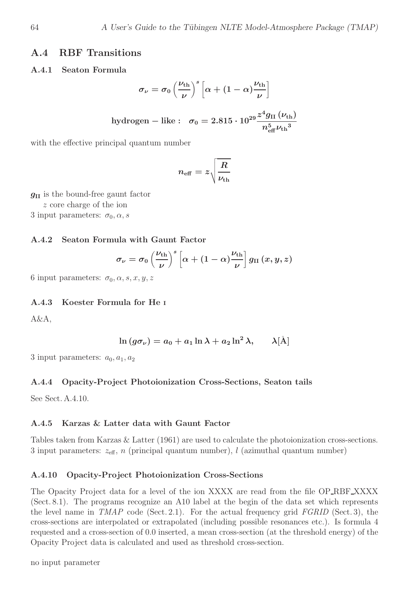#### A.4 RBF Transitions

#### A.4.1 Seaton Formula

$$
\sigma_{\nu} = \sigma_0 \left(\frac{\nu_{\text{th}}}{\nu}\right)^s \left[\alpha + (1 - \alpha)\frac{\nu_{\text{th}}}{\nu}\right]
$$
  
hydrogen – like :  $\sigma_0 = 2.815 \cdot 10^{29} \frac{z^4 g_{\text{II}} (\nu_{\text{th}})}{n_{\text{eff}}^5 \nu_{\text{th}}^3}$ 

with the effective principal quantum number

$$
n_{\text{eff}}=z\sqrt{\frac{R}{\nu_{\text{th}}}}
$$

 $g_{II}$  is the bound-free gaunt factor

z core charge of the ion

3 input parameters:  $\sigma_0$ ,  $\alpha$ , s

#### A.4.2 Seaton Formula with Gaunt Factor

$$
\sigma_{\nu} = \sigma_0 \left(\frac{\nu_{\rm th}}{\nu}\right)^s \left[\alpha + (1-\alpha)\frac{\nu_{\rm th}}{\nu}\right] g_{\rm II} \left(x,y,z\right)
$$

6 input parameters:  $\sigma_0$ ,  $\alpha$ ,  $s$ ,  $x$ ,  $y$ ,  $z$ 

#### A.4.3 Koester Formula for He <sup>I</sup>

A&A,

$$
\ln\left(g\sigma_\nu\right)=a_0+a_1\ln\lambda+a_2\ln^2\lambda,\qquad \lambda[\rm \AA]
$$

3 input parameters:  $a_0, a_1, a_2$ 

#### A.4.4 Opacity-Project Photoionization Cross-Sections, Seaton tails

See Sect. A.4.10.

#### A.4.5 Karzas & Latter data with Gaunt Factor

Tables taken from Karzas & Latter (1961) are used to calculate the photoionization cross-sections. 3 input parameters:  $z_{\text{eff}}$ , n (principal quantum number), l (azimuthal quantum number)

#### A.4.10 Opacity-Project Photoionization Cross-Sections

The Opacity Project data for a level of the ion XXXX are read from the file OP RBF XXXX (Sect. 8.1). The programs recognize an A10 label at the begin of the data set which represents the level name in  $TMAP$  code (Sect. 2.1). For the actual frequency grid  $FGRID$  (Sect. 3), the cross-sections are interpolated or extrapolated (including possible resonances etc.). Is formula 4 requested and a cross-section of 0.0 inserted, a mean cross-section (at the threshold energy) of the Opacity Project data is calculated and used as threshold cross-section.

no input parameter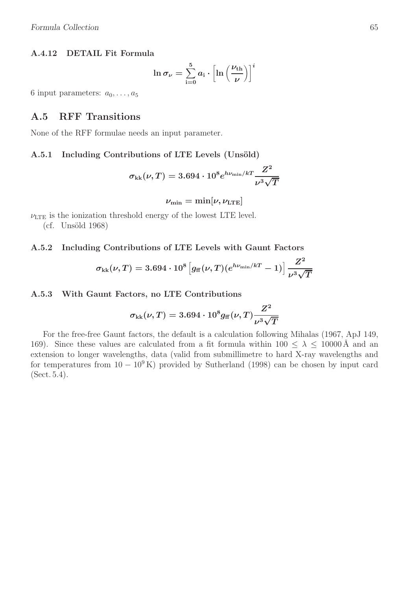#### A.4.12 DETAIL Fit Formula

$$
\ln \sigma_{\nu} = \sum_{i=0}^{5} a_i \cdot \left[ \ln \left( \frac{\nu_{\rm th}}{\nu} \right) \right]^i
$$

6 input parameters:  $a_0, \ldots, a_5$ 

#### A.5 RFF Transitions

None of the RFF formulae needs an input parameter.

#### A.5.1 Including Contributions of LTE Levels (Unsöld)

$$
\sigma_{\mathrm{kk}}(\nu,T)=3.694\cdot10^{8}e^{h\nu_{\mathrm{min}}/kT}\frac{Z^{2}}{\nu^{3}\sqrt{T}}
$$

 $\nu_{\min} = \min[\nu, \nu_{\rm LTE}]$ 

 $\nu_{\text{LTE}}$  is the ionization threshold energy of the lowest LTE level.

 $(cf. Unsöld 1968)$ 

#### A.5.2 Including Contributions of LTE Levels with Gaunt Factors

$$
\sigma_{\rm kk}(\nu,T) = 3.694 \cdot 10^8 \left[ g_{\rm ff}(\nu,T) (e^{h\nu_{\rm min}/kT} - 1) \right] \frac{Z^2}{\nu^3 \sqrt{T}}
$$

#### A.5.3 With Gaunt Factors, no LTE Contributions

$$
\sigma_{\mathrm{kk}}(\nu,T)=3.694\cdot10^8g_{\mathrm{ff}}(\nu,T)\frac{Z^2}{\nu^3\sqrt{T}}
$$

For the free-free Gaunt factors, the default is a calculation following Mihalas (1967, ApJ 149, 169). Since these values are calculated from a fit formula within  $100 \leq \lambda \leq 10000 \,\text{\AA}$  and an extension to longer wavelengths, data (valid from submillimetre to hard X-ray wavelengths and for temperatures from  $10-10^9$  K) provided by Sutherland (1998) can be chosen by input card (Sect. 5.4).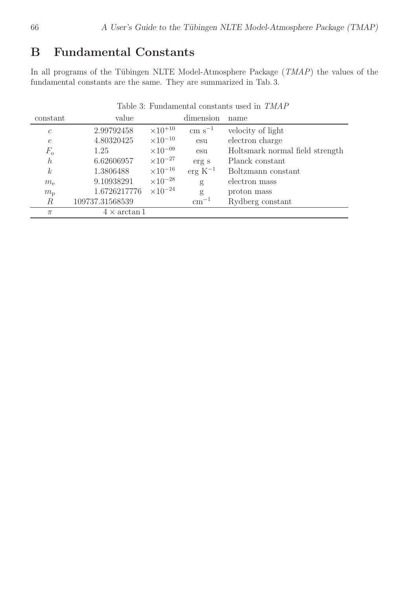# B Fundamental Constants

In all programs of the Tübingen NLTE Model-Atmosphere Package  $(TMAP)$  the values of the fundamental constants are the same. They are summarized in Tab. 3.

| таріє о, гипчанієннаї сопріання чясч ні тидті |                   |                                                                                   |                                 |  |  |  |  |
|-----------------------------------------------|-------------------|-----------------------------------------------------------------------------------|---------------------------------|--|--|--|--|
| value                                         |                   | dimension                                                                         | name                            |  |  |  |  |
| 2.99792458                                    | $\times 10^{+10}$ | $\rm cm\;s^{-1}$                                                                  | velocity of light               |  |  |  |  |
| 4.80320425                                    |                   | esu                                                                               | electron charge                 |  |  |  |  |
| 1.25                                          |                   | esu                                                                               | Holtsmark normal field strength |  |  |  |  |
| 6.62606957                                    | $\times 10^{-27}$ | erg s                                                                             | Planck constant                 |  |  |  |  |
| 1.3806488                                     | $\times10^{-16}$  | $\rm erg\ K^{-1}$                                                                 | Boltzmann constant              |  |  |  |  |
| 9.10938291                                    | $\times 10^{-28}$ | g                                                                                 | electron mass                   |  |  |  |  |
| 1.6726217776                                  |                   | g                                                                                 | proton mass                     |  |  |  |  |
| 109737.31568539                               |                   | $cm^{-1}$                                                                         | Rydberg constant                |  |  |  |  |
|                                               |                   |                                                                                   |                                 |  |  |  |  |
|                                               |                   | $\times10^{-10}$<br>$\times10^{-09}$<br>$\times 10^{-24}$<br>$4 \times \arctan 1$ |                                 |  |  |  |  |

Table 3: Fundamental constants used in TMAP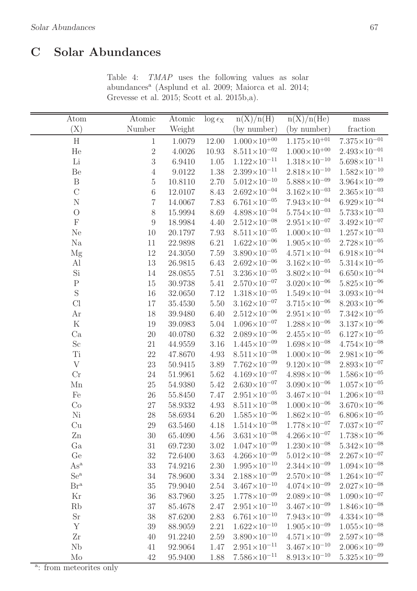### $\overline{C}$ **Solar Abundances**

| Atom                       | Atomic           | Atomic      | $\log \epsilon_{\rm X}$ | n(X)/n(H)                          | $n(X)/n(\overline{He})$ | mass                    |
|----------------------------|------------------|-------------|-------------------------|------------------------------------|-------------------------|-------------------------|
| (X)                        | Number           | Weight      |                         | (by number)                        | (by number)             | fraction                |
| H                          | $\mathbf{1}$     | 1.0079      | 12.00                   | $1.000\times10^{+00}$              | $1.175{\times}10^{+01}$ | $7.375\times10^{-01}$   |
| He                         | $\sqrt{2}$       | 4.0026      | 10.93                   | $8.511\times10^{-02}$              | $1.000\times10^{+00}$   | $2.493\times10^{-01}$   |
| Li                         | 3                | 6.9410      | 1.05                    | $1.122\times10^{-11}$              | $1.318\times10^{-10}$   | $5.698 \times 10^{-11}$ |
| Be                         | $\sqrt{4}$       | 9.0122      | 1.38                    | $2.399 \times 10^{-11}$            | $2.818 \times 10^{-10}$ | $1.582\times10^{-10}$   |
| $\mathbf B$                | $\mathbf 5$      | 10.8110     | 2.70                    | $5.012\times10^{-10}$              | $5.888 \times 10^{-09}$ | $3.964\times10^{-09}$   |
| $\overline{C}$             | 6                | 12.0107     | 8.43                    | $2.692\times10^{-04}$              | $3.162\times10^{-03}$   | $2.365\times10^{-03}$   |
| $\mathbf N$                | 7                | $14.0067\,$ | 7.83                    | $6.761\times10^{-05}$              | $7.943\times10^{-04}$   | $6.929\times10^{-04}$   |
| $\overline{O}$             | $8\,$            | 15.9994     | 8.69                    | $4.898 \times 10^{-04}$            | $5.754\times10^{-03}$   | $5.733{\times}10^{-03}$ |
| ${\bf F}$                  | $\boldsymbol{9}$ | 18.9984     | 4.40                    | $2.512\times10^{-08}$              | $2.951\times10^{-07}$   | $3.492\times10^{-07}$   |
| Ne                         | 10               | 20.1797     | 7.93                    | $8.511\times10^{-05}$              | $1.000\times10^{-03}$   | $1.257\times10^{-03}$   |
| Na                         | 11               | 22.9898     | 6.21                    | $1.622\times10^{-06}$              | $1.905 \times 10^{-05}$ | $2.728 \times 10^{-05}$ |
| Mg                         | 12               | 24.3050     | 7.59                    | $3.890\times10^{-05}$              | $4.571\times10^{-04}$   | $6.918\times10^{-04}$   |
| Al                         | 13               | 26.9815     | 6.43                    | $2.692\times10^{-06}$              | $3.162\times10^{-05}$   | $5.314\times10^{-05}$   |
| Si                         | 14               | 28.0855     | $7.51\,$                | $3.236 \times 10^{-05}$            | $3.802\times10^{-04}$   | $6.650\times10^{-04}$   |
| ${\bf P}$                  | 15               | 30.9738     | 5.41                    | $2.570\times10^{-07}$              | $3.020\times10^{-06}$   | $5.825 \times 10^{-06}$ |
| $\mathbf S$                | 16               | 32.0650     | 7.12                    | $1.318\times10^{-05}$              | $1.549\times10^{-04}$   | $3.093\times10^{-04}$   |
| Cl                         | 17               | 35.4530     | $5.50\,$                | $3.162\times10^{-07}$              | $3.715\times10^{-06}$   | $8.203\times10^{-06}$   |
| Ar                         | 18               | 39.9480     | 6.40                    | $2.512\times10^{-06}$              | $2.951\times10^{-05}$   | $7.342\times10^{-05}$   |
| ${\bf K}$                  | 19               | 39.0983     | $5.04\,$                | $1.096\times10^{-07}$              | $1.288 \times 10^{-06}$ | $3.137\times10^{-06}$   |
| Ca                         | 20               | 40.0780     | 6.32                    | $2.089\times10^{-06}$              | $2.455 \times 10^{-05}$ | $6.127\times10^{-05}$   |
| $\rm Sc$                   | 21               | 44.9559     | 3.16                    | $1.445\times10^{-09}$              | $1.698\times10^{-08}$   | $4.754\times10^{-08}$   |
| Ti                         | 22               | 47.8670     | 4.93                    | $8.511\times10^{-08}$              | $1.000\times10^{-06}$   | $2.981\times10^{-06}$   |
| $\mathbf{V}$               | 23               | 50.9415     | 3.89                    | $7.762\times10^{-09}$              | $9.120\times10^{-08}$   | $2.893 \times 10^{-07}$ |
| Cr                         | $24\,$           | 51.9961     | 5.62                    | $4.169\times10^{-07}$              | $4.898 \times 10^{-06}$ | $1.586\times10^{-05}$   |
| Mn                         | 25               | 54.9380     | 5.42                    | $2.630\times10^{-07}$              | $3.090\times10^{-06}$   | $1.057\times10^{-05}$   |
| Fe                         | 26               | 55.8450     | 7.47                    | $2.951\times10^{-05}$              | $3.467\times10^{-04}$   | $1.206\times10^{-03}$   |
| Co                         | $27\,$           | 58.9332     | 4.93                    | $8.511\times10^{-08}$              | $1.000\times10^{-06}$   | $3.670\times10^{-06}$   |
| Ni                         | 28               | 58.6934     | 6.20                    | $1.585\times10^{-06}$              | $1.862\times10^{-05}$   | $6.806\times10^{-05}$   |
| Cu                         | 29               | 63.5460     |                         | $4.18 \quad 1.514 \times 10^{-08}$ | $1.778\times10^{-07}$   | $7.037\times10^{-07}$   |
| Zn                         | 30               | 65.4090     | 4.56                    | $3.631 \times 10^{-08}$            | $4.266 \times 10^{-07}$ | $1.738 \times 10^{-06}$ |
| Ga                         | 31               | 69.7230     | 3.02                    | $1.047\times10^{-09}$              | $1.230\times10^{-08}$   | $5.342\times10^{-08}$   |
| Ge                         | 32               | 72.6400     | 3.63                    | $4.266\times10^{-09}$              | $5.012\times10^{-08}$   | $2.267\times10^{-07}$   |
| $\mathrm{As}^{\mathrm{a}}$ | 33               | 74.9216     | 2.30                    | $1.995 \times 10^{-10}$            | $2.344 \times 10^{-09}$ | $1.094\times10^{-08}$   |
| $Se^a$                     | 34               | 78.9600     | 3.34                    | $2.188\times10^{-09}$              | $2.570\times10^{-08}$   | $1.264\times10^{-07}$   |
| Br <sup>a</sup>            | 35               | 79.9040     | 2.54                    | $3.467\times10^{-10}$              | $4.074\times10^{-09}$   | $2.027\times10^{-08}$   |
| Kr                         | 36               | 83.7960     | 3.25                    | $1.778\times10^{-09}$              | $2.089\times10^{-08}$   | $1.090\times10^{-07}$   |
| Rb                         | 37               | 85.4678     | 2.47                    | $2.951\times10^{-10}$              | $3.467\times10^{-09}$   | $1.846\times10^{-08}$   |
| Sr                         | 38               | 87.6200     | 2.83                    | $6.761\times10^{-10}$              | $7.943\times10^{-09}$   | $4.334\times10^{-08}$   |
| Y                          | 39               | 88.9059     | 2.21                    | $1.622\times10^{-10}$              | $1.905 \times 10^{-09}$ | $1.055\times10^{-08}$   |
| Zr                         | 40               | 91.2240     | $2.59\,$                | $3.890\times10^{-10}$              | $4.571\times10^{-09}$   | $2.597\times10^{-08}$   |
| Nb                         | 41               | 92.9064     | 1.47                    | $2.951\times10^{-11}$              | $3.467\times10^{-10}$   | $2.006\times10^{-09}$   |
| M <sub>o</sub>             | 42               | 95.9400     | 1.88                    | $7.586\times10^{-11}$              | $8.913\times10^{-10}$   | $5.325\times10^{-09}$   |

Table 4: TMAP uses the following values as solar abundances<sup>a</sup> (Asplund et al. 2009; Maiorca et al. 2014; Grevesse et al. 2015; Scott et al. 2015b,a).

<sup>a</sup>: from meteorites only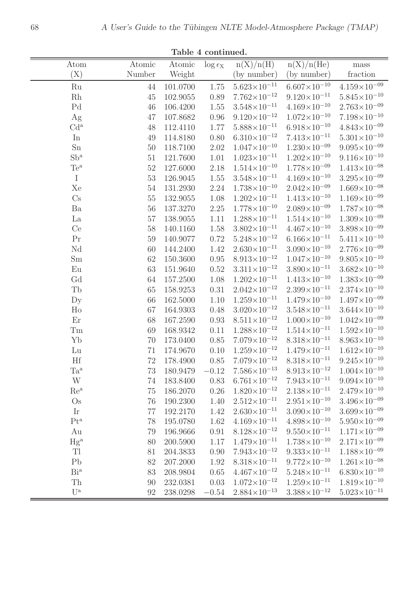| Atom                   | Atomic | Atomic   | $\log \epsilon_{\rm X}$ | n(X)/n(H)               | n(X)/n(He)              | mass                                        |
|------------------------|--------|----------|-------------------------|-------------------------|-------------------------|---------------------------------------------|
| (X)                    | Number | Weight   |                         | (by number)             | (by number)             | fraction                                    |
| Ru                     | 44     | 101.0700 | 1.75                    | $5.623 \times 10^{-11}$ | $6.607\times10^{-10}$   | $4.159\times10^{-09}$                       |
| Rh                     | 45     | 102.9055 | 0.89                    | $7.762\times10^{-12}$   | $9.120\times10^{-11}$   | $5.845 \times 10^{-10}$                     |
| Pd                     | 46     | 106.4200 | 1.55                    | $3.548 \times 10^{-11}$ | $4.169\times10^{-10}$   | $2.763\times10^{-09}$                       |
| Ag                     | 47     | 107.8682 | $0.96\,$                | $9.120 \times 10^{-12}$ | $1.072\times10^{-10}$   | $7.198\times10^{-10}$                       |
| Cd <sup>a</sup>        | 48     | 112.4110 | 1.77                    | $5.888 \times 10^{-11}$ | $6.918\times10^{-10}$   | $4.843\times10^{-09}$                       |
| In                     | 49     | 114.8180 | $0.80\,$                | $6.310\times10^{-12}$   | $7.413\times10^{-11}$   | $5.301\times10^{-10}$                       |
| Sn                     | 50     | 118.7100 | 2.02                    | $1.047\times10^{-10}$   | $1.230\times10^{-09}$   | $9.095 \times 10^{-09}$                     |
| $Sb^a$                 | 51     | 121.7600 | 1.01                    | $1.023{\times}10^{-11}$ | $1.202\times10^{-10}$   | $9.116\times10^{-10}$                       |
| $Te^a$                 | 52     | 127.6000 | 2.18                    | $1.514\times10^{-10}$   | $1.778\times10^{-09}$   | $1.413\times10^{-08}$                       |
| $\mathbf I$            | 53     | 126.9045 | 1.55                    | $3.548 \times 10^{-11}$ | $4.169\times10^{-10}$   | $3.295 \times 10^{-09}$                     |
| Xe                     | $54\,$ | 131.2930 | 2.24                    | $1.738 \times 10^{-10}$ | $2.042\times10^{-09}$   | $1.669\times10^{-08}$                       |
| Cs                     | $55\,$ | 132.9055 | 1.08                    | $1.202 \times 10^{-11}$ | $1.413\times10^{-10}$   | $1.169\times10^{-09}$                       |
| Ba                     | 56     | 137.3270 | $2.25\,$                | $1.778\times10^{-10}$   | $2.089\times10^{-09}$   | $1.787\times10^{-08}$                       |
| La                     | 57     | 138.9055 | 1.11                    | $1.288 \times 10^{-11}$ | $1.514\times10^{-10}$   | $1.309\times10^{-09}$                       |
| Ce                     | $58\,$ | 140.1160 | 1.58                    | $3.802\times10^{-11}$   | $4.467\times10^{-10}$   | $3.898 \times 10^{-09}$                     |
| Pr                     | 59     | 140.9077 | 0.72                    | $5.248\times10^{-12}$   | $6.166\times10^{-11}$   | $5.411 \times 10^{-10}$                     |
| Nd                     | 60     | 144.2400 | 1.42                    | $2.630\times10^{-11}$   | $3.090 \times 10^{-10}$ | $2.776\times10^{-09}$                       |
| Sm                     | 62     | 150.3600 | $0.95\,$                | $8.913\times10^{-12}$   | $1.047\times10^{-10}$   | $9.805 \times 10^{-10}$                     |
| Eu                     | 63     | 151.9640 | 0.52                    | $3.311{\times}10^{-12}$ | $3.890 \times 10^{-11}$ | $3.682 \times 10^{-10}$                     |
| Gd                     | 64     | 157.2500 | 1.08                    | $1.202\times10^{-11}$   | $1.413\times10^{-10}$   | $1.383{\times}10^{-09}$                     |
| Tb                     | 65     | 158.9253 | 0.31                    | $2.042\times10^{-12}$   | $2.399 \times 10^{-11}$ | $2.374\times10^{-10}$                       |
| $\mathbf{D}\mathbf{y}$ | 66     | 162.5000 | 1.10                    | $1.259\times10^{-11}$   | $1.479\times10^{-10}$   | $1.497\times10^{-09}$                       |
| H <sub>o</sub>         | 67     | 164.9303 | 0.48                    | $3.020 \times 10^{-12}$ | $3.548 \times 10^{-11}$ | $3.644 \times 10^{-10}$                     |
| Er                     | 68     | 167.2590 | 0.93                    | $8.511\times10^{-12}$   | $1.000\times10^{-10}$   | $1.042\times10^{-09}$                       |
| Tm                     | 69     | 168.9342 | 0.11                    | $1.288 \times 10^{-12}$ | $1.514\times10^{-11}$   | $1.592\times10^{-10}$                       |
| Yb                     | 70     | 173.0400 | $0.85\,$                | $7.079\times10^{-12}$   | $8.318\times10^{-11}$   | $8.963{\times}10^{-10}$                     |
| Lu                     | 71     | 174.9670 | 0.10                    | $1.259\times10^{-12}$   | $1.479\times10^{-11}$   | $1.612\times10^{-10}$                       |
| Hf                     | 72     | 178.4900 | 0.85                    | $7.079\times10^{-12}$   | $8.318 \times 10^{-11}$ | $9.245 \times 10^{-10}$                     |
| Ta <sup>a</sup>        | 73     | 180.9479 | $-0.12$                 | $7.586\times10^{-13}$   |                         | $8.913\times10^{-12}$ $1.004\times10^{-10}$ |
| W                      | 74     | 183.8400 | 0.83                    | $6.761\times10^{-12}$   | $7.943\times10^{-11}$   | $9.094 \times 10^{-10}$                     |
| $Re^a$                 | 75     | 186.2070 | $0.26\,$                | $1.820\times10^{-12}$   | $2.138 \times 10^{-11}$ | $2.479\times10^{-10}$                       |
| $\mathrm{Os}$          | 76     | 190.2300 | 1.40                    | $2.512\times10^{-11}$   | $2.951 \times 10^{-10}$ | $3.496 \times 10^{-09}$                     |
| Ir                     | 77     | 192.2170 | 1.42                    | $2.630\times10^{-11}$   | $3.090\times10^{-10}$   | $3.699\times10^{-09}$                       |
| $\rm Pt^a$             | 78     | 195.0780 | 1.62                    | $4.169\times10^{-11}$   | $4.898 \times 10^{-10}$ | $5.950\times10^{-09}$                       |
| Au                     | 79     | 196.9666 | 0.91                    | $8.128 \times 10^{-12}$ | $9.550\times10^{-11}$   | $1.171\times10^{-09}$                       |
| $Hg^a$                 | 80     | 200.5900 | 1.17                    | $1.479\times10^{-11}$   | $1.738 \times 10^{-10}$ | $2.171\times10^{-09}$                       |
| Tl                     | 81     | 204.3833 | 0.90                    | $7.943\times10^{-12}$   | $9.333 \times 10^{-11}$ | $1.188\times10^{-09}$                       |
| P <sub>b</sub>         | $82\,$ | 207.2000 | 1.92                    | $8.318\times10^{-11}$   | $9.772\times10^{-10}$   | $1.261\times10^{-08}$                       |
| Bi <sup>a</sup>        | 83     | 208.9804 | $0.65\,$                | $4.467\times10^{-12}$   | $5.248 \times 10^{-11}$ | $6.830\times10^{-10}$                       |
| Th                     | 90     | 232.0381 | 0.03                    | $1.072\times10^{-12}$   | $1.259\times10^{-11}$   | $1.819\times10^{-10}$                       |
| $U^{\rm a}$            | 92     | 238.0298 | $-0.54$                 | $2.884 \times 10^{-13}$ | $3.388 \times 10^{-12}$ | $5.023 \times 10^{-11}$                     |

Table 4 continued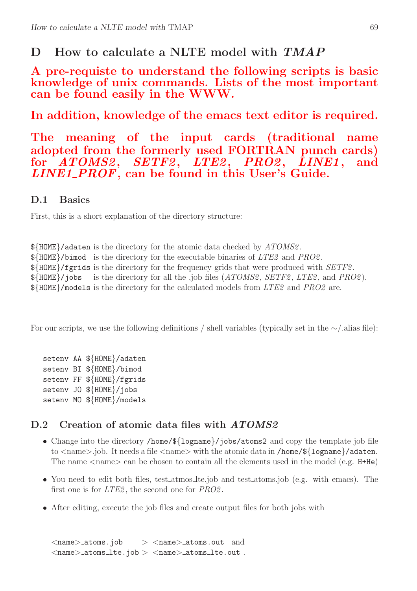# D How to calculate a NLTE model with  $TMAP$

A pre-requiste to understand the following scripts is basic knowledge of unix commands. Lists of the most important can be found easily in the WWW.

In addition, knowledge of the emacs text editor is required.

The meaning of the input cards (traditional name adopted from the formerly used FORTRAN punch cards) for ATOMS2, SETF2, LTE2, PRO2, LINE1, and  $LINE1\_PROF$ , can be found in this User's Guide.

### D.1 Basics

First, this is a short explanation of the directory structure:

 $\frac{1}{8}$ HOME}/adaten is the directory for the atomic data checked by ATOMS2.  $\frac{1}{2}$ HOME}/bimod is the directory for the executable binaries of *LTE2* and *PRO2*.  $\frac{1}{10}$  S{HOME}/fgrids is the directory for the frequency grids that were produced with  $\frac{1}{10}$ .  $\frac{1}{8}$ {HOME}/jobs is the directory for all the .job files (*ATOMS2*, *SETF2*, *LTE2*, and *PRO2*). \${HOME}/models is the directory for the calculated models from LTE2 and PRO2 are.

For our scripts, we use the following definitions / shell variables (typically set in the ∼/.alias file):

setenv AA \${HOME}/adaten setenv BI \${HOME}/bimod setenv FF \${HOME}/fgrids setenv JO \${HOME}/jobs setenv MO \${HOME}/models

### D.2 Creation of atomic data files with ATOMS2

- Change into the directory /home/\${logname}/jobs/atoms2 and copy the template job file to  $\langle$  name $\rangle$ .job. It needs a file  $\langle$  name $\rangle$  with the atomic data in /home/\$ $\{1$ ogname $\rangle$ /adaten. The name  $\langle$  name  $\rangle$  can be chosen to contain all the elements used in the model (e.g. H+He)
- You need to edit both files, test atmos lte.job and test atoms.job (e.g. with emacs). The first one is for *LTE2*, the second one for *PRO2*.
- After editing, execute the job files and create output files for both jobs with

 $\langle$ name $\rangle$ \_atoms.job  $>$   $\langle$ name $\rangle$ \_atoms.out and  $\langle$ name $\rangle$ \_atoms\_lte.job  $>$   $\langle$ name $\rangle$ \_atoms\_lte.out.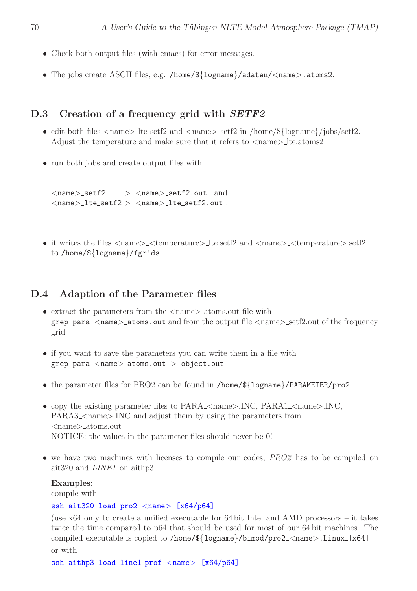- Check both output files (with emacs) for error messages.
- The jobs create ASCII files, e.g. /home/\${logname}/adaten/<name>.atoms2.

### D.3 Creation of a frequency grid with *SETF2*

- edit both files  $\langle$  name $\rangle$  lte setf2 and  $\langle$  name $\rangle$  setf2 in /home/\${logname}/jobs/setf2. Adjust the temperature and make sure that it refers to  $\langle$  name $\rangle$  lte.atoms2
- run both jobs and create output files with

 $\langle$ name $\rangle$ \_setf2  $>$   $\langle$ name $\rangle$ \_setf2.out and  $\langle$ name $\rangle$ \_lte\_setf $2$   $>$   $\langle$ name $\rangle$ \_lte\_setf $2$ .out.

• it writes the files  $\langle$ name $\rangle$   $\langle$ temperature $\rangle$  lte.setf2 and  $\langle$ name $\rangle$   $\langle$ temperature $\rangle$ .setf2 to /home/\${logname}/fgrids

### D.4 Adaption of the Parameter files

- extract the parameters from the  $\langle$ name $\rangle$ -atoms.out file with grep para  $\alpha$  atoms.out and from the output file  $\alpha$  anne  $\alpha$  setf2.out of the frequency grid
- if you want to save the parameters you can write them in a file with grep para  $<$ name $>$ \_atoms.out  $>$  object.out
- the parameter files for PRO2 can be found in /home/\${logname}/PARAMETER/pro2
- copy the existing parameter files to  $PARA_{\sim}$  chame $>$ .INC,  $PARA_{\sim}$  chame $>$ .INC, PARA3\_<name>.INC and adjust them by using the parameters from <name> atoms.out NOTICE: the values in the parameter files should never be 0!
- we have two machines with licenses to compile our codes, PRO2 has to be compiled on ait320 and LINE1 on aithp3:

Examples:

compile with

### ssh ait320 load  $pro2 <$ name> [x64/p64]

(use x64 only to create a unified executable for 64 bit Intel and AMD processors – it takes twice the time compared to p64 that should be used for most of our 64 bit machines. The compiled executable is copied to /home/ $\frac{1}{2}$ [10gname}/bimod/pro2\_<name>.Linux\_[x64] or with

```
ssh aithp3 load line1_prof <name> [x64/p64]
```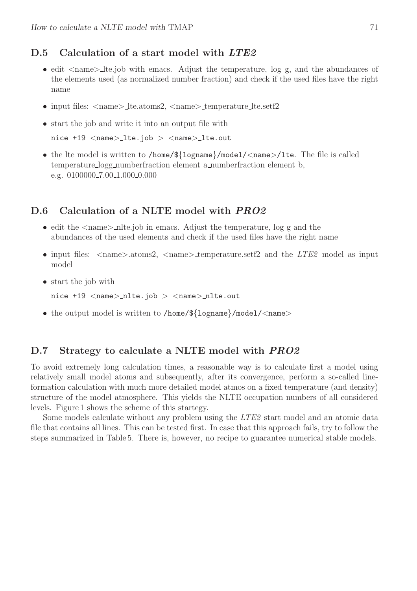### D.5 Calculation of a start model with LTE2

- edit  $\langle$ name $\rangle$  lte.job with emacs. Adjust the temperature, log g, and the abundances of the elements used (as normalized number fraction) and check if the used files have the right name
- input files:  $\langle$ name $\rangle$ \_lte.atoms2,  $\langle$ name $\rangle$ \_temperature\_lte.setf2
- start the job and write it into an output file with

nice +19 <name> lte.job > <name> lte.out

• the lte model is written to /home/ $\frac{1}{2}$ [ogname}/model/<name>/lte. The file is called temperature logg numberfraction element a numberfraction element b, e.g. 0100000<sub>-7</sub>.00<sub>-1.000</sub>-0.000

### D.6 Calculation of a NLTE model with PRO2

- edit the  $\langle$ name $\rangle$ \_nlte.job in emacs. Adjust the temperature, log g and the abundances of the used elements and check if the used files have the right name
- input files:  $\langle$ name $\rangle$ .atoms2,  $\langle$ name $\rangle$ \_temperature.setf2 and the *LTE2* model as input model
- start the job with
	- nice  $+19$  <name> nlte.job > <name> nlte.out
- the output model is written to /home/ $\frac{1}{2}$ [logname}/model/<name>

### D.7 Strategy to calculate a NLTE model with *PRO2*

To avoid extremely long calculation times, a reasonable way is to calculate first a model using relatively small model atoms and subsequently, after its convergence, perform a so-called lineformation calculation with much more detailed model atmos on a fixed temperature (and density) structure of the model atmosphere. This yields the NLTE occupation numbers of all considered levels. Figure 1 shows the scheme of this startegy.

Some models calculate without any problem using the LTE2 start model and an atomic data file that contains all lines. This can be tested first. In case that this approach fails, try to follow the steps summarized in Table 5. There is, however, no recipe to guarantee numerical stable models.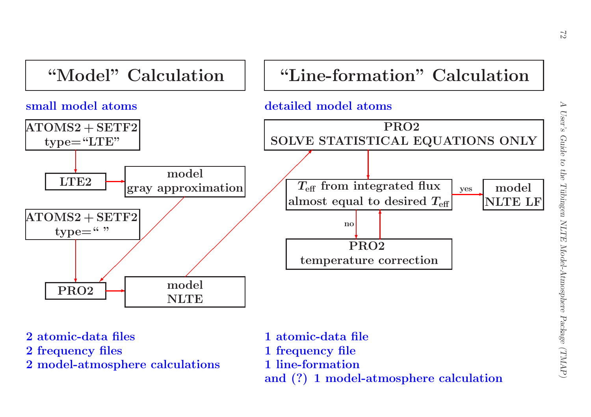

- 
- 
-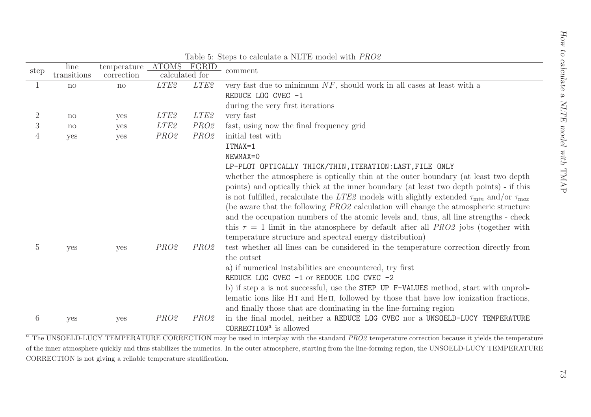| step           | line<br>transitions | temperature ATOMS<br>correction                                 | calculated for   | FGRID            | comment                                                                                                                                                             |
|----------------|---------------------|-----------------------------------------------------------------|------------------|------------------|---------------------------------------------------------------------------------------------------------------------------------------------------------------------|
|                | $\mathbf{n}$        | no                                                              | LTE <sub>2</sub> | LTE <sub>2</sub> | very fast due to minimum $NF$ , should work in all cases at least with a                                                                                            |
|                |                     |                                                                 |                  |                  | REDUCE LOG CVEC -1                                                                                                                                                  |
|                |                     |                                                                 |                  |                  | during the very first iterations                                                                                                                                    |
| $\overline{2}$ | no                  | yes                                                             | LTE <sub>2</sub> | LTE <sub>2</sub> | very fast                                                                                                                                                           |
| $\mathfrak{Z}$ | $\operatorname{no}$ | yes                                                             | LTE <sub>2</sub> | PRO2             | fast, using now the final frequency grid                                                                                                                            |
| $\overline{4}$ | yes                 | yes                                                             | PRO2             | PRO2             | initial test with                                                                                                                                                   |
|                |                     |                                                                 |                  |                  | ITMAX=1                                                                                                                                                             |
|                |                     |                                                                 |                  |                  | NEWMAX=0                                                                                                                                                            |
|                |                     |                                                                 |                  |                  | LP-PLOT OPTICALLY THICK/THIN, ITERATION: LAST, FILE ONLY                                                                                                            |
|                |                     |                                                                 |                  |                  | whether the atmosphere is optically thin at the outer boundary (at least two depth                                                                                  |
|                |                     |                                                                 |                  |                  | points) and optically thick at the inner boundary (at least two depth points) - if this                                                                             |
|                |                     |                                                                 |                  |                  | is not fulfilled, recalculate the LTE2 models with slightly extended $\tau_{\min}$ and/or $\tau_{\max}$                                                             |
|                |                     |                                                                 |                  |                  | (be aware that the following PRO2 calculation will change the atmospheric structure                                                                                 |
|                |                     |                                                                 |                  |                  | and the occupation numbers of the atomic levels and, thus, all line strengths - check                                                                               |
|                |                     |                                                                 |                  |                  | this $\tau = 1$ limit in the atmosphere by default after all <i>PRO2</i> jobs (together with                                                                        |
|                |                     |                                                                 | PRO2             |                  | temperature structure and spectral energy distribution)                                                                                                             |
| $\overline{5}$ | yes                 | yes                                                             |                  | PRO2             | test whether all lines can be considered in the temperature correction directly from<br>the outset                                                                  |
|                |                     |                                                                 |                  |                  | a) if numerical instabilities are encountered, try first                                                                                                            |
|                |                     |                                                                 |                  |                  | REDUCE LOG CVEC -1 or REDUCE LOG CVEC -2                                                                                                                            |
|                |                     |                                                                 |                  |                  | b) if step a is not successful, use the STEP UP F-VALUES method, start with unprob-                                                                                 |
|                |                     |                                                                 |                  |                  | lematic ions like H <sub>I</sub> and He <sub>II</sub> , followed by those that have low ionization fractions,                                                       |
|                |                     |                                                                 |                  |                  | and finally those that are dominating in the line-forming region                                                                                                    |
| 6              | yes                 | yes                                                             | PRO2             | PRO2             | in the final model, neither a REDUCE LOG CVEC nor a UNSOELD-LUCY TEMPERATURE                                                                                        |
|                |                     |                                                                 |                  |                  | CORRECTION <sup><math>a</math></sup> is allowed                                                                                                                     |
|                |                     |                                                                 |                  |                  | $a^{\overline{a}}$ The UNSOELD-LUCY TEMPERATURE CORRECTION may be used in interplay with the standard PRO2 temperature correction because it yields the temperature |
|                |                     |                                                                 |                  |                  | of the inner atmosphere quickly and thus stabilizes the numerics. In the outer atmosphere, starting from the line-forming region, the UNSOELD-LUCY TEMPERATURE      |
|                |                     | CORRECTION is not giving a reliable temperature stratification. |                  |                  |                                                                                                                                                                     |
|                |                     |                                                                 |                  |                  |                                                                                                                                                                     |
|                |                     |                                                                 |                  |                  |                                                                                                                                                                     |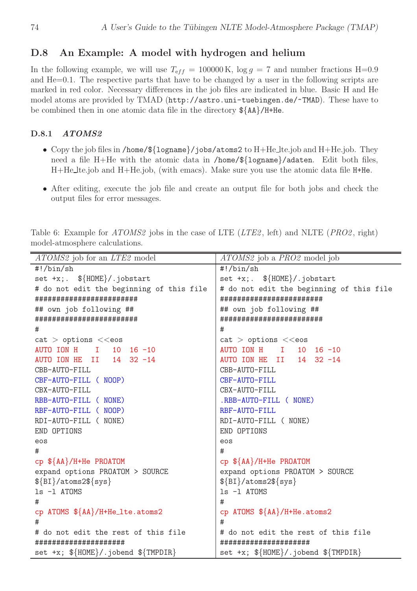### D.8 An Example: A model with hydrogen and helium

In the following example, we will use  $T_{eff} = 100000 \text{ K}$ ,  $\log g = 7$  and number fractions H=0.9 and He=0.1. The respective parts that have to be changed by a user in the following scripts are marked in red color. Necessary differences in the job files are indicated in blue. Basic H and He model atoms are provided by TMAD (http://astro.uni-tuebingen.de/~TMAD). These have to be combined then in one atomic data file in the directory \${AA}/H+He.

### D.8.1 ATOMS2

- Copy the job files in /home/\${logname}/jobs/atoms2 to H+He\_lte.job and H+He.job. They need a file H+He with the atomic data in /home/\${logname}/adaten. Edit both files, H+He lte.job and H+He.job, (with emacs). Make sure you use the atomic data file H+He.
- After editing, execute the job file and create an output file for both jobs and check the output files for error messages.

ATOMS2 job for an LTE2 model  $ATOMS2$  job a PRO2 model job #!/bin/sh #!/bin/sh set +x;.  $\{\text{HOME}\}/\text{.jobstart}$  | set +x;.  $\{\text{HOME}\}/\text{.jobstart}$ # do not edit the beginning of this file  $#$  do not edit the beginning of this file ######################## ######################## ## own job following ##  $\qquad$  | ## own job following ## ######################## ########################  $\#$   $\qquad$   $\qquad$   $\qquad$   $\qquad$   $\qquad$   $\qquad$   $\qquad$   $\qquad$   $\qquad$   $\qquad$   $\qquad$   $\qquad$   $\qquad$   $\qquad$   $\qquad$   $\qquad$   $\qquad$   $\qquad$   $\qquad$   $\qquad$   $\qquad$   $\qquad$   $\qquad$   $\qquad$   $\qquad$   $\qquad$   $\qquad$   $\qquad$   $\qquad$   $\qquad$   $\qquad$   $\qquad$   $\qquad$   $\qquad$   $\qquad$   $\qquad$  cat > options <<eos cat > options <<eos AUTO ION H I 10 16 -10 AUTO ION H I 10 16 -10 AUTO ION HE II 14 32 -14 | AUTO ION HE II 14 32 -14 CBB-AUTO-FILL CBB-AUTO-FILL CBF-AUTO-FILL ( NOOP) CBF-AUTO-FILL CBX-AUTO-FILL CBX-AUTO-FILL RBB-AUTO-FILL ( NONE) .RBB-AUTO-FILL ( NONE) RBF-AUTO-FILL ( NOOP) RBF-AUTO-FILL RDI-AUTO-FILL ( NONE) RDI-AUTO-FILL ( NONE) END OPTIONS END OPTIONS eos eos  $\#$   $\qquad$   $\qquad$   $\qquad$   $\qquad$   $\qquad$   $\qquad$   $\qquad$   $\qquad$   $\qquad$   $\qquad$   $\qquad$   $\qquad$   $\qquad$   $\qquad$   $\qquad$   $\qquad$   $\qquad$   $\qquad$   $\qquad$   $\qquad$   $\qquad$   $\qquad$   $\qquad$   $\qquad$   $\qquad$   $\qquad$   $\qquad$   $\qquad$   $\qquad$   $\qquad$   $\qquad$   $\qquad$   $\qquad$   $\qquad$   $\qquad$   $\qquad$  cp \${AA}/H+He PROATOM cp \${AA}/H+He PROATOM expand options PROATOM > SOURCE | expand options PROATOM > SOURCE  $\{BI\}/atoms2\$ {sys}  $\{S\}$ ls -1 ATOMS | 1s -1 ATOMS  $\#$   $\qquad$   $\qquad$   $\qquad$   $\qquad$   $\qquad$   $\qquad$   $\qquad$   $\qquad$   $\qquad$   $\qquad$   $\qquad$   $\qquad$   $\qquad$   $\qquad$   $\qquad$   $\qquad$   $\qquad$   $\qquad$   $\qquad$   $\qquad$   $\qquad$   $\qquad$   $\qquad$   $\qquad$   $\qquad$   $\qquad$   $\qquad$   $\qquad$   $\qquad$   $\qquad$   $\qquad$   $\qquad$   $\qquad$   $\qquad$   $\qquad$   $\qquad$  cp ATOMS  $\{\{AA\}/H+He_1te.atoms2$  cp ATOMS  $\{\{AA\}/H+He.atoms2$  $\#$   $\qquad$   $\qquad$   $\qquad$   $\qquad$   $\qquad$   $\qquad$   $\qquad$   $\qquad$   $\qquad$   $\qquad$   $\qquad$   $\qquad$   $\qquad$   $\qquad$   $\qquad$   $\qquad$   $\qquad$   $\qquad$   $\qquad$   $\qquad$   $\qquad$   $\qquad$   $\qquad$   $\qquad$   $\qquad$   $\qquad$   $\qquad$   $\qquad$   $\qquad$   $\qquad$   $\qquad$   $\qquad$   $\qquad$   $\qquad$   $\qquad$   $\qquad$  # do not edit the rest of this file  $#$  do not edit the rest of this file ##################### ##################### set +x;  $\{\text{HOME}\}/\$ iobend  $\{\text{MPDIR}\}\$  set +x;  $\{\text{HOME}\}/\$ iobend  $\{\text{MPDIR}\}\$ 

Table 6: Example for ATOMS2 jobs in the case of LTE (LTE2, left) and NLTE (PRO2, right) model-atmosphere calculations.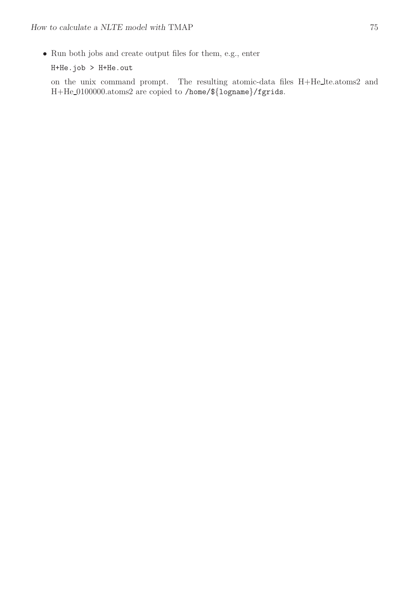• Run both jobs and create output files for them, e.g., enter

H+He.job > H+He.out

on the unix command prompt. The resulting atomic-data files H+He lte.atoms2 and H+He 0100000.atoms2 are copied to /home/\${logname}/fgrids.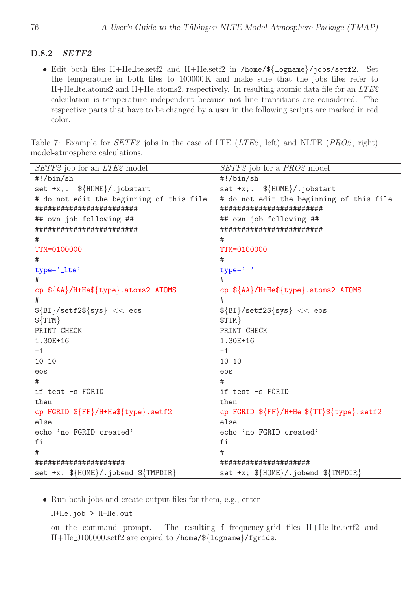### D.8.2 SETF2

• Edit both files H+He lte.setf2 and H+He.setf2 in /home/\${logname}/jobs/setf2. Set the temperature in both files to 100000 K and make sure that the jobs files refer to  $H+He$  lte.atoms2 and  $H+He$ .atoms2, respectively. In resulting atomic data file for an  $LTE2$ calculation is temperature independent because not line transitions are considered. The respective parts that have to be changed by a user in the following scripts are marked in red color.

Table 7: Example for *SETF2* jobs in the case of LTE (*LTE2*, left) and NLTE (*PRO2*, right) model-atmosphere calculations.

| SETF2 job for an LTE2 model                                | SETF2 job for a PRO2 model                   |
|------------------------------------------------------------|----------------------------------------------|
| $\#!/bin/sh$                                               | $\#!/bin/sh$                                 |
| set $+x$ ; $\frac{1}{2}$ $\{HOME\}/jobstart$               | $set +x$ ; $\frac{1}{2}$ $\{HOME\}/jobstart$ |
| # do not edit the beginning of this file                   | # do not edit the beginning of this file     |
| ########################                                   | ########################                     |
| ## own job following ##                                    | ## own job following ##                      |
| ########################                                   | ########################                     |
| #                                                          | #                                            |
| TTM=0100000                                                | TTM=0100000                                  |
| #                                                          | #                                            |
| type='_lte'                                                | $type='$                                     |
| #                                                          | #                                            |
| cp \${AA}/H+He\${type}.atoms2 ATOMS                        | cp \${AA}/H+He\${type}.atoms2 ATOMS          |
| #                                                          | #                                            |
| $\{BI\}/set2\$ {sys} << eos                                | $\{BI\}/set2\$ {sys} << eos                  |
| $$\{TTM\}$                                                 | $$TTM$ }                                     |
| PRINT CHECK                                                | PRINT CHECK                                  |
| 1.30E+16                                                   | 1.30E+16                                     |
| -1                                                         | $-1$                                         |
| 10 10                                                      | 10 10                                        |
| eos                                                        | eos                                          |
| #                                                          | #                                            |
| if test -s FGRID                                           | if test -s FGRID                             |
| then                                                       | then                                         |
| cp FGRID \${FF}/H+He\${type}.setf2                         | cp FGRID \${FF}/H+He_\${TT}\${type}.setf2    |
| else                                                       | else                                         |
| echo 'no FGRID created'                                    | echo 'no FGRID created'                      |
| fi                                                         | fi                                           |
| #                                                          | #                                            |
| #####################                                      | #####################                        |
| set +x; $\{\text{HOME}\}/\text{.jobend } \{\text{MPh} \}.$ | set +x; $\{\text{HOME}\}/\text{.jobend } \$  |

• Run both jobs and create output files for them, e.g., enter

H+He.job > H+He.out

on the command prompt. The resulting f frequency-grid files H+He lte.setf2 and H+He 0100000.setf2 are copied to /home/\${logname}/fgrids.

 $\overline{a}$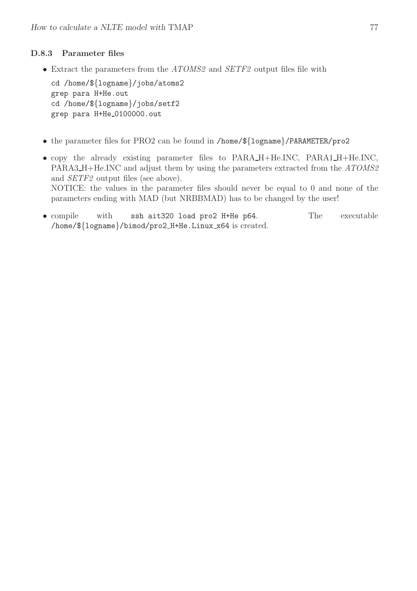### D.8.3 Parameter files

• Extract the parameters from the ATOMS2 and SETF2 output files file with

cd /home/\${logname}/jobs/atoms2 grep para H+He.out cd /home/\${logname}/jobs/setf2 grep para H+He 0100000.out

- the parameter files for PRO2 can be found in /home/\${logname}/PARAMETER/pro2
- copy the already existing parameter files to PARA\_H+He.INC, PARA1\_H+He.INC, PARA3\_H+He.INC and adjust them by using the parameters extracted from the ATOMS2 and SETF2 output files (see above). NOTICE: the values in the parameter files should never be equal to 0 and none of the parameters ending with MAD (but NRBBMAD) has to be changed by the user!
- compile with ssh ait320 load pro2 H+He p64. The executable /home/\${logname}/bimod/pro2 H+He.Linux x64 is created.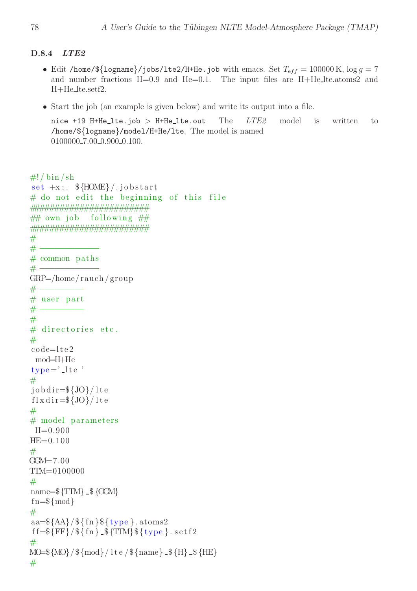### D.8.4 LTE2

- Edit /home/\$ $\{logname\}/jobs/lte2/H+He.job$  with emacs. Set  $T_{eff} = 100000$  K,  $log\ g = 7$ and number fractions  $H=0.9$  and  $He=0.1$ . The input files are  $H+He$ <sub>-te.atoms2</sub> and H+He lte.setf2.
- Start the job (an example is given below) and write its output into a file.

nice +19 H+He\_lte.job > H+He\_lte.out The  $LTE2$  model is written to /home/\${logname}/model/H+He/lte. The model is named 0100000\_7.00\_0.900\_0.100.

```
\#!/ \mathop{\rm bin} / \mathop{\rm sh}set +x; \frac{\text{HOME}}{\text{HOME}}. jobstart
# do not edit the beginning of this file
########################
\# own job following \#########################
## −−−−−−−−−−−−
# common paths
# −−−−−−−−−−−−
GRP=/home/ rauch / group
## user part
##
# directories etc.
#code=l t e 2
 mod=H+He
type = ' l t e '
#job \, dir = \frac{1}{0} {JO} / lte
f \, \mathrm{l} \, x \, \mathrm{d} \, \mathrm{ir} = \frac{6}{3} \{ \mathrm{JO} \} / \, \mathrm{l} \, \mathrm{t} \, \mathrm{e}## model parameters
 H=0.900HE=0.100#
GCM = 7.00TTM=0100000
#name=\{TTM} -\ {GGM}
fn = \frac{1}{\mod}#aa=\{AA\}/\{f\} \{trype\}. atoms2
f f=\{FF\}/\ { fn } _$ {TIM} \{type\}. s et f 2
#MO=${MO}/${mod}/ l t e /${name}  ${H}  ${HE}
#
```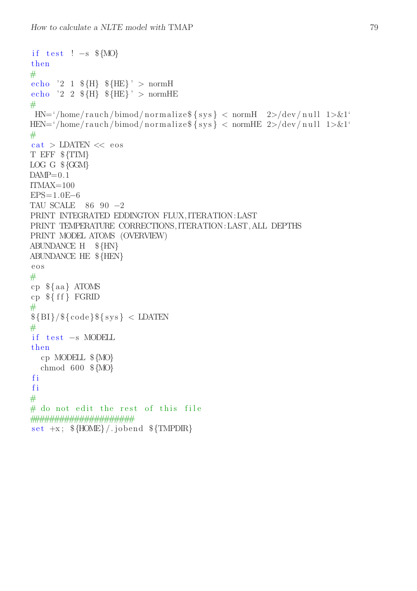```
if test ! -s ${MO}
then
#echo '2 1 \{H\} \ \{HE\}' > normH
echo '2 2 \{H\} \ \{HE\}' > normHE
#HN = \frac{\text{HN}}{\text{home}} / \text{rauch} / \text{bimod} / \text{normalize$\$ \$ \text{sys} \} < normH 2>/dev/null 1>&1
HEN='/home/rauch/bimod/normalize${sys} < normHE 2>/dev/null 1>&1'
#cat > LDATEN << eos
T EFF ${TIM}
LOG G $ {GGM}
DAMP=0.1ITMAX=100EPS=1.0E-6TAU SCALE 8690-2PRINT INTEGRATED EDDINGTON FLUX, ITERATION: LAST
PRINT TEMPERATURE CORRECTIONS, ITERATION: LAST, ALL DEPTHS
PRINT MODEL ATOMS (OVERVIEW)
ABUNDANCE H \{HN\}ABUNDANCE HE ${HEN}
\cos#cp \ {aa} ATOMS
cp \{ff\} FGRID
#\{BI\}/\{code\} s \{sys\} < LDATEN
#if test -s MODELL
then
  cp MODELL \{MO\}chmod 600 \text{ $MO$}fi
fi
## do not edit the rest of this file
set +x; \{HOME\}/jobend \{FMPDR\}
```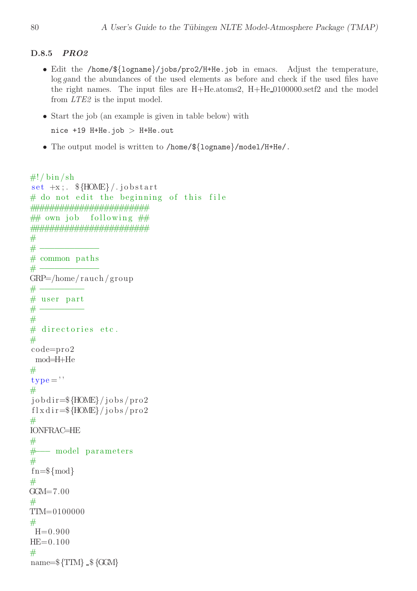### D.8.5 PRO2

- Edit the /home/\${logname}/jobs/pro2/H+He.job in emacs. Adjust the temperature, log gand the abundances of the used elements as before and check if the used files have the right names. The input files are  $H + He. atoms2$ ,  $H + He.0100000.setf2$  and the model from LTE2 is the input model.
- Start the job (an example is given in table below) with nice  $+19$  H+He.job > H+He.out
- The output model is written to /home/\${logname}/model/H+He/.

```
\#!/ \mathop{\rm bin} / \mathop{\rm sh}set +x; \frac{\text{HOME}}{\text{HOME}}. jobstart
# do not edit the beginning of this file
########################
\# own job following \#########################
## −−−−−−−−−−−−
# common paths
# −−−−−−−−−−−−
GRP=/home/ rauch / group
## user part
##
# directories etc.
#code=pro2
 mod=H+He
#
type =''
#
job \, dir = \{HOME\} / job \, s / pro2f l x d i r=\frac{f}{g}{HOME}/jobs/pro2
#
IONFRAC=HE
#
# model parameters
#fn = \frac{1}{\mod}#GGM=7.00#
TTM=0100000
#
 H=0.900HE=0.100#name=\{TTM}. \{GGM\}
```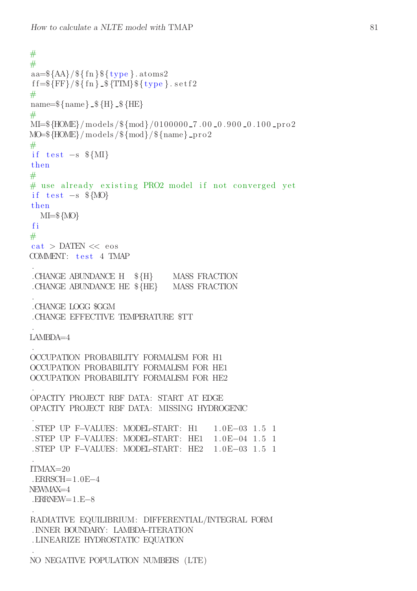```
##aa=\frac{1}{4} {AA}/\frac{1}{8} { type } . atoms 2
f f=\{FF\}/\ { fn } _$ {TIM} \{type\}. s et f 2
#
name=\{\ame} \{\\} \{ \{ \} \{ \} \{ \} \{ \} \{ \} \{ \} \{ \} \{ \} \{ \} \{ \} \{ \} \{ \} \{ \} \{ \} \{ \} \{ \} \{ \} \{ \} \{ \} \{#
MI=${HOME}/ models /${mod}/0100000 7 . 0 0 0 .9 0 0 0 .1 0 0 p ro2
MO=\ {HOME} / models / \{mod\} / \{name\} pro2
#if test -s MI}
then
## use already existing PRO2 model if not converged yet
if test -s ${MO}
then
  MI=${MO}
f i
#
cat > DATEN << eos
COMMENT: test 4 TMAP
.
.CHANGE ABUNDANCE H ${H} MASS FRACTION
.CHANGE ABUNDANCE HE ${HE} MASS FRACTION
.
.CHANGE LOGG $GGM
.CHANGE EFFECTIVE TEMPERATURE $TT
.
LAMBDA=4
.
OCCUPATION PROBABILITY FORMALISM FOR H1
OCCUPATION PROBABILITY FORMALISM FOR HE1
OCCUPATION PROBABILITY FORMALISM FOR HE2
.
OPACITY PROJECT RBF DATA: START AT EDGE
OPACITY PROJECT RBF DATA: MISSING HYDROGENIC
.
. STEP UP F−VALUES: MODEL−START: H1 1. 0E−03 1. 5 1
. STEP UP F−VALUES: MODEL−START: HE1 1. 0E−04 1. 5 1
. STEP UP F−VALUES: MODEL−START: HE2 1. 0E−03 1. 5 1
.
ITMAX=20
.ERRSCH=1.0E−4
NEWMAX=4
.ERRNEW=1.E−8
.
RADIATIVE EQUILIBRIUM: DIFFERENTIAL/INTEGRAL FORM
. INNER BOUNDARY: LAMBDA−ITERATION
. LINEARIZE HYDROSTATIC EQUATION
.
```
NO NEGATIVE POPULATION NUMBERS (LTE)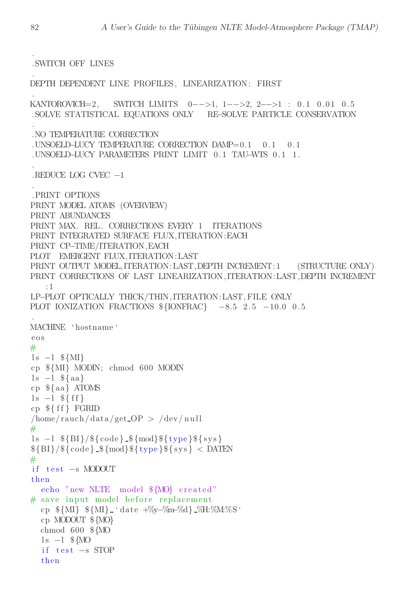.SWITCH OFF LINES

if  $test -s$  STOP

then

DEPTH DEPENDENT LINE PROFILES, LINEARIZATION: FIRST

KANTOROVICH=2, SWITCH LIMITS  $0-->1$ ,  $1-->2$ ,  $2-->1$  : 0.1 0.01 0.5 . SOLVE STATISTICAL EQUATIONS ONLY RE-SOLVE PARTICLE CONSERVATION . NO TEMPERATURE CORRECTION . UNSOELD-LUCY TEMPERATURE CORRECTION  $DAMP=0.1$  $0.1$  $0.1$ .UNSOELD-LUCY PARAMETERS PRINT LIMIT 0.1 TAU-WIS 0.1 1. REDUCE LOG CVEC  $-1$ .PRINT OPTIONS PRINT MODEL ATOMS (OVERVIEW) PRINT ABUNDANCES PRINT MAX. REL. CORRECTIONS EVERY 1 ITERATIONS PRINT INTEGRATED SURFACE FLUX, ITERATION: EACH PRINT CP-TIME/ITERATION, EACH PLOT EMERGENT FLUX, ITERATION: LAST PRINT OUTPUT MODEL, ITERATION: LAST, DEPTH INCREMENT: 1 (STRUCTURE ONLY) PRINT CORRECTIONS OF LAST LINEARIZATION, ITERATION: LAST, DEPTH INCREMENT  $:1$ LP-PLOT OPTICALLY THICK/THIN, ITERATION: LAST, FILE ONLY PLOT IONIZATION FRACTIONS  $\{\text{IONFRAC}\}$  -8.5 2.5 -10.0 0.5 MACHINE 'hostname'  $e$ <sup>o</sup>s  $#$  $1s -1$  \${MI} cp  $\mathcal{M}\$  MODIN; chmod 600 MODIN  $ls -l$  \${aa}  $cp \$  {aa} ATOMS  $1s - 1 \$  \{ff}  $cp \$  {  $ff$  } FGRID  $/\text{home/rauch/data/get\_OP} > / \text{dev/null}$  $#$  $\{S - 1 \$  {BI}/\\$ {code } \_\\$ {mod } \\$ { type } \\$ { sys }  ${\{BI\}}/{\{\c{6de\}} \cdot {\{\c{6de\}} \cdot {\{\c{6de\}}\}} \cdot {\{\frac{1}{\{\c{type}\}} \cdot {\{\frac{1}{\{\c{sys}\}}\} \cdot {\{\c{D}}\}}}}$  $#$ if  $test -s$  MODOUT then echo "new NLTE model \${MO} created" # save input model before replacement cp  $\{\mathrm{MI}\}\$   $\{\mathrm{MI}\}$  (date  $+\%$ y- $\%$ m- $\%$ d}  $\%\$ H: $\%$ M: $\%$ S' cp MODOUT \${MO} chmod  $600 \text{$  \${MO  $1s -1$  \${MO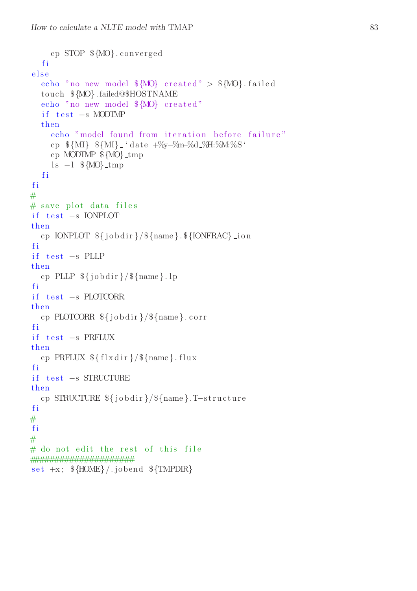```
cp STOP \{MO\}.converged
  fi
else
  echo "no new model M_0 created" > M_0. failed
  touch \{MO\}. failed@$HOSTNAME
  echo "no new model ${MO} created"
  if test -s MODIMP
  then
    echo "model found from iteration before failure"
    cp \{\mathrm{MI}\}\ \{\mathrm{MI}\} 'date +\%-\%n-\%d \%\H: \%\M: \%S'
    cp MODIMP \{MO\}_tmp
    ls -1 MO\text{-}tmpfi
fi
## save plot data files
if test -s IONPLOT
then
  cp IONPLOT \{\dot{\mathcal{S}}\}\ [name \}. \{\text{IONFRAC}\}] ion
fi
if test -s PLLP
then
  cp PLLP \{jobdir\}/\{\{name\}}. lp
fi
if test -s PLOTCORR
then
  cp PLOTCORR ${jobdir}/${name}.corr
fi
if test -s PRFLUX
then
  cp PRFLUX \{flxdir\}/\{name}.flux
fi
if test -s STRUCTURE
then
  cp STRUCTURE \{j \cdot b \cdot d \} / \{n \cdot b \}. T-structure
fi
#fi
## do not edit the rest of this file
set +x; \{HONE\}/.jobend \{TMPDR\}
```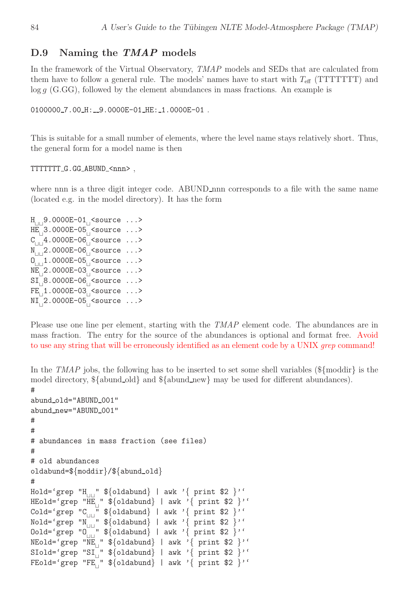### D.9 Naming the TMAP models

In the framework of the Virtual Observatory, TMAP models and SEDs that are calculated from them have to follow a general rule. The models' names have to start with  $T_{\text{eff}}$  (TTTTTTT) and  $log q$  (G.GG), followed by the element abundances in mass fractions. An example is

```
0100000_7.00_H:__9.0000E-01_HE:_1.0000E-01.
```
This is suitable for a small number of elements, where the level name stays relatively short. Thus, the general form for a model name is then

TTTTTTT G.GG ABUND <nnn> ,

where nnn is a three digit integer code. ABUND nnn corresponds to a file with the same name (located e.g. in the model directory). It has the form

H<sub>⊔⊔</sub>9.0000E-01<sub>⊔</sub><source ...> HE<sub>⊥</sub>3.0000E-05<sub>⊥</sub><source ...> C<sub>⊔⊔</sub>4.0000E-06<sub>⊔</sub><source ...> N<sub>⊥□</sub>2.0000E-06<sub>□</sub><source ...> O<sub>⊔⊔</sub>1.0000E-05<sub>⊔</sub><source ...> NE<sub>⊥</sub>2.0000E-03<sub>⊥</sub><source ...> SI<sub>⊔</sub>8.0000E-06<sub>⊔</sub><source ...> FE<sub>⊥1.</sub>0000E-03<sub>⊥</sub><source ...> NI<sub>⊔</sub>2.0000E-05<sub>⊔</sub><source ...>

Please use one line per element, starting with the  $TMAP$  element code. The abundances are in mass fraction. The entry for the source of the abundances is optional and format free. Avoid to use any string that will be erroneously identified as an element code by a UNIX *grep* command!

In the TMAP jobs, the following has to be inserted to set some shell variables ( $\{\text{moddir}\}\$ is the model directory,  ${\{\text{abund-old}\}}$  and  ${\{\text{abund_new}\}}$  may be used for different abundances). #

```
abund_old="ABUND_001"
abund_new="ABUND_001"
#
#
# abundances in mass fraction (see files)
#
# old abundances
oldabund=${moddir}/${abund_old}
#
Hold='grep "H<sub>⊔⊔</sub>" ${oldabund} | awk '{ print $2 }''
HEold='grep "HE<sub>⊥</sub>" ${oldabund} | awk '{ print $2 }''
Cold='grep "C⊔⊔" ${oldabund} | awk '{ print $2 }''
Nold='grep "N⊔⊔" ${oldabund} | awk '{ print $2 }''
Nold='grep "N<sub>⊔⊔</sub>" ${oldabund} | awk '{ print $2 }''<br>Oold='grep "O<sub>⊔⊔</sub>" ${oldabund} | awk '{ print $2 }''
NEold='grep "NE⊔
" ${oldabund} | awk '{ print $2 }''
SIold='grep "SI⊔
" ${oldabund} | awk '{ print $2 }''
FEold='grep "FE_{\vert}" ${oldabund} | awk '{ print $2 }''
```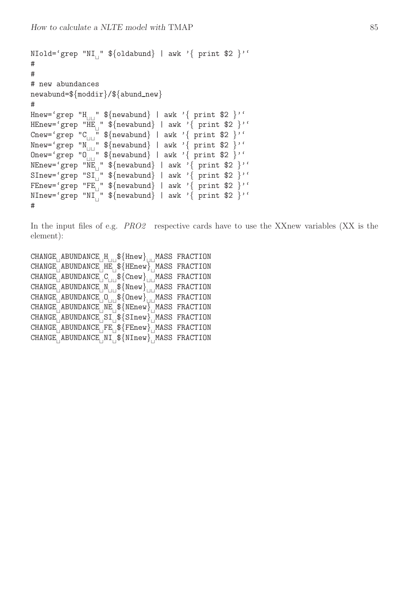```
NIold='grep "NI⊔
" ${oldabund} | awk '{ print $2 }''
#
#
# new abundances
newabund=\frac{2}{moddir}/\frac{2}{land_new}#
Hnew='grep "H<sub>||||</sub>" ${newabund} | awk '{ print $2 }''
HEnew='grep "HE_{\vert}" ${newabund} | awk '{ print $2 }''
Cnew='grep "C<sub>⊔⊔</sub>" ${newabund} | awk '{ print $2 }''
Nnew='grep "N⊔⊔" ${newabund} | awk '{ print $2 }''
Nnew='grep "N | ${newabund} | aw  | ---<br>Onew='grep "O | " ${newabund} | awk '{ print $2 }''
NEnew='grep "NE<sub>||</sub>" ${newabund} | awk '{ print $2 }''
SInew='grep "SI⊔
" ${newabund} | awk '{ print $2 }''
FEnew='grep "FE_{\vert}" ${newabund} | awk '{ print $2 }''
NInew='grep "NI⊔
" ${newabund} | awk '{ print $2 }''
#
```
In the input files of e.g. *PRO2* respective cards have to use the XXnew variables (XX is the element):

CHANGE<sub>⊥</sub>ABUNDANCE<sub>⊥</sub>H<sub>⊥□</sub>\${Hnew}<sub>IIII</sub>MASS FRACTION CHANGE<sub>⊔</sub>ABUNDANCE<sub>⊔</sub>HE<sub>⊔</sub>\${HEnew}<sub>⊔</sub>MASS FRACTION CHANGE<sub>⊔</sub>ABUNDANCE<sub>⊔</sub>C<sub>⊔⊔</sub>\${Cnew}<sub>U⊔</sub>MASS FRACTION CHANGE<sub>⊔</sub>ABUNDANCE<sub>⊔</sub>N<sub>⊔⊔</sub>\${Nnew}<sub>UU</sub>MASS FRACTION CHANGE<sub>⊥</sub>ABUNDANCE<sub>⊥</sub>O<sub>⊥□</sub>\${Onew}<sub>III</sub>MASS FRACTION CHANGE<sub>⊔</sub>ABUNDANCE<sub>⊔</sub>NE<sub>⊔</sub>\${NEnew}<sub>⊔</sub>MASS FRACTION CHANGE<sub>∟</sub>ABUNDANCE<sub>∟</sub>SI<sub>∟</sub>\${SInew}<sub>∟</sub>MASS FRACTION CHANGE<sub>⊔</sub>ABUNDANCE<sub>⊔</sub>FE<sub>⊔</sub>\${FEnew}<sub>⊔</sub>MASS FRACTION CHANGE<sub>⊥</sub>ABUNDANCE<sub>⊥</sub>NI<sub>⊥</sub>\${NInew}<sub>⊥</sub>MASS FRACTION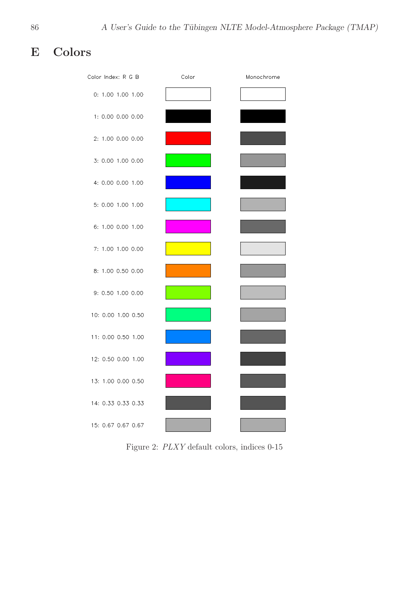# E Colors

| Color Index: R G B | Color | Monochrome |
|--------------------|-------|------------|
| 0: 1.00 1.00 1.00  |       |            |
| 1: 0.00 0.00 0.00  |       |            |
| 2: 1.00 0.00 0.00  |       |            |
| 3: 0.00 1.00 0.00  |       |            |
| 4: 0.00 0.00 1.00  |       |            |
| 5: 0.00 1.00 1.00  |       |            |
| 6: 1.00 0.00 1.00  |       |            |
| 7: 1.00 1.00 0.00  |       |            |
| 8: 1.00 0.50 0.00  |       |            |
| 9: 0.50 1.00 0.00  |       |            |
| 10: 0.00 1.00 0.50 |       |            |
| 11: 0.00 0.50 1.00 |       |            |
| 12: 0.50 0.00 1.00 |       |            |
| 13: 1.00 0.00 0.50 |       |            |
| 14: 0.33 0.33 0.33 |       |            |
| 15: 0.67 0.67 0.67 |       |            |

Figure 2: PLXY default colors, indices 0-15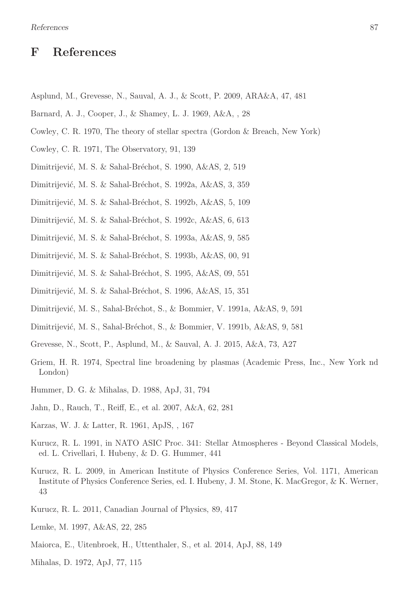## F References

- Asplund, M., Grevesse, N., Sauval, A. J., & Scott, P. 2009, ARA&A, 47, 481
- Barnard, A. J., Cooper, J., & Shamey, L. J. 1969, A&A, , 28
- Cowley, C. R. 1970, The theory of stellar spectra (Gordon & Breach, New York)
- Cowley, C. R. 1971, The Observatory, 91, 139
- Dimitrijević, M. S. & Sahal-Bréchot, S. 1990, A&AS, 2, 519
- Dimitrijević, M. S. & Sahal-Bréchot, S. 1992a, A&AS, 3, 359
- Dimitrijević, M. S. & Sahal-Bréchot, S. 1992b, A&AS, 5, 109
- Dimitrijević, M. S. & Sahal-Bréchot, S. 1992c, A&AS, 6, 613
- Dimitrijević, M. S. & Sahal-Bréchot, S. 1993a, A&AS, 9, 585
- Dimitrijević, M. S. & Sahal-Bréchot, S. 1993b, A&AS, 00, 91
- Dimitrijević, M. S. & Sahal-Bréchot, S. 1995, A&AS, 09, 551
- Dimitrijević, M. S. & Sahal-Bréchot, S. 1996, A&AS, 15, 351
- Dimitrijević, M. S., Sahal-Bréchot, S., & Bommier, V. 1991a, A&AS, 9, 591
- Dimitrijević, M. S., Sahal-Bréchot, S., & Bommier, V. 1991b, A&AS, 9, 581
- Grevesse, N., Scott, P., Asplund, M., & Sauval, A. J. 2015, A&A, 73, A27
- Griem, H. R. 1974, Spectral line broadening by plasmas (Academic Press, Inc., New York nd London)
- Hummer, D. G. & Mihalas, D. 1988, ApJ, 31, 794
- Jahn, D., Rauch, T., Reiff, E., et al. 2007, A&A, 62, 281
- Karzas, W. J. & Latter, R. 1961, ApJS, , 167
- Kurucz, R. L. 1991, in NATO ASIC Proc. 341: Stellar Atmospheres Beyond Classical Models, ed. L. Crivellari, I. Hubeny, & D. G. Hummer, 441
- Kurucz, R. L. 2009, in American Institute of Physics Conference Series, Vol. 1171, American Institute of Physics Conference Series, ed. I. Hubeny, J. M. Stone, K. MacGregor, & K. Werner, 43
- Kurucz, R. L. 2011, Canadian Journal of Physics, 89, 417
- Lemke, M. 1997, A&AS, 22, 285
- Maiorca, E., Uitenbroek, H., Uttenthaler, S., et al. 2014, ApJ, 88, 149
- Mihalas, D. 1972, ApJ, 77, 115